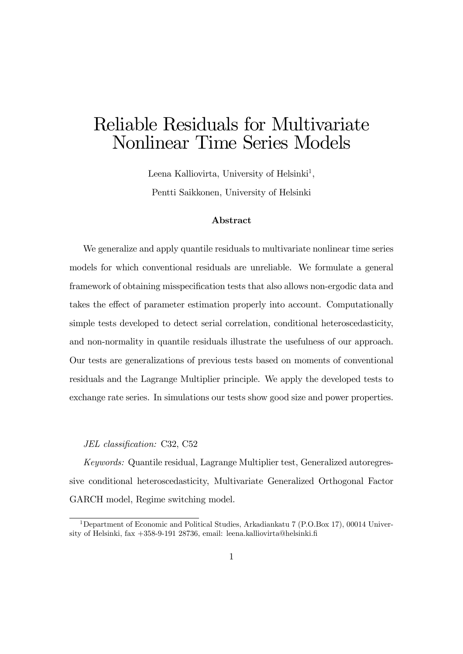# Reliable Residuals for Multivariate Nonlinear Time Series Models

Leena Kalliovirta, University of Helsinki<sup>1</sup>, Pentti Saikkonen, University of Helsinki

#### Abstract

We generalize and apply quantile residuals to multivariate nonlinear time series models for which conventional residuals are unreliable. We formulate a general framework of obtaining misspecification tests that also allows non-ergodic data and takes the effect of parameter estimation properly into account. Computationally simple tests developed to detect serial correlation, conditional heteroscedasticity, and non-normality in quantile residuals illustrate the usefulness of our approach. Our tests are generalizations of previous tests based on moments of conventional residuals and the Lagrange Multiplier principle. We apply the developed tests to exchange rate series. In simulations our tests show good size and power properties.

#### JEL classification: C32, C52

Keywords: Quantile residual, Lagrange Multiplier test, Generalized autoregressive conditional heteroscedasticity, Multivariate Generalized Orthogonal Factor GARCH model, Regime switching model.

<sup>&</sup>lt;sup>1</sup>Department of Economic and Political Studies, Arkadiankatu 7 (P.O.Box 17), 00014 University of Helsinki, fax +358-9-191 28736, email: leena.kalliovirta@helsinki.Ö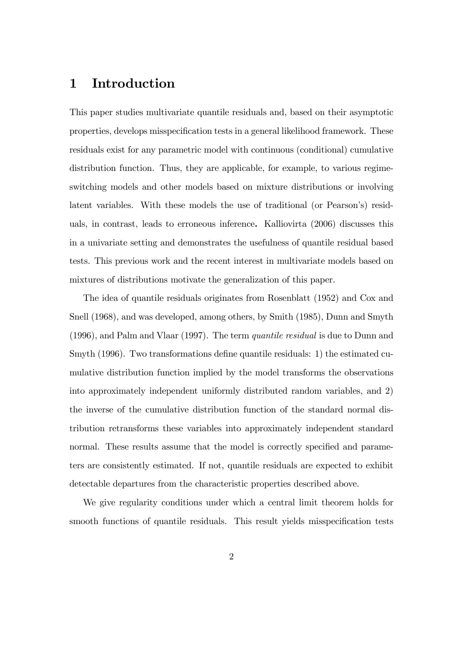# 1 Introduction

This paper studies multivariate quantile residuals and, based on their asymptotic properties, develops misspecification tests in a general likelihood framework. These residuals exist for any parametric model with continuous (conditional) cumulative distribution function. Thus, they are applicable, for example, to various regimeswitching models and other models based on mixture distributions or involving latent variables. With these models the use of traditional (or Pearson's) residuals, in contrast, leads to erroneous inference. Kalliovirta (2006) discusses this in a univariate setting and demonstrates the usefulness of quantile residual based tests. This previous work and the recent interest in multivariate models based on mixtures of distributions motivate the generalization of this paper.

The idea of quantile residuals originates from Rosenblatt (1952) and Cox and Snell (1968), and was developed, among others, by Smith (1985), Dunn and Smyth (1996), and Palm and Vlaar (1997). The term quantile residual is due to Dunn and Smyth  $(1996)$ . Two transformations define quantile residuals: 1) the estimated cumulative distribution function implied by the model transforms the observations into approximately independent uniformly distributed random variables, and 2) the inverse of the cumulative distribution function of the standard normal distribution retransforms these variables into approximately independent standard normal. These results assume that the model is correctly specified and parameters are consistently estimated. If not, quantile residuals are expected to exhibit detectable departures from the characteristic properties described above.

We give regularity conditions under which a central limit theorem holds for smooth functions of quantile residuals. This result yields misspecification tests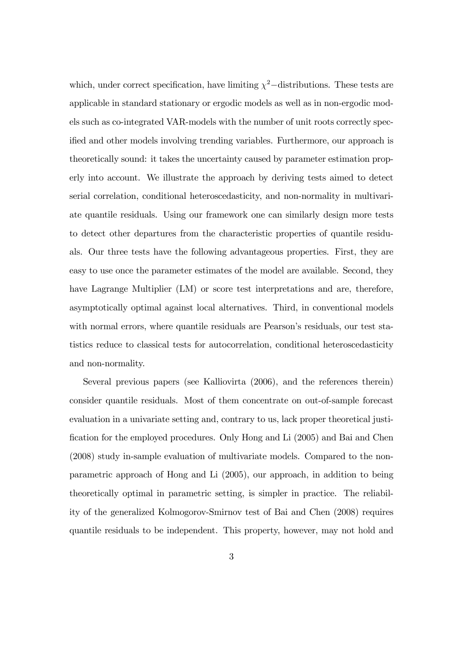which, under correct specification, have limiting  $\chi^2$ -distributions. These tests are applicable in standard stationary or ergodic models as well as in non-ergodic models such as co-integrated VAR-models with the number of unit roots correctly specified and other models involving trending variables. Furthermore, our approach is theoretically sound: it takes the uncertainty caused by parameter estimation properly into account. We illustrate the approach by deriving tests aimed to detect serial correlation, conditional heteroscedasticity, and non-normality in multivariate quantile residuals. Using our framework one can similarly design more tests to detect other departures from the characteristic properties of quantile residuals. Our three tests have the following advantageous properties. First, they are easy to use once the parameter estimates of the model are available. Second, they have Lagrange Multiplier (LM) or score test interpretations and are, therefore, asymptotically optimal against local alternatives. Third, in conventional models with normal errors, where quantile residuals are Pearson's residuals, our test statistics reduce to classical tests for autocorrelation, conditional heteroscedasticity and non-normality.

Several previous papers (see Kalliovirta (2006), and the references therein) consider quantile residuals. Most of them concentrate on out-of-sample forecast evaluation in a univariate setting and, contrary to us, lack proper theoretical justi-Öcation for the employed procedures. Only Hong and Li (2005) and Bai and Chen (2008) study in-sample evaluation of multivariate models. Compared to the nonparametric approach of Hong and Li (2005), our approach, in addition to being theoretically optimal in parametric setting, is simpler in practice. The reliability of the generalized Kolmogorov-Smirnov test of Bai and Chen (2008) requires quantile residuals to be independent. This property, however, may not hold and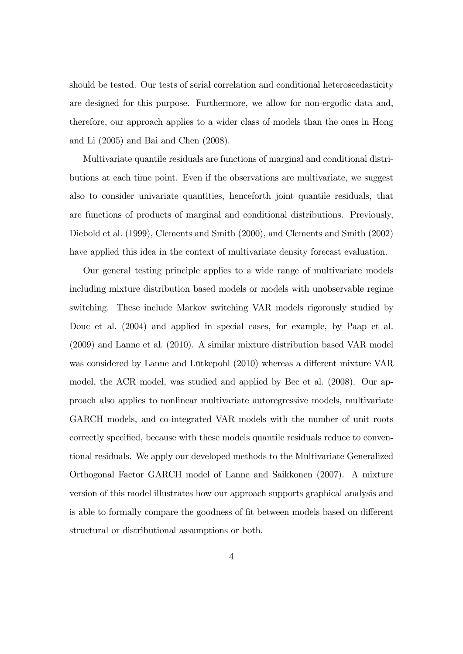should be tested. Our tests of serial correlation and conditional heteroscedasticity are designed for this purpose. Furthermore, we allow for non-ergodic data and, therefore, our approach applies to a wider class of models than the ones in Hong and Li (2005) and Bai and Chen (2008).

Multivariate quantile residuals are functions of marginal and conditional distributions at each time point. Even if the observations are multivariate, we suggest also to consider univariate quantities, henceforth joint quantile residuals, that are functions of products of marginal and conditional distributions. Previously, Diebold et al. (1999), Clements and Smith (2000), and Clements and Smith (2002) have applied this idea in the context of multivariate density forecast evaluation.

Our general testing principle applies to a wide range of multivariate models including mixture distribution based models or models with unobservable regime switching. These include Markov switching VAR models rigorously studied by Douc et al. (2004) and applied in special cases, for example, by Paap et al. (2009) and Lanne et al. (2010). A similar mixture distribution based VAR model was considered by Lanne and Lütkepohl (2010) whereas a different mixture VAR model, the ACR model, was studied and applied by Bec et al. (2008). Our approach also applies to nonlinear multivariate autoregressive models, multivariate GARCH models, and co-integrated VAR models with the number of unit roots correctly specified, because with these models quantile residuals reduce to conventional residuals. We apply our developed methods to the Multivariate Generalized Orthogonal Factor GARCH model of Lanne and Saikkonen (2007). A mixture version of this model illustrates how our approach supports graphical analysis and is able to formally compare the goodness of fit between models based on different structural or distributional assumptions or both.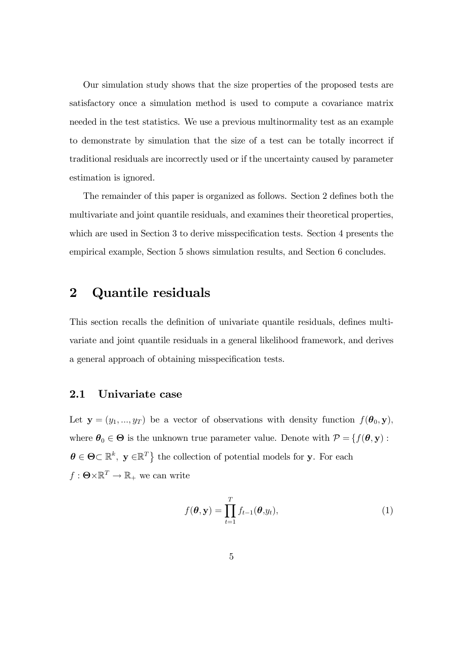Our simulation study shows that the size properties of the proposed tests are satisfactory once a simulation method is used to compute a covariance matrix needed in the test statistics. We use a previous multinormality test as an example to demonstrate by simulation that the size of a test can be totally incorrect if traditional residuals are incorrectly used or if the uncertainty caused by parameter estimation is ignored.

The remainder of this paper is organized as follows. Section 2 defines both the multivariate and joint quantile residuals, and examines their theoretical properties, which are used in Section 3 to derive misspecification tests. Section 4 presents the empirical example, Section 5 shows simulation results, and Section 6 concludes.

# 2 Quantile residuals

This section recalls the definition of univariate quantile residuals, defines multivariate and joint quantile residuals in a general likelihood framework, and derives a general approach of obtaining misspecification tests.

### 2.1 Univariate case

Let  $y = (y_1, ..., y_T)$  be a vector of observations with density function  $f(\theta_0, y)$ , where  $\theta_0 \in \Theta$  is the unknown true parameter value. Denote with  $\mathcal{P} = \{f(\theta, \mathbf{y}) :$  $\boldsymbol{\theta} \in \boldsymbol{\Theta} \subset \mathbb{R}^k$ ,  $\mathbf{y} \in \mathbb{R}^T$  the collection of potential models for y. For each  $f: \Theta \times \mathbb{R}^T \to \mathbb{R}_+$  we can write

$$
f(\boldsymbol{\theta}, \mathbf{y}) = \prod_{t=1}^{T} f_{t-1}(\boldsymbol{\theta}, y_t),
$$
\n(1)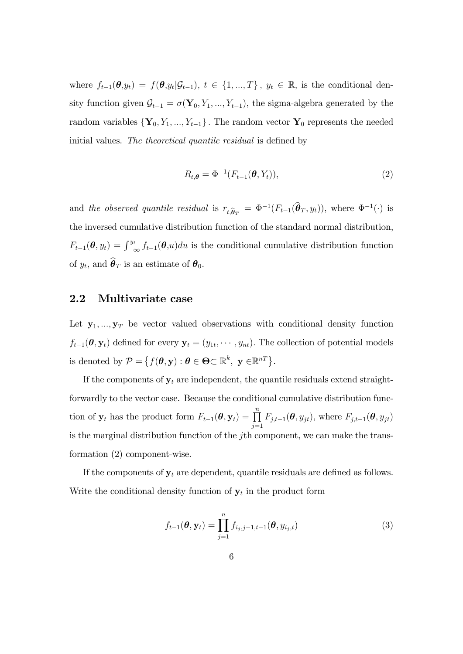where  $f_{t-1}(\theta,y_t) = f(\theta,y_t|\mathcal{G}_{t-1}), t \in \{1,...,T\}, y_t \in \mathbb{R},$  is the conditional density function given  $\mathcal{G}_{t-1} = \sigma(\mathbf{Y}_0, Y_1, ..., Y_{t-1})$ , the sigma-algebra generated by the random variables  $\{Y_0, Y_1, ..., Y_{t-1}\}$ . The random vector  $Y_0$  represents the needed initial values. The theoretical quantile residual is defined by

$$
R_{t,\boldsymbol{\theta}} = \Phi^{-1}(F_{t-1}(\boldsymbol{\theta}, Y_t)),
$$
\n(2)

and the observed quantile residual is  $r_{t,\hat{\theta}_T} = \Phi^{-1}(F_{t-1}(\hat{\theta}_T, y_t)),$  where  $\Phi^{-1}(\cdot)$  is the inversed cumulative distribution function of the standard normal distribution,  $F_{t-1}(\theta, y_t) = \int_{-\infty}^{y_t} f_{t-1}(\theta, u) du$  is the conditional cumulative distribution function of  $y_t$ , and  $\boldsymbol{\theta}_T$  is an estimate of  $\boldsymbol{\theta}_0$ .

# 2.2 Multivariate case

Let  $y_1, ..., y_T$  be vector valued observations with conditional density function  $f_{t-1}(\theta, \mathbf{y}_t)$  defined for every  $\mathbf{y}_t = (y_{1t}, \dots, y_{nt})$ . The collection of potential models is denoted by  $\mathcal{P} = \left\{ f(\boldsymbol{\theta}, \mathbf{y}) : \boldsymbol{\theta} \in \boldsymbol{\Theta} \subset \mathbb{R}^k, \ \mathbf{y} \in \mathbb{R}^{n} \right\}.$ 

If the components of  $y_t$  are independent, the quantile residuals extend straightforwardly to the vector case. Because the conditional cumulative distribution function of  $\mathbf{y}_t$  has the product form  $F_{t-1}(\theta, \mathbf{y}_t) = \prod_{j=1}^n F_{j,t-1}(\theta, y_{jt})$ , where  $F_{j,t-1}(\theta, y_{jt})$ is the marginal distribution function of the jth component, we can make the transformation (2) component-wise.

If the components of  $y_t$  are dependent, quantile residuals are defined as follows. Write the conditional density function of  $y_t$  in the product form

$$
f_{t-1}(\boldsymbol{\theta}, \mathbf{y}_t) = \prod_{j=1}^n f_{i_j, j-1, t-1}(\boldsymbol{\theta}, y_{i_j, t})
$$
\n(3)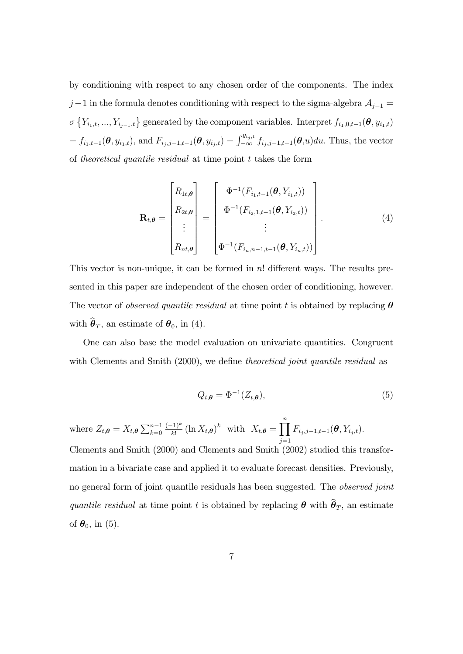by conditioning with respect to any chosen order of the components. The index  $j-1$  in the formula denotes conditioning with respect to the sigma-algebra  $\mathcal{A}_{j-1} =$  $\sigma\left\{Y_{i_1,t},...,Y_{i_{j-1},t}\right\}$  generated by the component variables. Interpret  $f_{i_1,0,t-1}(\theta,y_{i_1,t})$  $=f_{i_1,t-1}(\theta, y_{i_1,t}),$  and  $F_{i_j,j-1,t-1}(\theta, y_{i_j,t}) = \int_{-\infty}^{y_{i_j,t}} f_{i_j,j-1,t-1}(\theta, u) du$ . Thus, the vector of theoretical quantile residual at time point t takes the form

$$
\mathbf{R}_{t,\theta} = \begin{bmatrix} R_{1t,\theta} \\ R_{2t,\theta} \\ \vdots \\ R_{nt,\theta} \end{bmatrix} = \begin{bmatrix} \Phi^{-1}(F_{i_1,t-1}(\theta, Y_{i_1,t})) \\ \Phi^{-1}(F_{i_2,1,t-1}(\theta, Y_{i_2,t})) \\ \vdots \\ \Phi^{-1}(F_{i_n,n-1,t-1}(\theta, Y_{i_n,t})) \end{bmatrix} .
$$
 (4)

This vector is non-unique, it can be formed in  $n!$  different ways. The results presented in this paper are independent of the chosen order of conditioning, however. The vector of *observed quantile residual* at time point t is obtained by replacing  $\theta$ with  $\widehat{\boldsymbol{\theta}}_T$ , an estimate of  $\boldsymbol{\theta}_0$ , in (4).

One can also base the model evaluation on univariate quantities. Congruent with Clements and Smith  $(2000)$ , we define theoretical joint quantile residual as

$$
Q_{t,\theta} = \Phi^{-1}(Z_{t,\theta}),\tag{5}
$$

where  $Z_{t,\theta} = X_{t,\theta} \sum_{k=0}^{n-1} \frac{(-1)^k}{k!} (\ln X_{t,\theta})^k$  with  $X_{t,\theta} = \prod_{k=0}^{n}$  $j=1$  $F_{i_j,j-1,t-1}(\bm{\theta}, Y_{i_j,t}).$ Clements and Smith (2000) and Clements and Smith (2002) studied this transformation in a bivariate case and applied it to evaluate forecast densities. Previously, no general form of joint quantile residuals has been suggested. The *observed joint* quantile residual at time point t is obtained by replacing  $\boldsymbol{\theta}$  with  $\widehat{\boldsymbol{\theta}}_T$ , an estimate of  $\theta_0$ , in (5).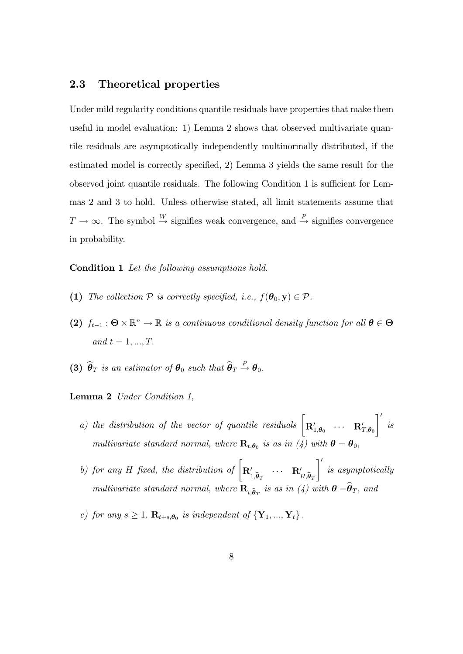# 2.3 Theoretical properties

Under mild regularity conditions quantile residuals have properties that make them useful in model evaluation: 1) Lemma 2 shows that observed multivariate quantile residuals are asymptotically independently multinormally distributed, if the estimated model is correctly specified, 2) Lemma 3 yields the same result for the observed joint quantile residuals. The following Condition 1 is sufficient for Lemmas 2 and 3 to hold. Unless otherwise stated, all limit statements assume that  $T \to \infty$ . The symbol  $\stackrel{W}{\to}$  signifies weak convergence, and  $\stackrel{P}{\to}$  signifies convergence in probability.

#### Condition 1 Let the following assumptions hold.

- (1) The collection  $P$  is correctly specified, i.e.,  $f(\theta_0, \mathbf{y}) \in \mathcal{P}$ .
- (2)  $f_{t-1}$ :  $\Theta \times \mathbb{R}^n \to \mathbb{R}$  is a continuous conditional density function for all  $\theta \in \Theta$ and  $t = 1, ..., T$ .
- (3)  $\widehat{\boldsymbol{\theta}}_T$  is an estimator of  $\boldsymbol{\theta}_0$  such that  $\widehat{\boldsymbol{\theta}}_T \stackrel{P}{\rightarrow} \boldsymbol{\theta}_0$ .

Lemma 2 Under Condition 1,

- a) the distribution of the vector of quantile residuals  $\begin{bmatrix} \mathbf{R}'_{1,\theta_0} & \cdots & \mathbf{R}'_{T,\theta_0} \end{bmatrix}$  $\overline{\phantom{a}}$ is multivariate standard normal, where  $\mathbf{R}_{t,\theta_0}$  is as in (4) with  $\boldsymbol{\theta} = \boldsymbol{\theta}_0$ ,
- b) for any H fixed, the distribution of  $\begin{bmatrix} \mathbf{R}'_{1,\hat{\theta}_T} & \cdots & \mathbf{R}'_{H,\hat{\theta}_T} \end{bmatrix}$  $\mathcal{I}'$ is asymptotically multivariate standard normal, where  $\mathbf{R}_{t,\widehat{\boldsymbol{\theta}}_T}$  is as in (4) with  $\boldsymbol{\theta} = \boldsymbol{\theta}_T$ , and
- c) for any  $s \geq 1$ ,  $\mathbf{R}_{t+s,\theta_0}$  is independent of  $\{Y_1, ..., Y_t\}$ .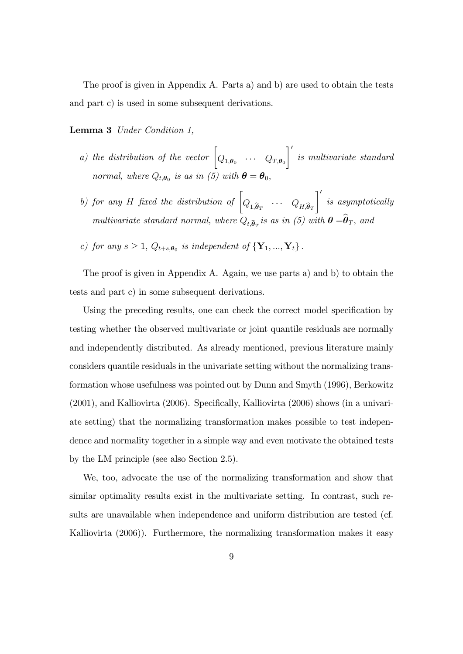The proof is given in Appendix A. Parts a) and b) are used to obtain the tests and part c) is used in some subsequent derivations.

Lemma 3 Under Condition 1,

- a) the distribution of the vector  $\begin{bmatrix} Q_{1,\boldsymbol{\theta}_0} & \cdots & Q_{T,\boldsymbol{\theta}_0} \end{bmatrix}$  $\lceil$ is multivariate standard normal, where  $Q_{t,\theta_0}$  is as in (5) with  $\theta = \theta_0$ ,
- b) for any H fixed the distribution of  $\left[Q_{1,\widehat{\boldsymbol{\theta}}_T} \quad \cdots \quad Q_{H,\widehat{\boldsymbol{\theta}}_T}\right]$  $\mathcal{I}'$ is asymptotically multivariate standard normal, where  $Q_{t,\widehat{\boldsymbol{\theta}}_T}$  is as in (5) with  $\boldsymbol{\theta} = \boldsymbol{\theta}_T$ , and
- c) for any  $s \geq 1$ ,  $Q_{t+s,\theta_0}$  is independent of  $\{Y_1, ..., Y_t\}$ .

The proof is given in Appendix A. Again, we use parts a) and b) to obtain the tests and part c) in some subsequent derivations.

Using the preceding results, one can check the correct model specification by testing whether the observed multivariate or joint quantile residuals are normally and independently distributed. As already mentioned, previous literature mainly considers quantile residuals in the univariate setting without the normalizing transformation whose usefulness was pointed out by Dunn and Smyth (1996), Berkowitz  $(2001)$ , and Kalliovirta  $(2006)$ . Specifically, Kalliovirta  $(2006)$  shows (in a univariate setting) that the normalizing transformation makes possible to test independence and normality together in a simple way and even motivate the obtained tests by the LM principle (see also Section 2.5).

We, too, advocate the use of the normalizing transformation and show that similar optimality results exist in the multivariate setting. In contrast, such results are unavailable when independence and uniform distribution are tested (cf. Kalliovirta (2006)). Furthermore, the normalizing transformation makes it easy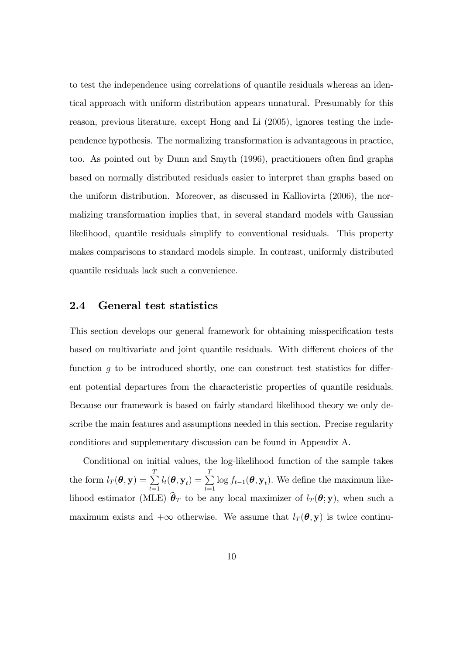to test the independence using correlations of quantile residuals whereas an identical approach with uniform distribution appears unnatural. Presumably for this reason, previous literature, except Hong and Li (2005), ignores testing the independence hypothesis. The normalizing transformation is advantageous in practice, too. As pointed out by Dunn and Smyth (1996), practitioners often find graphs based on normally distributed residuals easier to interpret than graphs based on the uniform distribution. Moreover, as discussed in Kalliovirta (2006), the normalizing transformation implies that, in several standard models with Gaussian likelihood, quantile residuals simplify to conventional residuals. This property makes comparisons to standard models simple. In contrast, uniformly distributed quantile residuals lack such a convenience.

### 2.4 General test statistics

This section develops our general framework for obtaining misspecification tests based on multivariate and joint quantile residuals. With different choices of the function  $g$  to be introduced shortly, one can construct test statistics for different potential departures from the characteristic properties of quantile residuals. Because our framework is based on fairly standard likelihood theory we only describe the main features and assumptions needed in this section. Precise regularity conditions and supplementary discussion can be found in Appendix A.

Conditional on initial values, the log-likelihood function of the sample takes the form  $l_T(\boldsymbol{\theta}, \mathbf{y}) = \sum^T$  $\sum\limits_{t=1}^T l_t(\boldsymbol{\theta}, \mathbf{y}_t) = \sum\limits_{t=1}^T$  $\sum_{t=1} \log f_{t-1}(\boldsymbol{\theta}, \mathbf{y}_t)$ . We define the maximum likelihood estimator (MLE)  $\hat{\theta}_T$  to be any local maximizer of  $l_T(\theta; y)$ , when such a maximum exists and  $+\infty$  otherwise. We assume that  $l_T(\theta, y)$  is twice continu-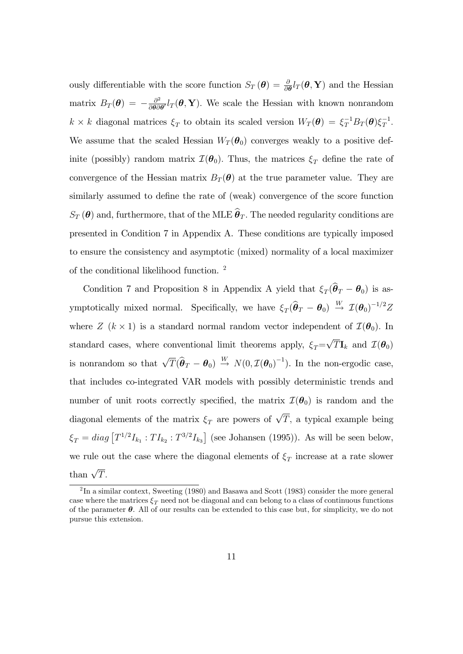ously differentiable with the score function  $S_T(\theta) = \frac{\partial}{\partial \theta} l_T(\theta, \mathbf{Y})$  and the Hessian matrix  $B_T(\boldsymbol{\theta}) = -\frac{\partial^2}{\partial \boldsymbol{\theta} \partial \boldsymbol{\theta}}$  $\frac{\partial^2}{\partial \theta \partial \theta'} l_T(\theta, \mathbf{Y})$ . We scale the Hessian with known nonrandom  $k \times k$  diagonal matrices  $\xi_T$  to obtain its scaled version  $W_T(\theta) = \xi_T^{-1} B_T(\theta) \xi_T^{-1}$ . We assume that the scaled Hessian  $W_T(\theta_0)$  converges weakly to a positive definite (possibly) random matrix  $\mathcal{I}(\theta_0)$ . Thus, the matrices  $\xi_T$  define the rate of convergence of the Hessian matrix  $B_T(\theta)$  at the true parameter value. They are similarly assumed to define the rate of (weak) convergence of the score function  $S_T(\theta)$  and, furthermore, that of the MLE  $\widehat{\theta}_T$ . The needed regularity conditions are presented in Condition 7 in Appendix A. These conditions are typically imposed to ensure the consistency and asymptotic (mixed) normality of a local maximizer of the conditional likelihood function. <sup>2</sup>

Condition 7 and Proposition 8 in Appendix A yield that  $\xi_T(\theta_T - \theta_0)$  is asymptotically mixed normal. Specifically, we have  $\xi_T(\hat{\theta}_T - \theta_0) \stackrel{W}{\rightarrow} \mathcal{I}(\theta_0)^{-1/2}Z$ where  $Z$  ( $k \times 1$ ) is a standard normal random vector independent of  $\mathcal{I}(\boldsymbol{\theta}_0)$ . In standard cases, where conventional limit theorems apply,  $\xi_T = \sqrt{T} \mathbf{I}_k$  and  $\mathcal{I}(\boldsymbol{\theta}_0)$ is nonrandom so that  $\sqrt{T}(\hat{\theta}_T - \theta_0) \stackrel{W}{\rightarrow} N(0, \mathcal{I}(\theta_0)^{-1})$ . In the non-ergodic case, that includes co-integrated VAR models with possibly deterministic trends and number of unit roots correctly specified, the matrix  $\mathcal{I}(\theta_0)$  is random and the diagonal elements of the matrix  $\xi_T$  are powers of  $\sqrt{T}$ , a typical example being  $\xi_T = diag \left[ T^{1/2} I_{k_1} : TI_{k_2} : T^{3/2} I_{k_3} \right]$  (see Johansen (1995)). As will be seen below, we rule out the case where the diagonal elements of  $\xi_T$  increase at a rate slower than  $\sqrt{T}$ .

 ${}^{2}\text{In a similar context, Sweeting (1980) and Basawa and Scott (1983) consider the more general$ case where the matrices  $\xi_T$  need not be diagonal and can belong to a class of continuous functions of the parameter  $\theta$ . All of our results can be extended to this case but, for simplicity, we do not pursue this extension.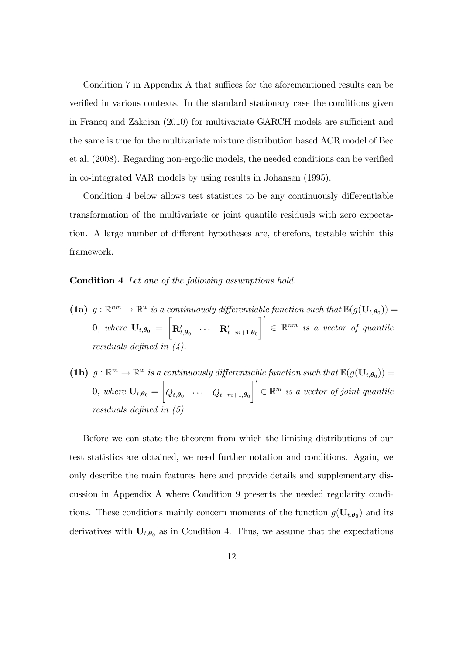Condition 7 in Appendix A that suffices for the aforementioned results can be verified in various contexts. In the standard stationary case the conditions given in Francq and Zakoian (2010) for multivariate GARCH models are sufficient and the same is true for the multivariate mixture distribution based ACR model of Bec et al. (2008). Regarding non-ergodic models, the needed conditions can be verified in co-integrated VAR models by using results in Johansen (1995).

Condition 4 below allows test statistics to be any continuously differentiable transformation of the multivariate or joint quantile residuals with zero expectation. A large number of different hypotheses are, therefore, testable within this framework.

#### Condition 4 Let one of the following assumptions hold.

- (1a)  $g: \mathbb{R}^{nm} \to \mathbb{R}^w$  is a continuously differentiable function such that  $\mathbb{E}(g(\mathbf{U}_{t,\theta_0})) =$ 0, where  $U_{t,\theta_0} =$  $\sqrt{ }$  $\mathbf{R}_{t,\boldsymbol{\theta}_0}'$   $\cdots$   $\mathbf{R}_{t-m+1,\boldsymbol{\theta}_0}'$  $\overline{\ }$  $\in \mathbb{R}^{nm}$  is a vector of quantile residuals defined in  $(4)$ .
- (1b)  $g: \mathbb{R}^m \to \mathbb{R}^w$  is a continuously differentiable function such that  $\mathbb{E}(g(\mathbf{U}_{t,\theta_0})) =$ **0**, where  $U_{t,\theta_0} =$  $\sqrt{ }$  $Q_{t,\boldsymbol{\theta}_0}$  ...  $Q_{t-m+1,\boldsymbol{\theta}_0}$  $\mathcal{I}'$  $\in \mathbb{R}^m$  is a vector of joint quantile residuals defined in  $(5)$ .

Before we can state the theorem from which the limiting distributions of our test statistics are obtained, we need further notation and conditions. Again, we only describe the main features here and provide details and supplementary discussion in Appendix A where Condition 9 presents the needed regularity conditions. These conditions mainly concern moments of the function  $g(\mathbf{U}_{t,\theta_0})$  and its derivatives with  $U_{t,\theta_0}$  as in Condition 4. Thus, we assume that the expectations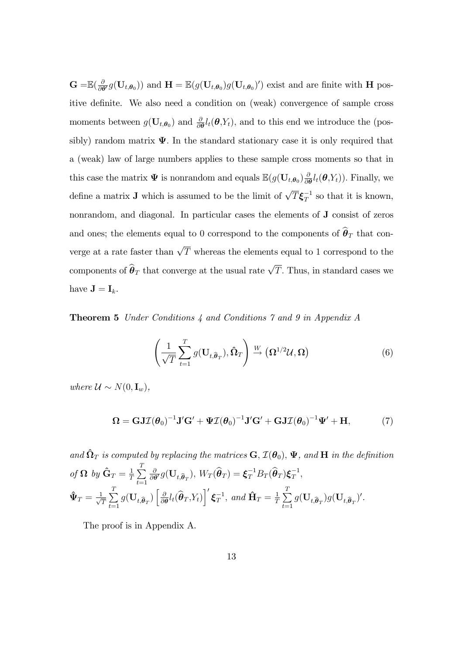$\mathbf{G=}\mathbb{E}(\frac{\partial}{\partial\boldsymbol{\theta}}% )\mathbb{E}(\frac{\partial}{\partial\boldsymbol{\theta}}% )=\mathbb{E}(\frac{\partial}{\partial\boldsymbol{\theta}}% )\mathbb{E}(\boldsymbol{\theta})$  $\frac{\partial}{\partial \theta'} g(\mathbf{U}_{t,\theta_0})$  and  $\mathbf{H} = \mathbb{E}(g(\mathbf{U}_{t,\theta_0})g(\mathbf{U}_{t,\theta_0})')$  exist and are finite with  $\mathbf{H}$  positive definite. We also need a condition on (weak) convergence of sample cross moments between  $g(\mathbf{U}_{t,\theta_0})$  and  $\frac{\partial}{\partial \theta} l_t(\theta, Y_t)$ , and to this end we introduce the (possibly) random matrix  $\Psi$ . In the standard stationary case it is only required that a (weak) law of large numbers applies to these sample cross moments so that in this case the matrix  $\Psi$  is nonrandom and equals  $\mathbb{E}(g(\mathbf{U}_{t,\theta_0})\frac{\partial}{\partial t})$  $\frac{\partial}{\partial \boldsymbol{\theta}}l_t(\boldsymbol{\theta},Y_t)$ ). Finally, we define a matrix **J** which is assumed to be the limit of  $\sqrt{T} \boldsymbol{\xi}_T^{-1}$  so that it is known, nonrandom, and diagonal. In particular cases the elements of J consist of zeros and ones; the elements equal to 0 correspond to the components of  $\hat{\theta}_T$  that converge at a rate faster than  $\sqrt{T}$  whereas the elements equal to 1 correspond to the components of  $\widehat{\boldsymbol{\theta}}_T$  that converge at the usual rate  $\sqrt{T}$ . Thus, in standard cases we have  $\mathbf{J} = \mathbf{I}_k$ .

Theorem 5 Under Conditions 4 and Conditions 7 and 9 in Appendix A

$$
\left(\frac{1}{\sqrt{T}}\sum_{t=1}^{T}g(\mathbf{U}_{t,\widehat{\boldsymbol{\theta}}_{T}}),\widehat{\boldsymbol{\Omega}}_{T}\right)\stackrel{W}{\rightarrow}\left(\boldsymbol{\Omega}^{1/2}\mathcal{U},\boldsymbol{\Omega}\right)
$$
(6)

where  $\mathcal{U} \sim N(0, \mathbf{I}_{w}).$ 

$$
\Omega = \mathbf{GJ\mathcal{I}}(\boldsymbol{\theta}_0)^{-1}\mathbf{J'}\mathbf{G'} + \boldsymbol{\Psi}\mathcal{I}(\boldsymbol{\theta}_0)^{-1}\mathbf{J'}\mathbf{G'} + \mathbf{GJ\mathcal{I}}(\boldsymbol{\theta}_0)^{-1}\boldsymbol{\Psi'} + \mathbf{H},
$$
\n(7)

and  $\hat{\Omega}_T$  is computed by replacing the matrices  $\mathbf{G}, \mathcal{I}(\theta_0), \Psi$ , and  $\mathbf{H}$  in the definition of  $\Omega$  by  $\hat{\mathbf{G}}_T = \frac{1}{7}$  $\frac{1}{T}$  $\sum_{i=1}^{T}$  $t=1$  $\delta$  $\frac{\partial}{\partial \theta'} g(\mathbf{U}_{t,\widehat{\boldsymbol{\theta}}_T}),\, W_T(\widehat{\boldsymbol{\theta}}_T) = \boldsymbol{\xi}_T^{-1} B_T(\widehat{\boldsymbol{\theta}}_T) \boldsymbol{\xi}_T^{-1},$  $\hat{\Psi}_T = \frac{1}{\sqrt{2}}$  $\frac{T}{T} \sum_{i=1}^{T}$  $\sum\limits_{t=1}^T g(\mathbf{U}_{t,\widehat{\boldsymbol{\theta}}_T}) \left[ \frac{\delta}{\partial \boldsymbol{\theta}} \right]$  $\frac{\partial}{\partial \boldsymbol{\theta}}l_t(\widehat{\boldsymbol{\theta}}_T, Y_t)\bigg]^{\prime}\boldsymbol{\xi}^{-1}_T, \ and \ \mathbf{\hat{H}}_T = \frac{1}{T}$  $\frac{1}{T} \sum_{i=1}^{T}$  $\sum_{t=1}^{\infty} g(\mathbf{U}_{t,\widehat{\boldsymbol{\theta}}_T}) g(\mathbf{U}_{t,\widehat{\boldsymbol{\theta}}_T})'.$ 

The proof is in Appendix A.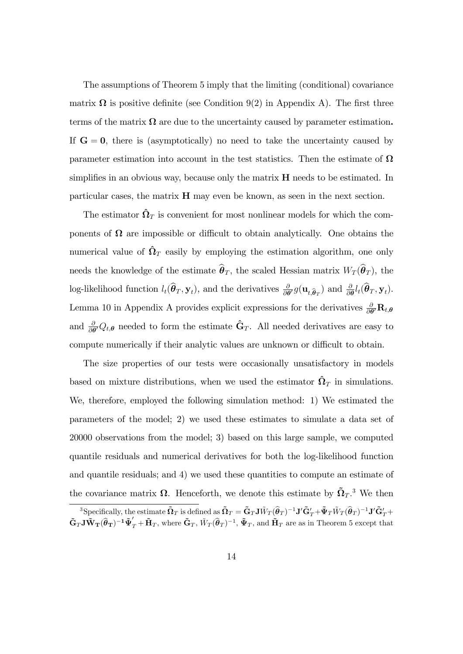The assumptions of Theorem 5 imply that the limiting (conditional) covariance matrix  $\Omega$  is positive definite (see Condition 9(2) in Appendix A). The first three terms of the matrix  $\Omega$  are due to the uncertainty caused by parameter estimation. If  $G = 0$ , there is (asymptotically) no need to take the uncertainty caused by parameter estimation into account in the test statistics. Then the estimate of  $\Omega$ simplifies in an obvious way, because only the matrix  $H$  needs to be estimated. In particular cases, the matrix H may even be known, as seen in the next section.

The estimator  $\hat{\Omega}_T$  is convenient for most nonlinear models for which the components of  $\Omega$  are impossible or difficult to obtain analytically. One obtains the numerical value of  $\hat{\Omega}_T$  easily by employing the estimation algorithm, one only needs the knowledge of the estimate  $\widehat{\theta}_T$ , the scaled Hessian matrix  $W_T (\widehat{\theta}_T)$ , the log-likelihood function  $l_t(\hat{\theta}_T, \mathbf{y}_t)$ , and the derivatives  $\frac{\partial}{\partial \theta'} g(\mathbf{u}_{t,\hat{\theta}_T})$  and  $\frac{\partial}{\partial \theta} l_t(\hat{\theta}_T, \mathbf{y}_t)$ . Lemma 10 in Appendix A provides explicit expressions for the derivatives  $\frac{\partial}{\partial \theta'} \mathbf{R}_{t,\theta}$ and  $\frac{\partial}{\partial \theta'} Q_{t,\theta}$  needed to form the estimate  $\hat{\mathbf{G}}_T$ . All needed derivatives are easy to compute numerically if their analytic values are unknown or difficult to obtain.

The size properties of our tests were occasionally unsatisfactory in models based on mixture distributions, when we used the estimator  $\hat{\Omega}_T$  in simulations. We, therefore, employed the following simulation method: 1) We estimated the parameters of the model; 2) we used these estimates to simulate a data set of 20000 observations from the model; 3) based on this large sample, we computed quantile residuals and numerical derivatives for both the log-likelihood function and quantile residuals; and 4) we used these quantities to compute an estimate of the covariance matrix  $\Omega$ . Henceforth, we denote this estimate by  $\tilde{\Omega}_T$ .<sup>3</sup> We then

 $^3$ Specifically, the estimate  $\mathbf{\tilde{\Omega}}_T$  is defined as  $\mathbf{\tilde{\Omega}}_T = \mathbf{\tilde{G}}_T \mathbf{J} \tilde{W}_T (\widehat{\boldsymbol{\theta}}_T)^{-1} \mathbf{J}' \mathbf{\tilde{G}}_T' + \mathbf{\tilde{\Psi}}_T \tilde{W}_T (\widehat{\boldsymbol{\theta}}_T)^{-1} \mathbf{J}' \mathbf{\tilde{G}}_T' +$  $\tilde{\mathbf{G}}_T \mathbf{J} \tilde{\mathbf{W}}_{\mathbf{T}} (\hat{\boldsymbol{\theta}}_{\mathbf{T}})^{-1} \tilde{\mathbf{\Psi}}_T' + \tilde{\mathbf{H}}_T$ , where  $\tilde{\mathbf{G}}_T$ ,  $\tilde{W}_T (\hat{\boldsymbol{\theta}}_T)^{-1}$ ,  $\tilde{\mathbf{\Psi}}_T$ , and  $\tilde{\mathbf{H}}_T$  are as in Theorem 5 except that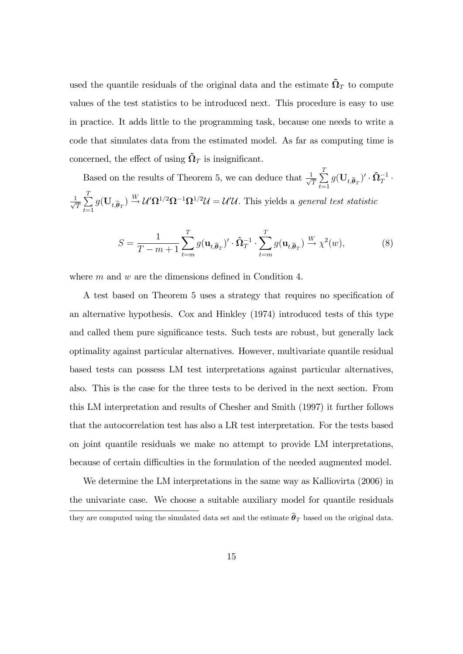used the quantile residuals of the original data and the estimate  $\tilde{\Omega}_T$  to compute values of the test statistics to be introduced next. This procedure is easy to use in practice. It adds little to the programming task, because one needs to write a code that simulates data from the estimated model. As far as computing time is concerned, the effect of using  $\tilde{\Omega}_T$  is insignificant.

Based on the results of Theorem 5, we can deduce that  $\frac{1}{\sqrt{2}}$  $\frac{1}{T} \sum_{t=1}^{T}$  $\sum_{t=1}^{n} g(\mathbf{U}_{t,\widehat{\boldsymbol{\theta}}_T})' \cdot \widehat{\mathbf{\Omega}}_T^{-1} \cdot$  $\frac{1}{\sqrt{2}}$  $\frac{1}{T} \sum_{t=1}^{T}$  $\sum_{t=1}^{T} g(\mathbf{U}_{t,\widehat{\boldsymbol{\theta}}_T}) \stackrel{W}{\rightarrow} \mathcal{U}' \mathbf{\Omega}^{1/2} \mathbf{\Omega}^{-1} \mathbf{\Omega}^{1/2} \mathcal{U} = \mathcal{U}' \mathcal{U}$ . This yields a *general test statistic* 

$$
S = \frac{1}{T - m + 1} \sum_{t=m}^{T} g(\mathbf{u}_{t,\widehat{\boldsymbol{\theta}}_T})' \cdot \widehat{\boldsymbol{\Omega}}_T^{-1} \cdot \sum_{t=m}^{T} g(\mathbf{u}_{t,\widehat{\boldsymbol{\theta}}_T}) \xrightarrow{W} \chi^2(w), \tag{8}
$$

where  $m$  and  $w$  are the dimensions defined in Condition 4.

A test based on Theorem 5 uses a strategy that requires no specification of an alternative hypothesis. Cox and Hinkley (1974) introduced tests of this type and called them pure significance tests. Such tests are robust, but generally lack optimality against particular alternatives. However, multivariate quantile residual based tests can possess LM test interpretations against particular alternatives, also. This is the case for the three tests to be derived in the next section. From this LM interpretation and results of Chesher and Smith (1997) it further follows that the autocorrelation test has also a LR test interpretation. For the tests based on joint quantile residuals we make no attempt to provide LM interpretations, because of certain difficulties in the formulation of the needed augmented model.

We determine the LM interpretations in the same way as Kalliovirta (2006) in the univariate case. We choose a suitable auxiliary model for quantile residuals they are computed using the simulated data set and the estimate  $\widehat{\theta}_T$  based on the original data.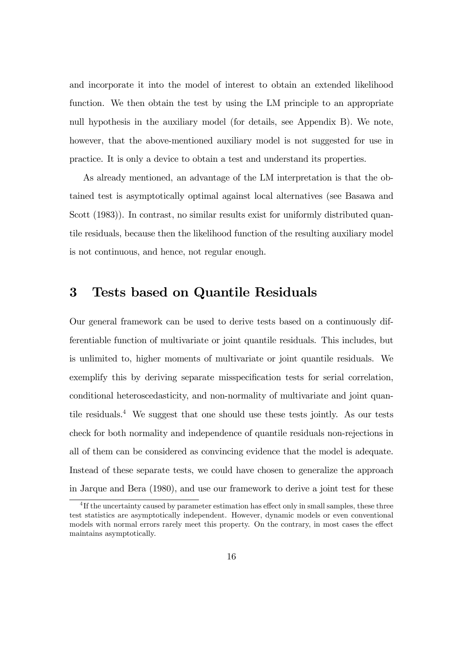and incorporate it into the model of interest to obtain an extended likelihood function. We then obtain the test by using the LM principle to an appropriate null hypothesis in the auxiliary model (for details, see Appendix B). We note, however, that the above-mentioned auxiliary model is not suggested for use in practice. It is only a device to obtain a test and understand its properties.

As already mentioned, an advantage of the LM interpretation is that the obtained test is asymptotically optimal against local alternatives (see Basawa and Scott (1983)). In contrast, no similar results exist for uniformly distributed quantile residuals, because then the likelihood function of the resulting auxiliary model is not continuous, and hence, not regular enough.

# 3 Tests based on Quantile Residuals

Our general framework can be used to derive tests based on a continuously differentiable function of multivariate or joint quantile residuals. This includes, but is unlimited to, higher moments of multivariate or joint quantile residuals. We exemplify this by deriving separate misspecification tests for serial correlation, conditional heteroscedasticity, and non-normality of multivariate and joint quantile residuals.<sup>4</sup> We suggest that one should use these tests jointly. As our tests check for both normality and independence of quantile residuals non-rejections in all of them can be considered as convincing evidence that the model is adequate. Instead of these separate tests, we could have chosen to generalize the approach in Jarque and Bera (1980), and use our framework to derive a joint test for these

 ${}^{4}$ If the uncertainty caused by parameter estimation has effect only in small samples, these three test statistics are asymptotically independent. However, dynamic models or even conventional models with normal errors rarely meet this property. On the contrary, in most cases the effect maintains asymptotically.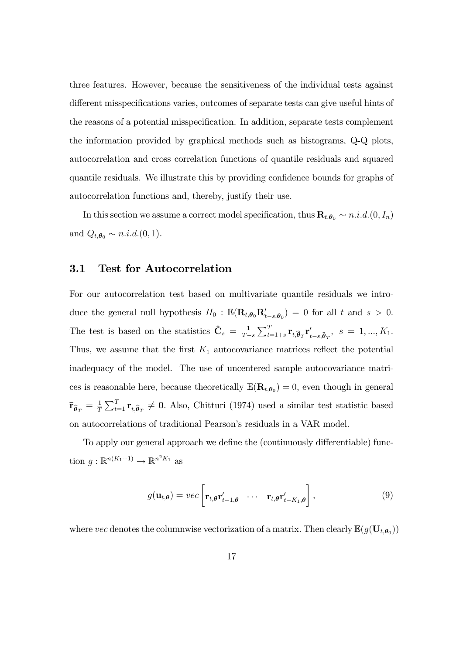three features. However, because the sensitiveness of the individual tests against different misspecifications varies, outcomes of separate tests can give useful hints of the reasons of a potential misspecification. In addition, separate tests complement the information provided by graphical methods such as histograms, Q-Q plots, autocorrelation and cross correlation functions of quantile residuals and squared quantile residuals. We illustrate this by providing confidence bounds for graphs of autocorrelation functions and, thereby, justify their use.

In this section we assume a correct model specification, thus  $\mathbf{R}_{t,\theta_0} \sim n.i.d. (0, I_n)$ and  $Q_{t,\theta_0} \sim n.i.d.(0,1)$ .

## 3.1 Test for Autocorrelation

For our autocorrelation test based on multivariate quantile residuals we introduce the general null hypothesis  $H_0$ :  $\mathbb{E}(\mathbf{R}_{t,\theta_0}\mathbf{R}_{t-s,\theta_0}') = 0$  for all t and  $s > 0$ . The test is based on the statistics  $\hat{\mathbf{C}}_s = \frac{1}{T}$  $T-s$  $\sum_{t=1+s}^T \mathbf{r}_{t,\widehat{\boldsymbol{\theta}}_T} \mathbf{r}'_{t-s,\widehat{\boldsymbol{\theta}}_T}, \ \ s \ = \ 1,...,K_1.$ Thus, we assume that the first  $K_1$  autocovariance matrices reflect the potential inadequacy of the model. The use of uncentered sample autocovariance matrices is reasonable here, because theoretically  $\mathbb{E}(\mathbf{R}_{t,\theta_0})=0$ , even though in general  $\mathbf{\bar{r}}_{\widehat{\boldsymbol{\theta}}_T} = \frac{1}{T}$  $\frac{1}{T} \sum_{t=1}^{T} \mathbf{r}_{t,\widehat{\theta}_{T}} \neq \mathbf{0}$ . Also, Chitturi (1974) used a similar test statistic based on autocorrelations of traditional Pearson's residuals in a VAR model.

To apply our general approach we define the (continuously differentiable) function  $g: \mathbb{R}^{n(K_1+1)} \to \mathbb{R}^{n^2 K_1}$  as

$$
g(\mathbf{u}_{t,\theta}) = vec\left[\mathbf{r}_{t,\theta} \mathbf{r}'_{t-1,\theta} \quad \cdots \quad \mathbf{r}_{t,\theta} \mathbf{r}'_{t-K_1,\theta}\right],
$$
\n(9)

where vec denotes the columnwise vectorization of a matrix. Then clearly  $\mathbb{E}(g(\mathbf{U}_{t,\theta_0}))$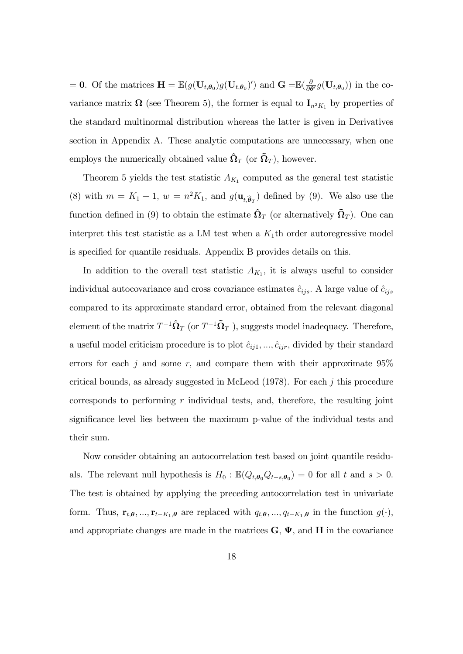= 0. Of the matrices  $\mathbf{H} = \mathbb{E}(g(\mathbf{U}_{t,\theta_0})g(\mathbf{U}_{t,\theta_0})')$  and  $\mathbf{G} = \mathbb{E}(\frac{\partial}{\partial \theta_0}g(\mathbf{U}_{t,\theta_0})')$  $\frac{\partial}{\partial \theta'} g(\mathbf{U}_{t,\theta_0})$  in the covariance matrix  $\Omega$  (see Theorem 5), the former is equal to  $I_{n^2K_1}$  by properties of the standard multinormal distribution whereas the latter is given in Derivatives section in Appendix A. These analytic computations are unnecessary, when one employs the numerically obtained value  $\hat{\Omega}_T$  (or  $\tilde{\Omega}_T$ ), however.

Theorem 5 yields the test statistic  $A_{K_1}$  computed as the general test statistic (8) with  $m = K_1 + 1$ ,  $w = n^2 K_1$ , and  $g(\mathbf{u}_{t, \hat{\theta}_T})$  defined by (9). We also use the function defined in (9) to obtain the estimate  $\hat{\Omega}_T$  (or alternatively  $\tilde{\Omega}_T$ ). One can interpret this test statistic as a LM test when a  $K_1$ th order autoregressive model is specified for quantile residuals. Appendix B provides details on this.

In addition to the overall test statistic  $A_{K_1}$ , it is always useful to consider individual autocovariance and cross covariance estimates  $\hat{c}_{ijs}$ . A large value of  $\hat{c}_{ijs}$ compared to its approximate standard error, obtained from the relevant diagonal element of the matrix  $T^{-1} \hat{\Omega}_T$  (or  $T^{-1} \tilde{\Omega}_T$  ), suggests model inadequacy. Therefore, a useful model criticism procedure is to plot  $\hat{c}_{ij1}, \ldots, \hat{c}_{ijr}$ , divided by their standard errors for each j and some r, and compare them with their approximate  $95\%$ critical bounds, as already suggested in McLeod  $(1978)$ . For each j this procedure corresponds to performing  $r$  individual tests, and, therefore, the resulting joint significance level lies between the maximum p-value of the individual tests and their sum.

Now consider obtaining an autocorrelation test based on joint quantile residuals. The relevant null hypothesis is  $H_0$ :  $\mathbb{E}(Q_{t,\theta_0}Q_{t-s,\theta_0}) = 0$  for all t and  $s > 0$ . The test is obtained by applying the preceding autocorrelation test in univariate form. Thus,  $\mathbf{r}_{t,\theta},...,\mathbf{r}_{t-K_1,\theta}$  are replaced with  $q_{t,\theta},...,q_{t-K_1,\theta}$  in the function  $g(\cdot),$ and appropriate changes are made in the matrices  $\mathbf{G}, \mathbf{\Psi}$ , and  $\mathbf{H}$  in the covariance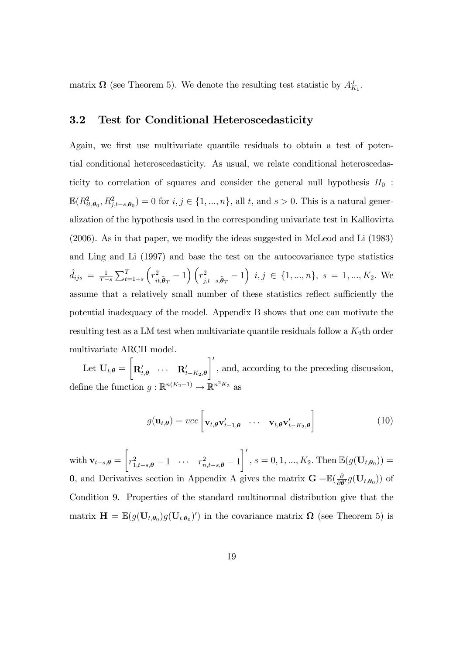matrix  $\Omega$  (see Theorem 5). We denote the resulting test statistic by  $A_{K_1}^J$ .

## 3.2 Test for Conditional Heteroscedasticity

Again, we first use multivariate quantile residuals to obtain a test of potential conditional heteroscedasticity. As usual, we relate conditional heteroscedasticity to correlation of squares and consider the general null hypothesis  $H_0$ :  $\mathbb{E}(R^2_{it,\theta_0}, R^2_{j,t-s,\theta_0}) = 0$  for  $i, j \in \{1, ..., n\}$ , all t, and  $s > 0$ . This is a natural generalization of the hypothesis used in the corresponding univariate test in Kalliovirta (2006). As in that paper, we modify the ideas suggested in McLeod and Li (1983) and Ling and Li (1997) and base the test on the autocovariance type statistics  $\hat{d}_{ijs} = \frac{1}{T}$  $T-s$  $\sum_{t=1+s}^{T}$  $\left(r_{\rm L}^2\right)$  $\binom{2}{it \theta}$  - 1)  $\left(r_j^2\right)$  $\left(\begin{matrix}2\ i,j,s,\widehat{\theta}_T-1\end{matrix}\right)$   $i,j \in \{1,...,n\}, s = 1,...,K_2$ . We assume that a relatively small number of these statistics reflect sufficiently the potential inadequacy of the model. Appendix B shows that one can motivate the resulting test as a LM test when multivariate quantile residuals follow a  $K_2$ th order multivariate ARCH model.

Let  $\mathbf{U}_{t,\boldsymbol{\theta}} =$  $\sqrt{ }$  $\mathbf{R}_{t,\boldsymbol{\theta}}^{\prime} \quad \cdots \quad \mathbf{R}_{t-K_2,\boldsymbol{\theta}}^{\prime}$  $\lceil$ ; and, according to the preceding discussion, define the function  $g: \mathbb{R}^{n(K_2+1)} \to \mathbb{R}^{n^2 K_2}$  as

$$
g(\mathbf{u}_{t,\theta}) = vec\begin{bmatrix} \mathbf{v}_{t,\theta} \mathbf{v}'_{t-1,\theta} & \cdots & \mathbf{v}_{t,\theta} \mathbf{v}'_{t-K_2,\theta} \end{bmatrix}
$$
(10)

with  $\mathbf{v}_{t-s,\boldsymbol{\theta}} =$  $\sqrt{ }$  $r^2_{1,t-s,\theta} - 1 \quad \cdots \quad r^2_{n,t-s,\theta} - 1$  $\mathcal{I}'$  $i, s = 0, 1, ..., K_2$ . Then  $\mathbb{E}(g(\mathbf{U}_{t, \theta_0})) =$ 0, and Derivatives section in Appendix A gives the matrix  $\mathbf{G} = \mathbb{E}(\frac{\delta}{\partial \theta})$  $\frac{\partial}{\partial \boldsymbol{\theta}'} g(\mathbf{U}_{t,\boldsymbol{\theta}_0})$  of Condition 9. Properties of the standard multinormal distribution give that the matrix  $\mathbf{H} = \mathbb{E}(g(\mathbf{U}_{t,\theta_0})g(\mathbf{U}_{t,\theta_0})')$  in the covariance matrix  $\mathbf{\Omega}$  (see Theorem 5) is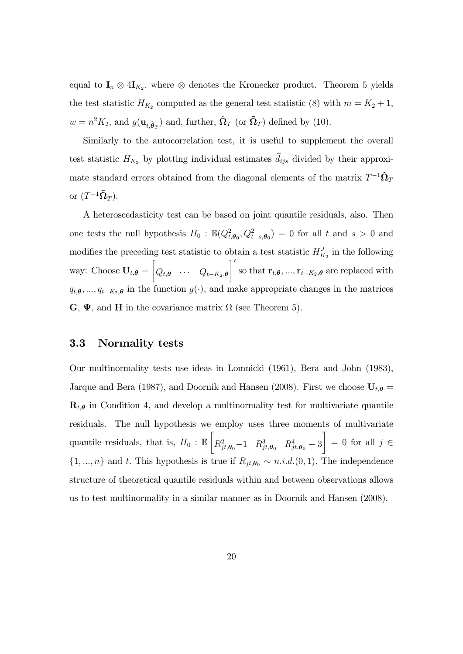equal to  $I_n \otimes 4I_{K_2}$ , where  $\otimes$  denotes the Kronecker product. Theorem 5 yields the test statistic  $H_{K_2}$  computed as the general test statistic (8) with  $m = K_2 + 1$ ,  $w = n^2 K_2$ , and  $g(\mathbf{u}_{t, \widehat{\boldsymbol{\theta}}_T})$  and, further,  $\widehat{\mathbf{\Omega}}_T$  (or  $\widetilde{\mathbf{\Omega}}_T$ ) defined by (10).

Similarly to the autocorrelation test, it is useful to supplement the overall test statistic  $H_{K_2}$  by plotting individual estimates  $\hat{d}_{ijs}$  divided by their approximate standard errors obtained from the diagonal elements of the matrix  $T^{-1} \hat{\Omega}_T$ or  $(T^{-1} \tilde{\Omega}_T)$ .

A heteroscedasticity test can be based on joint quantile residuals, also. Then one tests the null hypothesis  $H_0$ :  $\mathbb{E}(Q_{t,\theta_0}^2, Q_{t-s,\theta_0}^2) = 0$  for all t and  $s > 0$  and modifies the preceding test statistic to obtain a test statistic  $H_{K_2}^J$  in the following way: Choose  $U_{t,\theta} =$  $\sqrt{ }$  $Q_{t,\boldsymbol{\theta}} \quad \cdots \quad Q_{t-K_2,\boldsymbol{\theta}}$  $\lceil$ so that  $\mathbf{r}_{t,\theta}, ..., \mathbf{r}_{t-K_2,\theta}$  are replaced with  $q_{t,\theta},..., q_{t-K_2,\theta}$  in the function  $g(\cdot)$ , and make appropriate changes in the matrices  $\mathbf{G}, \Psi$ , and **H** in the covariance matrix  $\Omega$  (see Theorem 5).

# 3.3 Normality tests

Our multinormality tests use ideas in Lomnicki (1961), Bera and John (1983), Jarque and Bera (1987), and Doornik and Hansen (2008). First we choose  $U_{t,\theta} =$  $\mathbf{R}_{t,\theta}$  in Condition 4, and develop a multinormality test for multivariate quantile residuals. The null hypothesis we employ uses three moments of multivariate quantile residuals, that is,  $H_0$ :  $\mathbb E$  $\sqrt{ }$  $R_{jt, \theta_0}^2 - 1 \quad R_{jt, \theta_0}^3 \quad R_{jt, \theta_0}^4 - 3$ 1  $= 0$  for all  $j \in$  $\{1, ..., n\}$  and t. This hypothesis is true if  $R_{jt,\theta_0} \sim n.i.d.$  (0, 1). The independence structure of theoretical quantile residuals within and between observations allows us to test multinormality in a similar manner as in Doornik and Hansen (2008).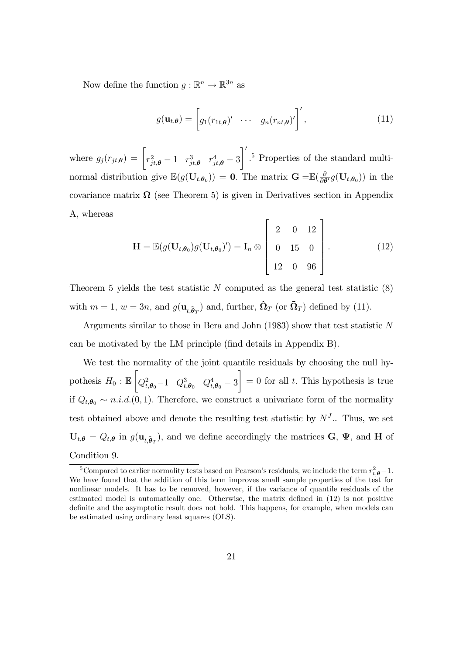Now define the function  $g : \mathbb{R}^n \to \mathbb{R}^{3n}$  as

$$
g(\mathbf{u}_{t,\boldsymbol{\theta}}) = \begin{bmatrix} g_1(r_{1t,\boldsymbol{\theta}}) & \cdots & g_n(r_{nt,\boldsymbol{\theta}})' \end{bmatrix}', \qquad (11)
$$

where  $g_j(r_{jt,\theta}) = \begin{bmatrix} r_{jt,\theta}^2 - 1 & r_{jt,\theta}^3 & r_{jt,\theta}^4 - 3 \end{bmatrix}$  $\mathcal{I}'$ : <sup>5</sup> Properties of the standard multinormal distribution give  $\mathbb{E}(g(\mathbf{U}_{t,\theta_0})) = \mathbf{0}$ . The matrix  $\mathbf{G} = \mathbb{E}(\frac{\partial}{\partial \theta_0})$  $\frac{\partial}{\partial \boldsymbol{\theta}'} g(\mathbf{U}_{t,\boldsymbol{\theta}_0})$  in the covariance matrix  $\Omega$  (see Theorem 5) is given in Derivatives section in Appendix A, whereas

$$
\mathbf{H} = \mathbb{E}(g(\mathbf{U}_{t,\theta_0})g(\mathbf{U}_{t,\theta_0})') = \mathbf{I}_n \otimes \begin{bmatrix} 2 & 0 & 12 \\ 0 & 15 & 0 \\ 12 & 0 & 96 \end{bmatrix}.
$$
 (12)

Theorem 5 yields the test statistic  $N$  computed as the general test statistic  $(8)$ with  $m = 1$ ,  $w = 3n$ , and  $g(\mathbf{u}_{t,\widehat{\boldsymbol{\theta}}_T})$  and, further,  $\widehat{\mathbf{\Omega}}_T$  (or  $\widetilde{\mathbf{\Omega}}_T$ ) defined by (11).

Arguments similar to those in Bera and John (1983) show that test statistic N can be motivated by the LM principle (find details in Appendix B).

We test the normality of the joint quantile residuals by choosing the null hypothesis  $H_0: \mathbb{E}$  $\sqrt{ }$  $Q_{t,\theta_0}^2 - 1 \quad Q_{t,\theta_0}^3 \quad Q_{t,\theta_0}^4 - 3$ 1  $= 0$  for all t. This hypothesis is true if  $Q_{t,\theta_0} \sim n.i.d.$  (0, 1). Therefore, we construct a univariate form of the normality test obtained above and denote the resulting test statistic by  $N<sup>J</sup>$ . Thus, we set  $U_{t,\theta} = Q_{t,\theta}$  in  $g(\mathbf{u}_{t,\widehat{\theta}_T})$ , and we define accordingly the matrices  $\mathbf{G}, \Psi$ , and **H** of Condition 9.

<sup>&</sup>lt;sup>5</sup>Compared to earlier normality tests based on Pearson's residuals, we include the term  $r_{t,\theta}^2 - 1$ . We have found that the addition of this term improves small sample properties of the test for nonlinear models. It has to be removed, however, if the variance of quantile residuals of the estimated model is automatically one. Otherwise, the matrix defined in  $(12)$  is not positive definite and the asymptotic result does not hold. This happens, for example, when models can be estimated using ordinary least squares (OLS).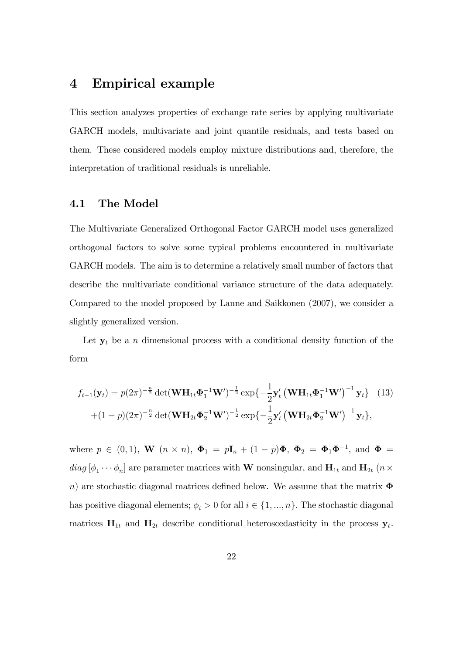# 4 Empirical example

This section analyzes properties of exchange rate series by applying multivariate GARCH models, multivariate and joint quantile residuals, and tests based on them. These considered models employ mixture distributions and, therefore, the interpretation of traditional residuals is unreliable.

# 4.1 The Model

The Multivariate Generalized Orthogonal Factor GARCH model uses generalized orthogonal factors to solve some typical problems encountered in multivariate GARCH models. The aim is to determine a relatively small number of factors that describe the multivariate conditional variance structure of the data adequately. Compared to the model proposed by Lanne and Saikkonen (2007), we consider a slightly generalized version.

Let  $y_t$  be a n dimensional process with a conditional density function of the form

$$
f_{t-1}(\mathbf{y}_t) = p(2\pi)^{-\frac{n}{2}} \det(\mathbf{W} \mathbf{H}_{1t} \mathbf{\Phi}_1^{-1} \mathbf{W}')^{-\frac{1}{2}} \exp\{-\frac{1}{2} \mathbf{y}'_t (\mathbf{W} \mathbf{H}_{1t} \mathbf{\Phi}_1^{-1} \mathbf{W}')^{-1} \mathbf{y}_t\} (13) + (1-p)(2\pi)^{-\frac{n}{2}} \det(\mathbf{W} \mathbf{H}_{2t} \mathbf{\Phi}_2^{-1} \mathbf{W}')^{-\frac{1}{2}} \exp\{-\frac{1}{2} \mathbf{y}'_t (\mathbf{W} \mathbf{H}_{2t} \mathbf{\Phi}_2^{-1} \mathbf{W}')^{-1} \mathbf{y}_t\},
$$

where  $p \in (0, 1)$ , **W**  $(n \times n)$ ,  $\Phi_1 = p\mathbf{I}_n + (1 - p)\Phi$ ,  $\Phi_2 = \Phi_1 \Phi^{-1}$ , and  $\Phi =$  $diag[\phi_1 \cdots \phi_n]$  are parameter matrices with W nonsingular, and  $H_{1t}$  and  $H_{2t}$   $(n \times$ n) are stochastic diagonal matrices defined below. We assume that the matrix  $\Phi$ has positive diagonal elements;  $\phi_i > 0$  for all  $i \in \{1, ..., n\}$ . The stochastic diagonal matrices  $H_{1t}$  and  $H_{2t}$  describe conditional heteroscedasticity in the process  $y_t$ .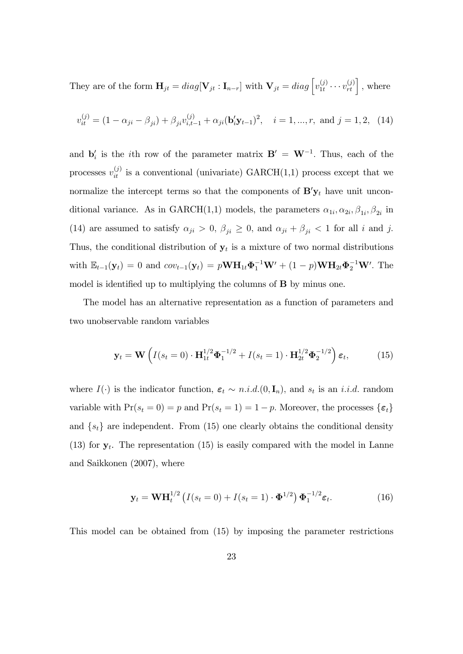They are of the form  $\mathbf{H}_{jt} = diag[\mathbf{V}_{jt} : \mathbf{I}_{n-r}]$  with  $\mathbf{V}_{jt} = diag\left[v_{1t}^{(j)}\right]$  $v_{1t}^{(j)} \cdots v_{rt}^{(j)}$ , where

$$
v_{it}^{(j)} = (1 - \alpha_{ji} - \beta_{ji}) + \beta_{ji} v_{i, t-1}^{(j)} + \alpha_{ji} (\mathbf{b}_i' \mathbf{y}_{t-1})^2, \quad i = 1, ..., r, \text{ and } j = 1, 2, (14)
$$

and  $\mathbf{b}'_i$  is the *i*th row of the parameter matrix  $\mathbf{B}' = \mathbf{W}^{-1}$ . Thus, each of the processes  $v_{it}^{(j)}$  is a conventional (univariate) GARCH(1,1) process except that we normalize the intercept terms so that the components of  $\mathbf{B}'\mathbf{y}_t$  have unit unconditional variance. As in GARCH(1,1) models, the parameters  $\alpha_{1i}, \alpha_{2i}, \beta_{1i}, \beta_{2i}$  in (14) are assumed to satisfy  $\alpha_{ji} > 0$ ,  $\beta_{ji} \geq 0$ , and  $\alpha_{ji} + \beta_{ji} < 1$  for all i and j. Thus, the conditional distribution of  $y_t$  is a mixture of two normal distributions with  $\mathbb{E}_{t-1}(\mathbf{y}_t) = 0$  and  $cov_{t-1}(\mathbf{y}_t) = p\mathbf{W}\mathbf{H}_{1t}\mathbf{\Phi}_1^{-1}\mathbf{W}' + (1-p)\mathbf{W}\mathbf{H}_{2t}\mathbf{\Phi}_2^{-1}\mathbf{W}'$ . The model is identified up to multiplying the columns of  $\bf{B}$  by minus one.

The model has an alternative representation as a function of parameters and two unobservable random variables

$$
\mathbf{y}_t = \mathbf{W} \left( I(s_t = 0) \cdot \mathbf{H}_{1t}^{1/2} \mathbf{\Phi}_1^{-1/2} + I(s_t = 1) \cdot \mathbf{H}_{2t}^{1/2} \mathbf{\Phi}_2^{-1/2} \right) \varepsilon_t, \tag{15}
$$

where  $I(\cdot)$  is the indicator function,  $\varepsilon_t \sim n.i.d. (0, \mathbf{I}_n)$ , and  $s_t$  is an *i.i.d.* random variable with  $Pr(s_t = 0) = p$  and  $Pr(s_t = 1) = 1 - p$ . Moreover, the processes  $\{\varepsilon_t\}$ and  $\{s_t\}$  are independent. From (15) one clearly obtains the conditional density (13) for  $y_t$ . The representation (15) is easily compared with the model in Lanne and Saikkonen (2007), where

$$
\mathbf{y}_t = \mathbf{W} \mathbf{H}_t^{1/2} \left( I(s_t = 0) + I(s_t = 1) \cdot \mathbf{\Phi}^{1/2} \right) \mathbf{\Phi}_1^{-1/2} \boldsymbol{\varepsilon}_t.
$$
 (16)

This model can be obtained from (15) by imposing the parameter restrictions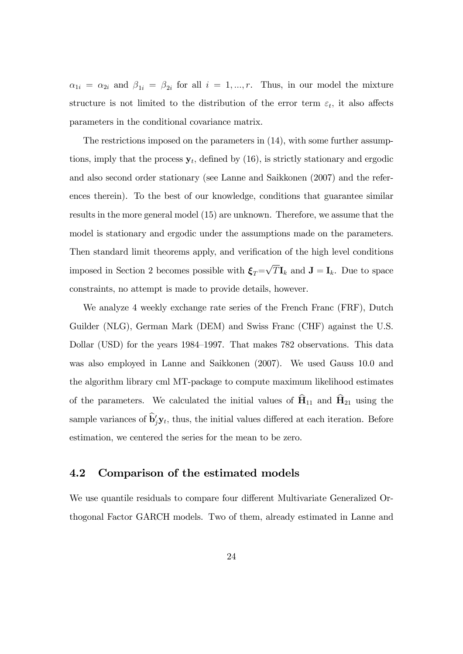$\alpha_{1i} = \alpha_{2i}$  and  $\beta_{1i} = \beta_{2i}$  for all  $i = 1, ..., r$ . Thus, in our model the mixture structure is not limited to the distribution of the error term  $\varepsilon_t$ , it also affects parameters in the conditional covariance matrix.

The restrictions imposed on the parameters in (14), with some further assumptions, imply that the process  $y_t$ , defined by (16), is strictly stationary and ergodic and also second order stationary (see Lanne and Saikkonen (2007) and the references therein). To the best of our knowledge, conditions that guarantee similar results in the more general model (15) are unknown. Therefore, we assume that the model is stationary and ergodic under the assumptions made on the parameters. Then standard limit theorems apply, and verification of the high level conditions imposed in Section 2 becomes possible with  $\xi_T = \sqrt{T} \mathbf{I}_k$  and  $\mathbf{J} = \mathbf{I}_k$ . Due to space constraints, no attempt is made to provide details, however.

We analyze 4 weekly exchange rate series of the French Franc (FRF), Dutch Guilder (NLG), German Mark (DEM) and Swiss Franc (CHF) against the U.S. Dollar (USD) for the years 1984–1997. That makes 782 observations. This data was also employed in Lanne and Saikkonen (2007). We used Gauss 10.0 and the algorithm library cml MT-package to compute maximum likelihood estimates of the parameters. We calculated the initial values of  $\hat{H}_{11}$  and  $\hat{H}_{21}$  using the sample variances of  $\mathbf{b}'_j \mathbf{y}_t$ , thus, the initial values differed at each iteration. Before estimation, we centered the series for the mean to be zero.

### 4.2 Comparison of the estimated models

We use quantile residuals to compare four different Multivariate Generalized Orthogonal Factor GARCH models. Two of them, already estimated in Lanne and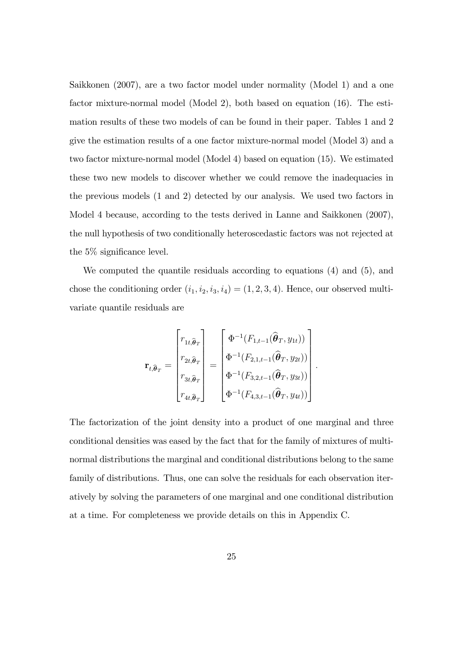Saikkonen (2007), are a two factor model under normality (Model 1) and a one factor mixture-normal model (Model 2), both based on equation (16). The estimation results of these two models of can be found in their paper. Tables 1 and 2 give the estimation results of a one factor mixture-normal model (Model 3) and a two factor mixture-normal model (Model 4) based on equation (15). We estimated these two new models to discover whether we could remove the inadequacies in the previous models (1 and 2) detected by our analysis. We used two factors in Model 4 because, according to the tests derived in Lanne and Saikkonen (2007), the null hypothesis of two conditionally heteroscedastic factors was not rejected at the  $5\%$  significance level.

We computed the quantile residuals according to equations (4) and (5), and chose the conditioning order  $(i_1, i_2, i_3, i_4) = (1, 2, 3, 4)$ . Hence, our observed multivariate quantile residuals are

$$
\mathbf{r}_{t,\widehat{\boldsymbol{\theta}}_T} = \begin{bmatrix} r_{1t,\widehat{\boldsymbol{\theta}}_T} \\ r_{2t,\widehat{\boldsymbol{\theta}}_T} \\ r_{3t,\widehat{\boldsymbol{\theta}}_T} \\ r_{4t,\widehat{\boldsymbol{\theta}}_T} \end{bmatrix} = \begin{bmatrix} \Phi^{-1}(F_{1,t-1}(\widehat{\boldsymbol{\theta}}_T, y_{1t})) \\ \Phi^{-1}(F_{2,1,t-1}(\widehat{\boldsymbol{\theta}}_T, y_{2t})) \\ \Phi^{-1}(F_{3,2,t-1}(\widehat{\boldsymbol{\theta}}_T, y_{3t})) \\ \Phi^{-1}(F_{4,3,t-1}(\widehat{\boldsymbol{\theta}}_T, y_{4t})) \end{bmatrix}
$$

:

The factorization of the joint density into a product of one marginal and three conditional densities was eased by the fact that for the family of mixtures of multinormal distributions the marginal and conditional distributions belong to the same family of distributions. Thus, one can solve the residuals for each observation iteratively by solving the parameters of one marginal and one conditional distribution at a time. For completeness we provide details on this in Appendix C.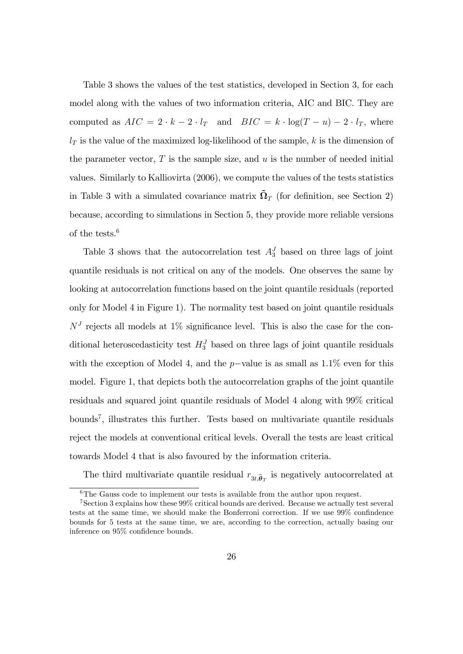Table 3 shows the values of the test statistics, developed in Section 3, for each model along with the values of two information criteria, AIC and BIC. They are computed as  $AIC = 2 \cdot k - 2 \cdot l_T$  and  $BIC = k \cdot \log(T - u) - 2 \cdot l_T$ , where  $l_T$  is the value of the maximized log-likelihood of the sample, k is the dimension of the parameter vector,  $T$  is the sample size, and  $u$  is the number of needed initial values. Similarly to Kalliovirta (2006), we compute the values of the tests statistics in Table 3 with a simulated covariance matrix  $\tilde{\Omega}_T$  (for definition, see Section 2) because, according to simulations in Section 5, they provide more reliable versions of the tests.<sup>6</sup>

Table 3 shows that the autocorrelation test  $A_3^J$  based on three lags of joint quantile residuals is not critical on any of the models. One observes the same by looking at autocorrelation functions based on the joint quantile residuals (reported only for Model 4 in Figure 1). The normality test based on joint quantile residuals  $N<sup>J</sup>$  rejects all models at 1% significance level. This is also the case for the conditional heteroscedasticity test  $H_3^J$  based on three lags of joint quantile residuals with the exception of Model 4, and the  $p$ -value is as small as 1.1% even for this model. Figure 1, that depicts both the autocorrelation graphs of the joint quantile residuals and squared joint quantile residuals of Model 4 along with 99% critical bounds<sup>7</sup> , illustrates this further. Tests based on multivariate quantile residuals reject the models at conventional critical levels. Overall the tests are least critical towards Model 4 that is also favoured by the information criteria.

The third multivariate quantile residual  $r_{3t,\hat{\theta}_T}$  is negatively autocorrelated at

 $6$ The Gauss code to implement our tests is available from the author upon request.

<sup>7</sup>Section 3 explains how these 99% critical bounds are derived. Because we actually test several tests at the same time, we should make the Bonferroni correction. If we use  $99\%$  confindence bounds for 5 tests at the same time, we are, according to the correction, actually basing our inference on 95% confidence bounds.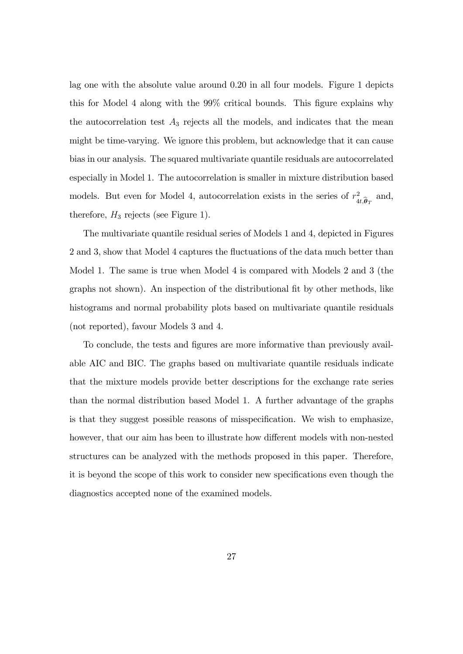lag one with the absolute value around 0.20 in all four models. Figure 1 depicts this for Model 4 along with the 99% critical bounds. This figure explains why the autocorrelation test  $A_3$  rejects all the models, and indicates that the mean might be time-varying. We ignore this problem, but acknowledge that it can cause bias in our analysis. The squared multivariate quantile residuals are autocorrelated especially in Model 1. The autocorrelation is smaller in mixture distribution based models. But even for Model 4, autocorrelation exists in the series of  $r<sub>4</sub><sup>2</sup>$  $a_{t,\widehat{\boldsymbol{\theta}}_T}^2$  and, therefore,  $H_3$  rejects (see Figure 1).

The multivariate quantile residual series of Models 1 and 4, depicted in Figures 2 and 3, show that Model 4 captures the fluctuations of the data much better than Model 1. The same is true when Model 4 is compared with Models 2 and 3 (the graphs not shown). An inspection of the distributional Öt by other methods, like histograms and normal probability plots based on multivariate quantile residuals (not reported), favour Models 3 and 4.

To conclude, the tests and figures are more informative than previously available AIC and BIC. The graphs based on multivariate quantile residuals indicate that the mixture models provide better descriptions for the exchange rate series than the normal distribution based Model 1. A further advantage of the graphs is that they suggest possible reasons of misspecification. We wish to emphasize, however, that our aim has been to illustrate how different models with non-nested structures can be analyzed with the methods proposed in this paper. Therefore, it is beyond the scope of this work to consider new specifications even though the diagnostics accepted none of the examined models.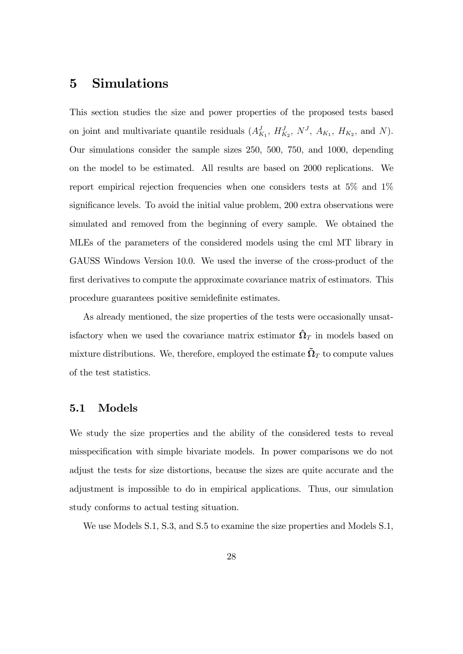# 5 Simulations

This section studies the size and power properties of the proposed tests based on joint and multivariate quantile residuals  $(A_{K_1}^J, H_{K_2}^J, N^J, A_{K_1}, H_{K_2}$ , and N). Our simulations consider the sample sizes 250, 500, 750, and 1000, depending on the model to be estimated. All results are based on 2000 replications. We report empirical rejection frequencies when one considers tests at 5% and 1% significance levels. To avoid the initial value problem, 200 extra observations were simulated and removed from the beginning of every sample. We obtained the MLEs of the parameters of the considered models using the cml MT library in GAUSS Windows Version 10.0. We used the inverse of the cross-product of the first derivatives to compute the approximate covariance matrix of estimators. This procedure guarantees positive semidefinite estimates.

As already mentioned, the size properties of the tests were occasionally unsatisfactory when we used the covariance matrix estimator  $\hat{\Omega}_T$  in models based on mixture distributions. We, therefore, employed the estimate  $\tilde{\Omega}_T$  to compute values of the test statistics.

## 5.1 Models

We study the size properties and the ability of the considered tests to reveal misspecification with simple bivariate models. In power comparisons we do not adjust the tests for size distortions, because the sizes are quite accurate and the adjustment is impossible to do in empirical applications. Thus, our simulation study conforms to actual testing situation.

We use Models S.1, S.3, and S.5 to examine the size properties and Models S.1,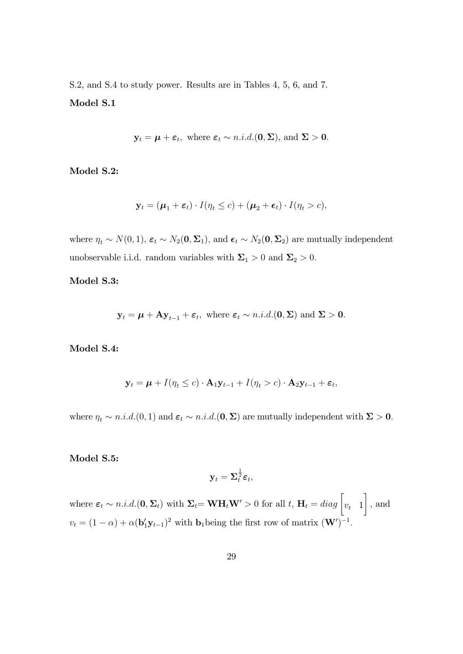S.2, and S.4 to study power. Results are in Tables 4, 5, 6, and 7. Model S.1

$$
\mathbf{y}_t = \boldsymbol{\mu} + \boldsymbol{\varepsilon}_t
$$
, where  $\boldsymbol{\varepsilon}_t \sim n.i.d.$  (**0**, **\Sigma**), and **\Sigma** > **0**.

Model S.2:

$$
\mathbf{y}_t = (\boldsymbol{\mu}_1 + \boldsymbol{\varepsilon}_t) \cdot I(\eta_t \leq c) + (\boldsymbol{\mu}_2 + \boldsymbol{\varepsilon}_t) \cdot I(\eta_t > c),
$$

where  $\eta_t \sim N(0, 1)$ ,  $\varepsilon_t \sim N_2(0, \Sigma_1)$ , and  $\epsilon_t \sim N_2(0, \Sigma_2)$  are mutually independent unobservable i.i.d. random variables with  $\Sigma_1 > 0$  and  $\Sigma_2 > 0$ .

#### Model S.3:

$$
\mathbf{y}_t = \boldsymbol{\mu} + \mathbf{A} \mathbf{y}_{t-1} + \boldsymbol{\varepsilon}_t
$$
, where  $\boldsymbol{\varepsilon}_t \sim n.i.d.$   $(\mathbf{0}, \boldsymbol{\Sigma})$  and  $\boldsymbol{\Sigma} > \mathbf{0}$ .

Model S.4:

$$
\mathbf{y}_t = \boldsymbol{\mu} + I(\eta_t \le c) \cdot \mathbf{A}_1 \mathbf{y}_{t-1} + I(\eta_t > c) \cdot \mathbf{A}_2 \mathbf{y}_{t-1} + \boldsymbol{\varepsilon}_t,
$$

where  $\eta_t \sim n.i.d. (0, 1)$  and  $\varepsilon_t \sim n.i.d. (0, \Sigma)$  are mutually independent with  $\Sigma > 0$ .

#### Model S.5:

$$
\mathbf{y}_t = \boldsymbol{\Sigma}_t^{\frac{1}{2}} \boldsymbol{\varepsilon}_t,
$$

where  $\boldsymbol{\varepsilon}_t \sim n.i.d.(\mathbf{0}, \boldsymbol{\Sigma}_t)$  with  $\boldsymbol{\Sigma}_t = \mathbf{W} \mathbf{H}_t \mathbf{W}' > 0$  for all  $t, \mathbf{H}_t = diag \begin{bmatrix} v_t & 1 \end{bmatrix}$  $\overline{1}$ ; and  $v_t = (1 - \alpha) + \alpha (b_1' y_{t-1})^2$  with **b**<sub>1</sub> being the first row of matrix  $(\mathbf{W}')^{-1}$ .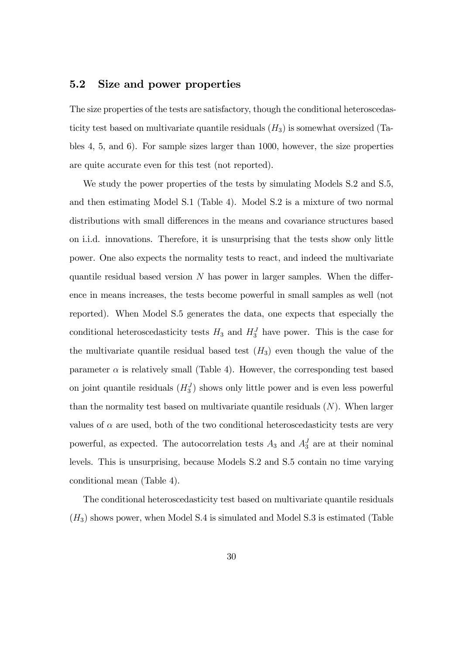# 5.2 Size and power properties

The size properties of the tests are satisfactory, though the conditional heteroscedasticity test based on multivariate quantile residuals  $(H_3)$  is somewhat oversized (Tables 4, 5, and 6). For sample sizes larger than 1000, however, the size properties are quite accurate even for this test (not reported).

We study the power properties of the tests by simulating Models S.2 and S.5, and then estimating Model S.1 (Table 4). Model S.2 is a mixture of two normal distributions with small differences in the means and covariance structures based on i.i.d. innovations. Therefore, it is unsurprising that the tests show only little power. One also expects the normality tests to react, and indeed the multivariate quantile residual based version  $N$  has power in larger samples. When the difference in means increases, the tests become powerful in small samples as well (not reported). When Model S.5 generates the data, one expects that especially the conditional heteroscedasticity tests  $H_3$  and  $H_3^J$  have power. This is the case for the multivariate quantile residual based test  $(H_3)$  even though the value of the parameter  $\alpha$  is relatively small (Table 4). However, the corresponding test based on joint quantile residuals  $(H_3^J)$  shows only little power and is even less powerful than the normality test based on multivariate quantile residuals  $(N)$ . When larger values of  $\alpha$  are used, both of the two conditional heteroscedasticity tests are very powerful, as expected. The autocorrelation tests  $A_3$  and  $A_3^J$  are at their nominal levels. This is unsurprising, because Models S.2 and S.5 contain no time varying conditional mean (Table 4).

The conditional heteroscedasticity test based on multivariate quantile residuals  $(H<sub>3</sub>)$  shows power, when Model S.4 is simulated and Model S.3 is estimated (Table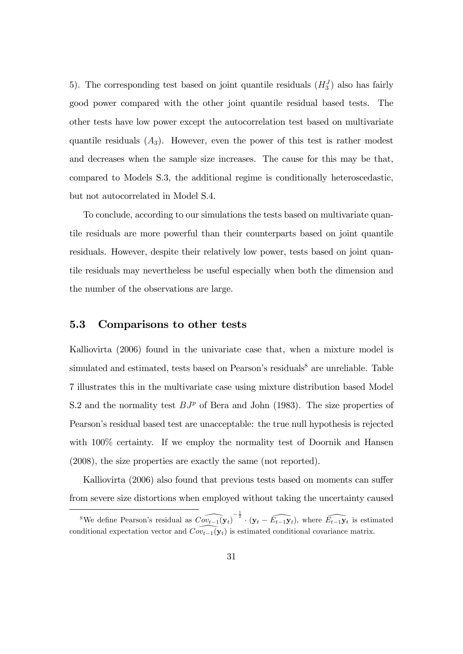5). The corresponding test based on joint quantile residuals  $(H_3^J)$  also has fairly good power compared with the other joint quantile residual based tests. The other tests have low power except the autocorrelation test based on multivariate quantile residuals  $(A_3)$ . However, even the power of this test is rather modest and decreases when the sample size increases. The cause for this may be that, compared to Models S.3, the additional regime is conditionally heteroscedastic, but not autocorrelated in Model S.4.

To conclude, according to our simulations the tests based on multivariate quantile residuals are more powerful than their counterparts based on joint quantile residuals. However, despite their relatively low power, tests based on joint quantile residuals may nevertheless be useful especially when both the dimension and the number of the observations are large.

### 5.3 Comparisons to other tests

Kalliovirta (2006) found in the univariate case that, when a mixture model is simulated and estimated, tests based on Pearson's residuals $^8$  are unreliable. Table 7 illustrates this in the multivariate case using mixture distribution based Model S.2 and the normality test  $BJ^p$  of Bera and John (1983). The size properties of Pearsonís residual based test are unacceptable: the true null hypothesis is rejected with  $100\%$  certainty. If we employ the normality test of Doornik and Hansen (2008), the size properties are exactly the same (not reported).

Kalliovirta (2006) also found that previous tests based on moments can suffer from severe size distortions when employed without taking the uncertainty caused

<sup>&</sup>lt;sup>8</sup>We define Pearson's residual as  $\widehat{Cov_{t-1}(\mathbf{y}_t)}^{-\frac{1}{2}} \cdot (\mathbf{y}_t - \widehat{E_{t-1}\mathbf{y}_t})$ , where  $\widehat{E_{t-1}\mathbf{y}_t}$  is estimated conditional expectation vector and  $\widehat{Cov}_{t-1}(\mathbf{y}_t)$  is estimated conditional covariance matrix.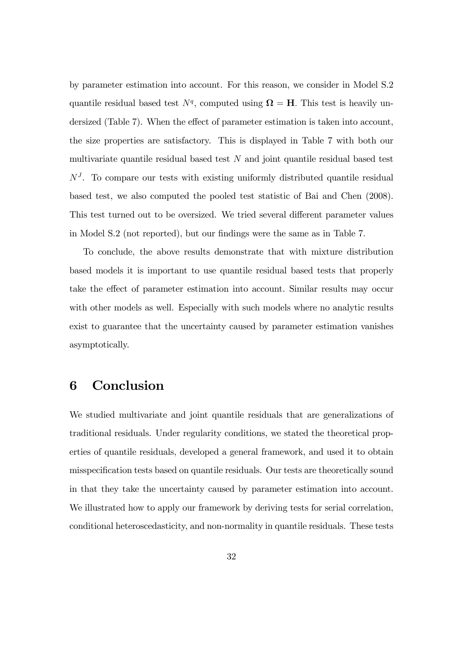by parameter estimation into account. For this reason, we consider in Model S.2 quantile residual based test  $N<sup>q</sup>$ , computed using  $\Omega = H$ . This test is heavily undersized (Table 7). When the effect of parameter estimation is taken into account, the size properties are satisfactory. This is displayed in Table 7 with both our multivariate quantile residual based test  $N$  and joint quantile residual based test  $N<sup>J</sup>$ . To compare our tests with existing uniformly distributed quantile residual based test, we also computed the pooled test statistic of Bai and Chen (2008). This test turned out to be oversized. We tried several different parameter values in Model S.2 (not reported), but our findings were the same as in Table 7.

To conclude, the above results demonstrate that with mixture distribution based models it is important to use quantile residual based tests that properly take the effect of parameter estimation into account. Similar results may occur with other models as well. Especially with such models where no analytic results exist to guarantee that the uncertainty caused by parameter estimation vanishes asymptotically.

# 6 Conclusion

We studied multivariate and joint quantile residuals that are generalizations of traditional residuals. Under regularity conditions, we stated the theoretical properties of quantile residuals, developed a general framework, and used it to obtain misspecification tests based on quantile residuals. Our tests are theoretically sound in that they take the uncertainty caused by parameter estimation into account. We illustrated how to apply our framework by deriving tests for serial correlation, conditional heteroscedasticity, and non-normality in quantile residuals. These tests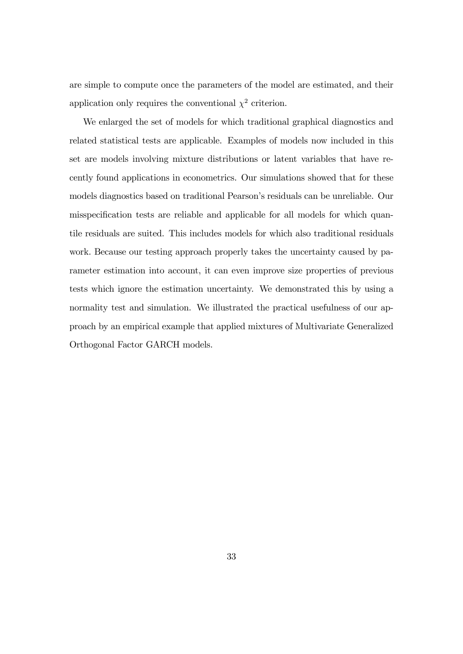are simple to compute once the parameters of the model are estimated, and their application only requires the conventional  $\chi^2$  criterion.

We enlarged the set of models for which traditional graphical diagnostics and related statistical tests are applicable. Examples of models now included in this set are models involving mixture distributions or latent variables that have recently found applications in econometrics. Our simulations showed that for these models diagnostics based on traditional Pearson's residuals can be unreliable. Our misspecification tests are reliable and applicable for all models for which quantile residuals are suited. This includes models for which also traditional residuals work. Because our testing approach properly takes the uncertainty caused by parameter estimation into account, it can even improve size properties of previous tests which ignore the estimation uncertainty. We demonstrated this by using a normality test and simulation. We illustrated the practical usefulness of our approach by an empirical example that applied mixtures of Multivariate Generalized Orthogonal Factor GARCH models.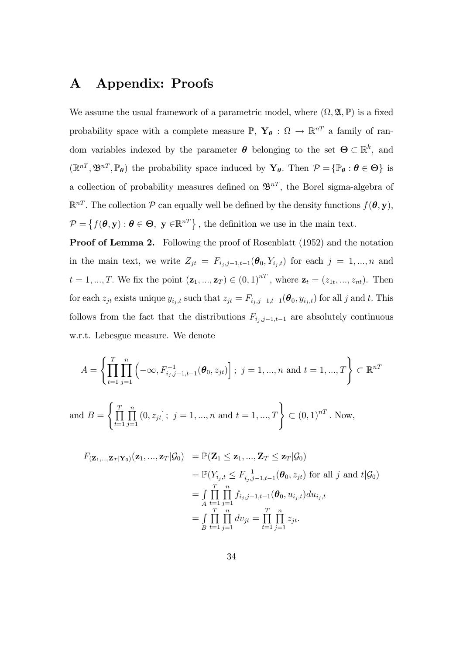# A Appendix: Proofs

We assume the usual framework of a parametric model, where  $(\Omega, \mathfrak{A}, \mathbb{P})$  is a fixed probability space with a complete measure  $\mathbb{P}, \ Y_{\theta} : \Omega \to \mathbb{R}^{n}$  a family of random variables indexed by the parameter  $\boldsymbol{\theta}$  belonging to the set  $\boldsymbol{\Theta} \subset \mathbb{R}^k$ , and  $(\mathbb{R}^{nT}, \mathfrak{B}^{nT}, \mathbb{P}_{\theta})$  the probability space induced by  $\mathbf{Y}_{\theta}$ . Then  $\mathcal{P} = {\mathbb{P}_{\theta} : \theta \in \Theta}$  is a collection of probability measures defined on  $\mathfrak{B}^{nT}$ , the Borel sigma-algebra of  $\mathbb{R}^{nT}$ . The collection  $P$  can equally well be defined by the density functions  $f(\theta, \mathbf{y})$ ,  $\mathcal{P} = \{f(\theta, \mathbf{y}) : \theta \in \Theta, \ \mathbf{y} \in \mathbb{R}^{n} \}$ , the definition we use in the main text.

Proof of Lemma 2. Following the proof of Rosenblatt (1952) and the notation in the main text, we write  $Z_{jt} = F_{i_j,j-1,t-1}(\boldsymbol{\theta}_0, Y_{i_j,t})$  for each  $j = 1, ..., n$  and  $t = 1, ..., T$ . We fix the point  $(\mathbf{z}_1, ..., \mathbf{z}_T) \in (0, 1)^{nT}$ , where  $\mathbf{z}_t = (z_{1t}, ..., z_{nt})$ . Then for each  $z_{jt}$  exists unique  $y_{i_j,t}$  such that  $z_{jt} = F_{i_j,j-1,t-1}(\theta_0, y_{i_j,t})$  for all j and t. This follows from the fact that the distributions  $F_{i_j,j-1,t-1}$  are absolutely continuous w.r.t. Lebesgue measure. We denote

$$
A = \left\{ \prod_{t=1}^{T} \prod_{j=1}^{n} \left( -\infty, F_{i_j, j-1, t-1}^{-1}(\theta_0, z_{jt}) \right); j = 1, ..., n \text{ and } t = 1, ..., T \right\} \subset \mathbb{R}^{nT}
$$
  
and 
$$
B = \left\{ \prod_{t=1}^{T} \prod_{j=1}^{n} \left( 0, z_{jt} \right); j = 1, ..., n \text{ and } t = 1, ..., T \right\} \subset (0, 1)^{nT}. \text{ Now,}
$$

$$
F_{(\mathbf{Z}_1,\ldots,\mathbf{Z}_T|\mathbf{Y}_0)}(\mathbf{z}_1,\ldots,\mathbf{z}_T|\mathcal{G}_0) = \mathbb{P}(\mathbf{Z}_1 \leq \mathbf{z}_1,\ldots,\mathbf{Z}_T \leq \mathbf{z}_T|\mathcal{G}_0)
$$
  
\n
$$
= \mathbb{P}(Y_{i_j,t} \leq F_{i_j,j-1,t-1}^{-1}(\boldsymbol{\theta}_0,z_{jt}) \text{ for all } j \text{ and } t|\mathcal{G}_0)
$$
  
\n
$$
= \int\limits_A \prod_{t=1}^T \prod_{j=1}^n f_{i_j,j-1,t-1}(\boldsymbol{\theta}_0,u_{i_j,t}) du_{i_j,t}
$$
  
\n
$$
= \int\limits_B \prod_{t=1}^T \prod_{j=1}^n dv_{jt} = \prod_{t=1}^T \prod_{j=1}^n z_{jt}.
$$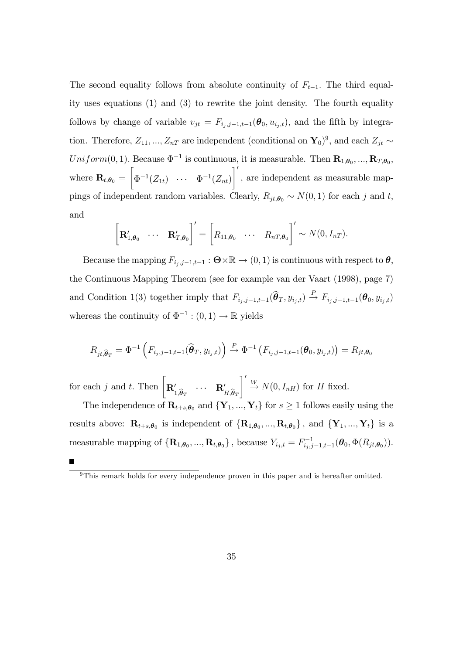The second equality follows from absolute continuity of  $F_{t-1}$ . The third equality uses equations (1) and (3) to rewrite the joint density. The fourth equality follows by change of variable  $v_{jt} = F_{i_j,j-1,t-1}(\theta_0, u_{i_j,t})$ , and the fifth by integration. Therefore,  $Z_{11}, ..., Z_{nT}$  are independent (conditional on  $\mathbf{Y}_0$ )<sup>9</sup>, and each  $Z_{jt} \sim$ Uniform $(0, 1)$ . Because  $\Phi^{-1}$  is continuous, it is measurable. Then  $\mathbf{R}_{1,\theta_0}, ..., \mathbf{R}_{T,\theta_0}$ , where  $\mathbf{R}_{t,\boldsymbol{\theta}_0} =$  $\sqrt{ }$  $\Phi^{-1}(Z_{1t}) \quad \cdots \quad \Phi^{-1}(Z_{nt})$  $\mathcal{I}'$ ; are independent as measurable mappings of independent random variables. Clearly,  $R_{jt,\theta_0} \sim N(0, 1)$  for each j and t, and

$$
\begin{bmatrix} \mathbf{R}'_{1,\boldsymbol{\theta}_0} & \cdots & \mathbf{R}'_{T,\boldsymbol{\theta}_0} \end{bmatrix}' = \begin{bmatrix} R_{11,\boldsymbol{\theta}_0} & \cdots & R_{nT,\boldsymbol{\theta}_0} \end{bmatrix}' \sim N(0,I_{nT}).
$$

Because the mapping  $F_{i_j,j-1,t-1} : \Theta \times \mathbb{R} \to (0,1)$  is continuous with respect to  $\theta$ , the Continuous Mapping Theorem (see for example van der Vaart (1998), page 7) and Condition 1(3) together imply that  $F_{i_j,j-1,t-1}(\widehat{\boldsymbol{\theta}}_T, y_{i_j,t}) \stackrel{P}{\to} F_{i_j,j-1,t-1}(\boldsymbol{\theta}_0, y_{i_j,t})$ whereas the continuity of  $\Phi^{-1} : (0,1) \to \mathbb{R}$  yields

$$
R_{jt,\widehat{\boldsymbol{\theta}}_T} = \Phi^{-1}\left(F_{i_j,j-1,t-1}(\widehat{\boldsymbol{\theta}}_T,y_{i_j,t})\right) \stackrel{P}{\rightarrow} \Phi^{-1}\left(F_{i_j,j-1,t-1}(\boldsymbol{\theta}_0,y_{i_j,t})\right) = R_{jt,\boldsymbol{\theta}_0}
$$

for each j and t. Then  $\left[\mathbf{R}'_{1,\widehat{\boldsymbol{\theta}}_T} \quad \cdots \quad \mathbf{R}'_{H,\widehat{\boldsymbol{\theta}}_T}\right]$  $\bigg\vert \stackrel{\prime}{\rightarrow} N(0,I_{nH})$  for H fixed.

The independence of  $\mathbf{R}_{t+s,\theta_0}$  and  $\{\mathbf{Y}_1,...,\mathbf{Y}_t\}$  for  $s \geq 1$  follows easily using the results above:  $\mathbf{R}_{t+s,\theta_0}$  is independent of  $\{\mathbf{R}_{1,\theta_0},...,\mathbf{R}_{t,\theta_0}\}$ , and  $\{\mathbf{Y}_1,...,\mathbf{Y}_t\}$  is a measurable mapping of  $\{ {\bf R}_{1,\boldsymbol{\theta}_0},..., {\bf R}_{t,\boldsymbol{\theta}_0} \}$ , because  $Y_{i_j,t} = F_{i_j,j}^{-1}$  $i_{j,j-1,t-1}^{-1}(\boldsymbol{\theta}_0,\Phi(R_{jt,\boldsymbol{\theta}_0})).$ 

<sup>&</sup>lt;sup>9</sup>This remark holds for every independence proven in this paper and is hereafter omitted.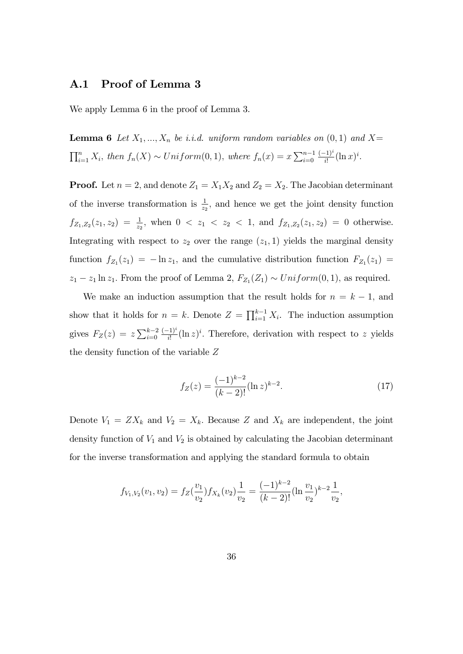# A.1 Proof of Lemma 3

We apply Lemma 6 in the proof of Lemma 3.

**Lemma 6** Let  $X_1, ..., X_n$  be i.i.d. uniform random variables on  $(0, 1)$  and  $X=$  $\prod_{i=1}^{n} X_i$ , then  $f_n(X) \sim Uniform(0, 1)$ , where  $f_n(x) = x \sum_{i=0}^{n-1} \frac{(-1)^i}{i!} (\ln x)^i$ .

**Proof.** Let  $n = 2$ , and denote  $Z_1 = X_1 X_2$  and  $Z_2 = X_2$ . The Jacobian determinant of the inverse transformation is  $\frac{1}{z_2}$ , and hence we get the joint density function  $f_{Z_1,Z_2}(z_1, z_2) = \frac{1}{z_2}$ , when  $0 < z_1 < z_2 < 1$ , and  $f_{Z_1,Z_2}(z_1, z_2) = 0$  otherwise. Integrating with respect to  $z_2$  over the range  $(z_1, 1)$  yields the marginal density function  $f_{Z_1}(z_1) = -\ln z_1$ , and the cumulative distribution function  $F_{Z_1}(z_1) =$  $z_1 - z_1 \ln z_1$ . From the proof of Lemma 2,  $F_{Z_1}(Z_1) \sim Uniform(0, 1)$ , as required.

We make an induction assumption that the result holds for  $n = k - 1$ , and show that it holds for  $n = k$ . Denote  $Z = \prod_{i=1}^{k-1} X_i$ . The induction assumption gives  $F_Z(z) = z \sum_{i=0}^{k-2} \frac{(-1)^i}{i!} (\ln z)^i$ . Therefore, derivation with respect to z yields the density function of the variable Z

$$
f_Z(z) = \frac{(-1)^{k-2}}{(k-2)!} (\ln z)^{k-2}.
$$
 (17)

Denote  $V_1 = Z X_k$  and  $V_2 = X_k$ . Because Z and  $X_k$  are independent, the joint density function of  $V_1$  and  $V_2$  is obtained by calculating the Jacobian determinant for the inverse transformation and applying the standard formula to obtain

$$
f_{V_1,V_2}(v_1,v_2) = f_Z(\frac{v_1}{v_2}) f_{X_k}(v_2) \frac{1}{v_2} = \frac{(-1)^{k-2}}{(k-2)!} (\ln \frac{v_1}{v_2})^{k-2} \frac{1}{v_2},
$$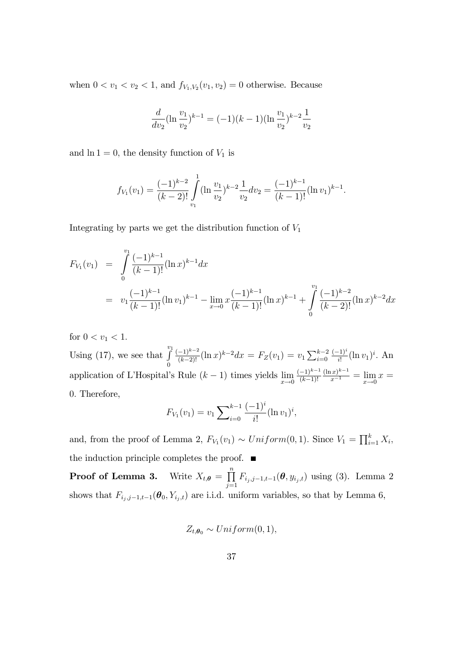when  $0 < v_1 < v_2 < 1$ , and  $f_{V_1, V_2}(v_1, v_2) = 0$  otherwise. Because

$$
\frac{d}{dv_2}(\ln\frac{v_1}{v_2})^{k-1} = (-1)(k-1)(\ln\frac{v_1}{v_2})^{k-2}\frac{1}{v_2}
$$

and  $\ln 1 = 0$ , the density function of  $V_1$  is

$$
f_{V_1}(v_1) = \frac{(-1)^{k-2}}{(k-2)!} \int_{v_1}^1 (\ln \frac{v_1}{v_2})^{k-2} \frac{1}{v_2} dv_2 = \frac{(-1)^{k-1}}{(k-1)!} (\ln v_1)^{k-1}.
$$

Integrating by parts we get the distribution function of  $V_1$ 

$$
F_{V_1}(v_1) = \int_0^{v_1} \frac{(-1)^{k-1}}{(k-1)!} (\ln x)^{k-1} dx
$$
  
=  $v_1 \frac{(-1)^{k-1}}{(k-1)!} (\ln v_1)^{k-1} - \lim_{x \to 0} x \frac{(-1)^{k-1}}{(k-1)!} (\ln x)^{k-1} + \int_0^{v_1} \frac{(-1)^{k-2}}{(k-2)!} (\ln x)^{k-2} dx$ 

for  $0 < v_1 < 1$ . Using (17), we see that  $\int_0^{v_1}$  $\boldsymbol{0}$  $\frac{(-1)^{k-2}}{(k-2)!}(\ln x)^{k-2}dx = F_Z(v_1) = v_1 \sum_{i=0}^{k-2} \frac{(-1)^i}{i!}(\ln v_1)^i$ . An application of L'Hospital's Rule  $(k-1)$  times yields  $\lim_{x\to 0} \frac{(-1)^{k-1}}{(k-1)!}$  $(k-1)!$  $\frac{(\ln x)^{k-1}}{x^{-1}} = \lim_{x \to 0} x =$ 0: Therefore,

$$
F_{V_1}(v_1) = v_1 \sum_{i=0}^{k-1} \frac{(-1)^i}{i!} (\ln v_1)^i,
$$

and, from the proof of Lemma 2,  $F_{V_1}(v_1) \sim Uniform(0, 1)$ . Since  $V_1 = \prod_{i=1}^k X_i$ , the induction principle completes the proof.  $\blacksquare$ 

**Proof of Lemma 3.** Write  $X_{t,\theta} = \prod_{i=1}^{n}$  $\prod_{j=1} F_{i_j,j-1,t-1}(\theta, y_{i_j,t})$  using (3). Lemma 2 shows that  $F_{i_j,j-1,t-1}(\theta_0, Y_{i_j,t})$  are i.i.d. uniform variables, so that by Lemma 6,

$$
Z_{t,\theta_0} \sim Uniform(0,1),
$$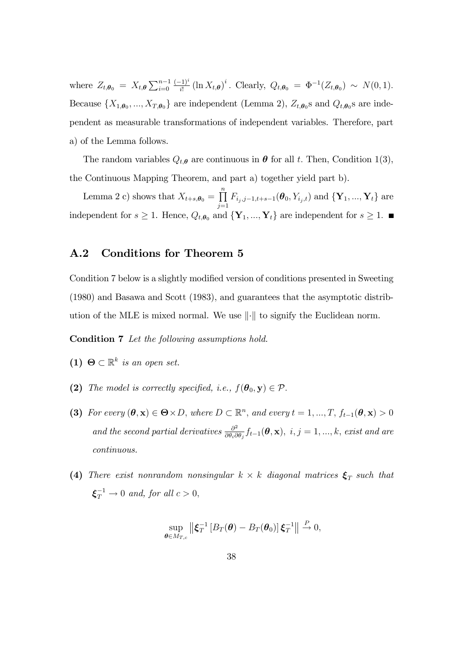where  $Z_{t,\theta_0} = X_{t,\theta} \sum_{i=0}^{n-1} \frac{(-1)^i}{i!} (\ln X_{t,\theta})^i$ . Clearly,  $Q_{t,\theta_0} = \Phi^{-1}(Z_{t,\theta_0}) \sim N(0,1)$ . Because  $\{X_{1,\theta_0},...,X_{T,\theta_0}\}\$  are independent (Lemma 2),  $Z_{t,\theta_0}$  and  $Q_{t,\theta_0}$  are independent as measurable transformations of independent variables. Therefore, part a) of the Lemma follows.

The random variables  $Q_{t,\theta}$  are continuous in  $\theta$  for all t. Then, Condition 1(3), the Continuous Mapping Theorem, and part a) together yield part b).

Lemma 2 c) shows that  $X_{t+s, \theta_0} = \prod^n$  $\prod_{j=1} F_{i_j,j-1,t+s-1}(\boldsymbol{\theta}_0, Y_{i_j,t})$  and  $\{ \mathbf{Y}_1, ..., \mathbf{Y}_t \}$  are independent for  $s \geq 1$ . Hence,  $Q_{t,\theta_0}$  and  $\{Y_1, ..., Y_t\}$  are independent for  $s \geq 1$ .

# A.2 Conditions for Theorem 5

Condition 7 below is a slightly modified version of conditions presented in Sweeting (1980) and Basawa and Scott (1983), and guarantees that the asymptotic distribution of the MLE is mixed normal. We use  $\|\cdot\|$  to signify the Euclidean norm.

Condition 7 Let the following assumptions hold.

- (1)  $\Theta \subset \mathbb{R}^k$  is an open set.
- (2) The model is correctly specified, i.e.,  $f(\theta_0, \mathbf{y}) \in \mathcal{P}$ .
- (3) For every  $(\theta, \mathbf{x}) \in \Theta \times D$ , where  $D \subset \mathbb{R}^n$ , and every  $t = 1, ..., T$ ,  $f_{t-1}(\theta, \mathbf{x}) > 0$ and the second partial derivatives  $\frac{\partial^2}{\partial \theta}$  $\frac{\partial^2}{\partial \theta_i \partial \theta_j} f_{t-1}(\bm{\theta}, \mathbf{x}), \; i,j = 1, ..., k, \textrm{\it exist and are}$ continuous.
- (4) There exist nonrandom nonsingular  $k \times k$  diagonal matrices  $\xi_T$  such that  $\xi_T^{-1} \to 0$  and, for all  $c > 0$ ,

$$
\sup_{\boldsymbol{\theta}\in M_{T,c}}\left\|\boldsymbol{\xi}_T^{-1}\left[B_T(\boldsymbol{\theta})-B_T(\boldsymbol{\theta}_0)\right]\boldsymbol{\xi}_T^{-1}\right\|\overset{P}{\to} 0,
$$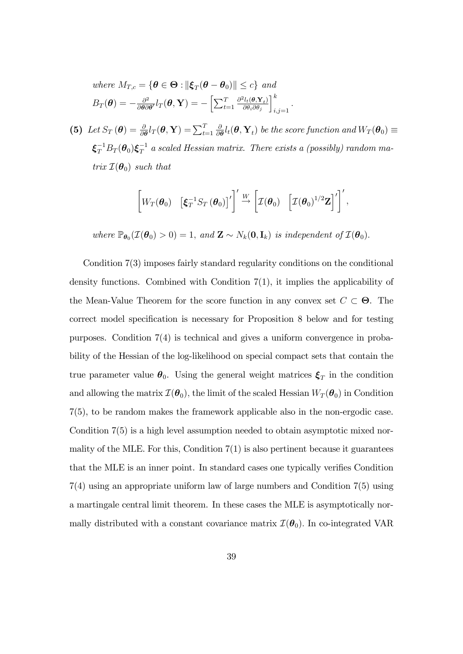where 
$$
M_{T,c} = {\boldsymbol{\theta} \in \Theta : ||\boldsymbol{\xi}_T(\boldsymbol{\theta} - \boldsymbol{\theta}_0)|| \leq c}
$$
 and  
\n
$$
B_T(\boldsymbol{\theta}) = -\frac{\partial^2}{\partial \boldsymbol{\theta} \partial \boldsymbol{\theta}'} l_T(\boldsymbol{\theta}, \mathbf{Y}) = -\left[\sum_{t=1}^T \frac{\partial^2 l_t(\boldsymbol{\theta}, \mathbf{Y}_t)}{\partial \theta_i \partial \theta_j}\right]_{i,j=1}^k
$$

(5) Let  $S_T(\boldsymbol{\theta}) = \frac{\partial}{\partial \boldsymbol{\theta}} l_T(\boldsymbol{\theta}, \mathbf{Y}) = \sum_{t=1}^T$  $\delta$  $\frac{\partial}{\partial \boldsymbol{\theta}}l_t(\boldsymbol{\theta}, \mathbf{Y}_t)$  be the score function and  $W_T(\boldsymbol{\theta}_0) \equiv$  $\pmb{\xi}_T^{-1} B_T(\pmb{\theta}_0) \pmb{\xi}_T^{-1}$  a scaled Hessian matrix. There exists a (possibly) random matrix  $\mathcal{I}(\boldsymbol{\theta}_0)$  such that

$$
\left[W_T(\boldsymbol{\theta}_0) \quad \left[\boldsymbol{\xi}_T^{-1} S_T\left(\boldsymbol{\theta}_0\right)\right]'\right]^{\prime} \xrightarrow{W} \left[\mathcal{I}(\boldsymbol{\theta}_0) \quad \left[\mathcal{I}(\boldsymbol{\theta}_0)^{1/2} \mathbf{Z}\right]'\right]^{\prime},
$$

:

where  $\mathbb{P}_{\theta_0}(\mathcal{I}(\theta_0) > 0) = 1$ , and  $\mathbf{Z} \sim N_k(\mathbf{0}, \mathbf{I}_k)$  is independent of  $\mathcal{I}(\theta_0)$ .

Condition 7(3) imposes fairly standard regularity conditions on the conditional density functions. Combined with Condition 7(1), it implies the applicability of the Mean-Value Theorem for the score function in any convex set  $C \subset \Theta$ . The correct model specification is necessary for Proposition 8 below and for testing purposes. Condition 7(4) is technical and gives a uniform convergence in probability of the Hessian of the log-likelihood on special compact sets that contain the true parameter value  $\theta_0$ . Using the general weight matrices  $\xi_T$  in the condition and allowing the matrix  $\mathcal{I}(\theta_0)$ , the limit of the scaled Hessian  $W_T(\theta_0)$  in Condition 7(5), to be random makes the framework applicable also in the non-ergodic case. Condition 7(5) is a high level assumption needed to obtain asymptotic mixed normality of the MLE. For this, Condition  $7(1)$  is also pertinent because it guarantees that the MLE is an inner point. In standard cases one typically verifies Condition 7(4) using an appropriate uniform law of large numbers and Condition 7(5) using a martingale central limit theorem. In these cases the MLE is asymptotically normally distributed with a constant covariance matrix  $\mathcal{I}(\theta_0)$ . In co-integrated VAR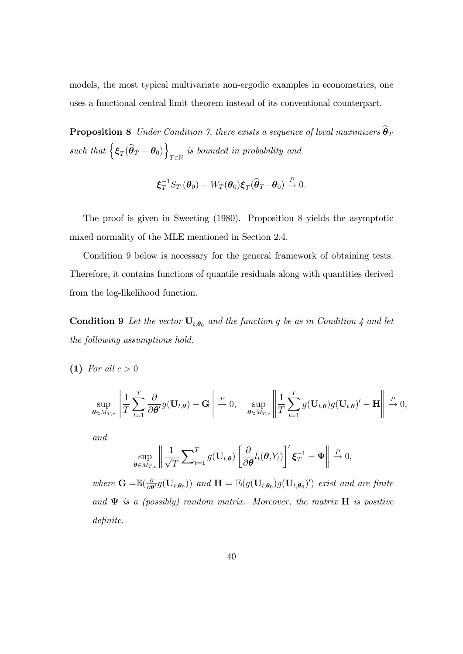models, the most typical multivariate non-ergodic examples in econometrics, one uses a functional central limit theorem instead of its conventional counterpart.

**Proposition 8** Under Condition 7, there exists a sequence of local maximizers  $\widehat{\boldsymbol{\theta}}_T$ such that  $\left\{ \boldsymbol{\xi}_{T}(\widehat{\boldsymbol{\theta}}_{T} - \boldsymbol{\theta}_{0}) \right\}$  $T \in \mathbb{N}$ is bounded in probability and

$$
\boldsymbol{\xi}_T^{-1} S_T \left( \boldsymbol{\theta}_0 \right) - W_T(\boldsymbol{\theta}_0) \boldsymbol{\xi}_T (\widehat{\boldsymbol{\theta}}_T - \boldsymbol{\theta}_0) \stackrel{P}{\rightarrow} 0.
$$

The proof is given in Sweeting (1980). Proposition 8 yields the asymptotic mixed normality of the MLE mentioned in Section 2.4.

Condition 9 below is necessary for the general framework of obtaining tests. Therefore, it contains functions of quantile residuals along with quantities derived from the log-likelihood function.

**Condition 9** Let the vector  $U_{t,\theta_0}$  and the function g be as in Condition 4 and let the following assumptions hold.

(1) For all  $c > 0$ 

$$
\sup_{\boldsymbol{\theta}\in M_{T,c}}\left\|\frac{1}{T}\sum_{t=1}^T\frac{\partial}{\partial\boldsymbol{\theta}'}g(\mathbf{U}_{t,\boldsymbol{\theta}})-\mathbf{G}\right\|\xrightarrow{P}0,\quad\sup_{\boldsymbol{\theta}\in M_{T,c}}\left\|\frac{1}{T}\sum_{t=1}^T g(\mathbf{U}_{t,\boldsymbol{\theta}})g(\mathbf{U}_{t,\boldsymbol{\theta}})'-\mathbf{H}\right\|\xrightarrow{P}0,
$$

and

$$
\sup_{\boldsymbol{\theta}\in M_{T,c}}\left\|\frac{1}{\sqrt{T}}\sum_{t=1}^T g(\mathbf{U}_{t,\boldsymbol{\theta}})\left[\frac{\partial}{\partial\boldsymbol{\theta}}l_t(\boldsymbol{\theta},Y_t)\right]'\boldsymbol{\xi}_T^{-1}-\boldsymbol{\Psi}\right\| \overset{P}{\to} 0,
$$

where  $\mathbf{G} = \mathbb{E}(\frac{\delta}{\partial \theta})$  $\frac{\partial}{\partial \theta'} g(\mathbf{U}_{t,\boldsymbol{\theta}_0}))$  and  $\mathbf{H} = \mathbb{E}(g(\mathbf{U}_{t,\boldsymbol{\theta}_0})g(\mathbf{U}_{t,\boldsymbol{\theta}_0})')$  exist and are finite and  $\Psi$  is a (possibly) random matrix. Moreover, the matrix  $H$  is positive definite.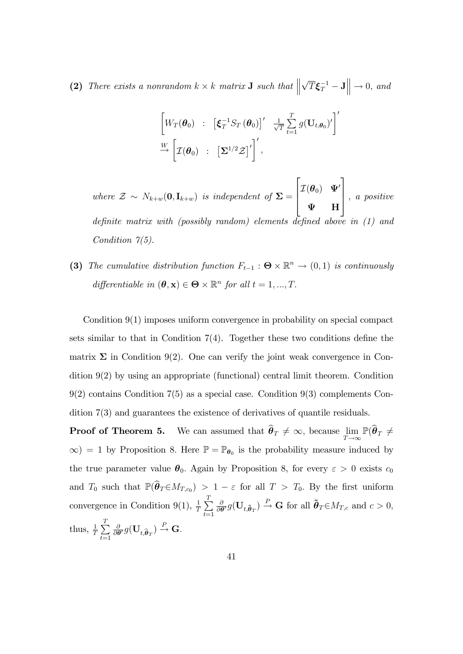(2) There exists a nonrandom  $k \times k$  matrix **J** such that  $\parallel$  $\sqrt{T} \boldsymbol{\xi}_T^{-1} - \mathbf{J} \Big\| \rightarrow 0$ , and

$$
\begin{bmatrix}\nW_T(\boldsymbol{\theta}_0) & \vdots & \left[\xi_T^{-1} S_T(\boldsymbol{\theta}_0)\right]' & \frac{1}{\sqrt{T}} \sum_{t=1}^T g(\mathbf{U}_{t,\boldsymbol{\theta}_0})'\n\end{bmatrix}'\n\overset{W}{\rightarrow}\n\begin{bmatrix}\n\mathcal{I}(\boldsymbol{\theta}_0) & \vdots & \left[\Sigma^{1/2} \mathcal{Z}\right]'\n\end{bmatrix}',
$$

where  $\mathcal{Z} \sim N_{k+w}(\mathbf{0}, \mathbf{I}_{k+w})$  is independent of  $\Sigma =$  $\sqrt{2}$  $\left| \right|$  $\mathcal{I}(\boldsymbol{\theta}_0)$   $\Psi'$  $\Psi$  H 3  $\Big\}$ , a positive definite matrix with (possibly random) elements defined above in  $(1)$  and Condition  $7(5)$ .

(3) The cumulative distribution function  $F_{t-1}$ :  $\Theta \times \mathbb{R}^n \to (0,1)$  is continuously differentiable in  $(\theta, \mathbf{x}) \in \Theta \times \mathbb{R}^n$  for all  $t = 1, ..., T$ .

Condition 9(1) imposes uniform convergence in probability on special compact sets similar to that in Condition  $7(4)$ . Together these two conditions define the matrix  $\Sigma$  in Condition 9(2). One can verify the joint weak convergence in Condition 9(2) by using an appropriate (functional) central limit theorem. Condition 9(2) contains Condition 7(5) as a special case. Condition 9(3) complements Condition 7(3) and guarantees the existence of derivatives of quantile residuals.

**Proof of Theorem 5.** We can assumed that  $\theta_T \neq \infty$ , because  $\lim_{T \to \infty} \mathbb{P}(\theta_T \neq \theta_T)$  $\infty$ ) = 1 by Proposition 8. Here  $\mathbb{P} = \mathbb{P}_{\theta_0}$  is the probability measure induced by the true parameter value  $\theta_0$ . Again by Proposition 8, for every  $\varepsilon > 0$  exists  $c_0$ and  $T_0$  such that  $\mathbb{P}(\theta_T \in M_{T,c_0}) > 1 - \varepsilon$  for all  $T > T_0$ . By the first uniform convergence in Condition 9(1),  $\frac{1}{T} \sum_{n=1}^{T}$  $t=1$  $\delta$  $\frac{\partial}{\partial \theta'} g(\mathbf{U}_{t, \tilde{\boldsymbol{\theta}}_T}) \stackrel{P}{\rightarrow} \mathbf{G}$  for all  $\tilde{\boldsymbol{\theta}}_T \in M_{T,c}$  and  $c > 0$ , thus,  $\frac{1}{T}\sum_{i=1}^{T}$  $t=1$  $\delta$  $\frac{\partial}{\partial \boldsymbol{\theta}'} g(\mathbf{U}_{t,\widehat{\boldsymbol{\theta}}_T}) \stackrel{P}{\rightarrow} \mathbf{G}.$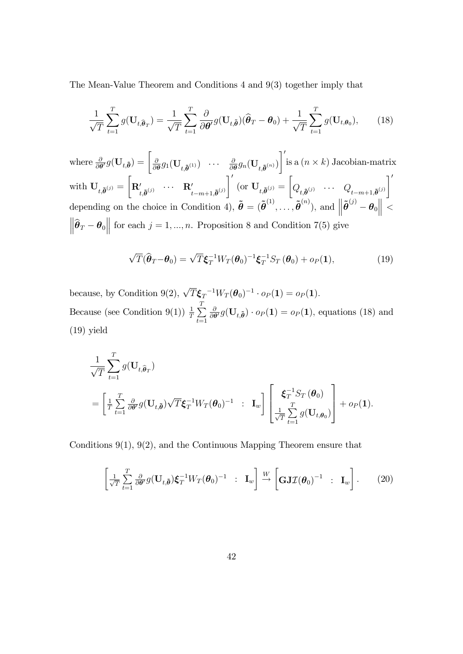The Mean-Value Theorem and Conditions 4 and 9(3) together imply that

$$
\frac{1}{\sqrt{T}}\sum_{t=1}^{T}g(\mathbf{U}_{t,\widehat{\boldsymbol{\theta}}_{T}})=\frac{1}{\sqrt{T}}\sum_{t=1}^{T}\frac{\partial}{\partial\boldsymbol{\theta}'}g(\mathbf{U}_{t,\widetilde{\boldsymbol{\theta}}})(\widehat{\boldsymbol{\theta}}_{T}-\boldsymbol{\theta}_{0})+\frac{1}{\sqrt{T}}\sum_{t=1}^{T}g(\mathbf{U}_{t,\boldsymbol{\theta}_{0}}),
$$
 (18)

where  $\frac{\partial}{\partial \boldsymbol{\theta}'} g(\mathbf{U}_{t,\boldsymbol{\tilde{\theta}}}) = \begin{bmatrix} \frac{\partial}{\partial t} \end{bmatrix}$  $\frac{\partial}{\partial\boldsymbol{\theta}}g_1(\mathbf{U}_{t,\boldsymbol{\tilde{\theta}}}^{\vphantom{\dag}})^{\phantom{\dag}}$  ...  $\frac{\partial}{\partial\boldsymbol{\theta}}$  $\frac{\partial}{\partial\bm{\theta}}g_n(\mathbf{U}_{t,\bm{\tilde \theta}^{(n)}})$  $\mathcal{I}'$ is a  $(n \times k)$  Jacobian-matrix  $\operatorname{with}~\mathbf{U}_{t,\boldsymbol{\tilde \theta}^{(j)}} =$  $\sqrt{ }$  $\mathbf{R}'_{t,\tilde{\boldsymbol\theta}^{(j)}} \quad \cdots \quad \mathbf{R}'_{t-m+1,\tilde{\boldsymbol\theta}^{(j)}}$  $\overline{\phantom{a}}$  $(\text{or } \mathbf{U}_{t,\boldsymbol{\tilde{\theta}}}^{(j)}=$  $\sqrt{ }$  $Q_{t, \tilde{\boldsymbol{\theta}}^{(j)}} \quad \cdots \quad Q_{t-m+1, \tilde{\boldsymbol{\theta}}^{(j)}}$  $\overline{1}'$ depending on the choice in Condition 4),  $\tilde{\boldsymbol{\theta}} = (\tilde{\boldsymbol{\theta}}^{(1)}, \ldots, \tilde{\boldsymbol{\theta}}^{(n)})$ , and  $\left\| \tilde{\boldsymbol{\theta}}^{(j)} - \boldsymbol{\theta}_0 \right\|$  $\left\|\widehat{\boldsymbol{\theta}}_T - \boldsymbol{\theta}_0\right\|$  for each  $j = 1, ..., n$ . Proposition 8 and Condition 7(5) give

$$
\sqrt{T}(\widehat{\boldsymbol{\theta}}_T - \boldsymbol{\theta}_0) = \sqrt{T}\boldsymbol{\xi}_T^{-1}W_T(\boldsymbol{\theta}_0)^{-1}\boldsymbol{\xi}_T^{-1}S_T(\boldsymbol{\theta}_0) + o_P(\mathbf{1}),
$$
\n(19)

because, by Condition 9(2),  $\sqrt{T} \boldsymbol{\xi}_T^{-1} W_T (\boldsymbol{\theta}_0)^{-1} \cdot o_P(\boldsymbol{1}) = o_P(\boldsymbol{1}).$ Because (see Condition 9(1))  $\frac{1}{T} \sum_{n=1}^{T}$  $t=1$  $\delta$  $\frac{\partial}{\partial \theta'} g(\mathbf{U}_{t,\tilde{\boldsymbol{\theta}}}) \cdot o_P(\mathbf{1}) = o_P(\mathbf{1}),$  equations (18) and (19) yield

$$
\frac{1}{\sqrt{T}} \sum_{t=1}^{T} g(\mathbf{U}_{t,\widehat{\boldsymbol{\theta}}_T})
$$
\n
$$
= \left[ \frac{1}{T} \sum_{t=1}^{T} \frac{\partial}{\partial \boldsymbol{\theta}'} g(\mathbf{U}_{t,\widetilde{\boldsymbol{\theta}}}) \sqrt{T} \boldsymbol{\xi}_T^{-1} W_T(\boldsymbol{\theta}_0)^{-1} \ : \ \mathbf{I}_w \right] \left[ \frac{\boldsymbol{\xi}_T^{-1} S_T(\boldsymbol{\theta}_0)}{\sqrt{T} \sum_{t=1}^{T} g(\mathbf{U}_{t,\boldsymbol{\theta}_0})} \right] + o_P(1).
$$

Conditions 9(1), 9(2), and the Continuous Mapping Theorem ensure that

$$
\left[\frac{1}{\sqrt{T}}\sum_{t=1}^{T}\frac{\partial}{\partial\theta'}g(\mathbf{U}_{t,\tilde{\boldsymbol{\theta}}})\boldsymbol{\xi}_T^{-1}W_T(\boldsymbol{\theta}_0)^{-1} \ : \ \mathbf{I}_w\right] \stackrel{W}{\to} \left[\mathbf{GJ}\mathcal{I}(\boldsymbol{\theta}_0)^{-1} \ : \ \mathbf{I}_w\right].\tag{20}
$$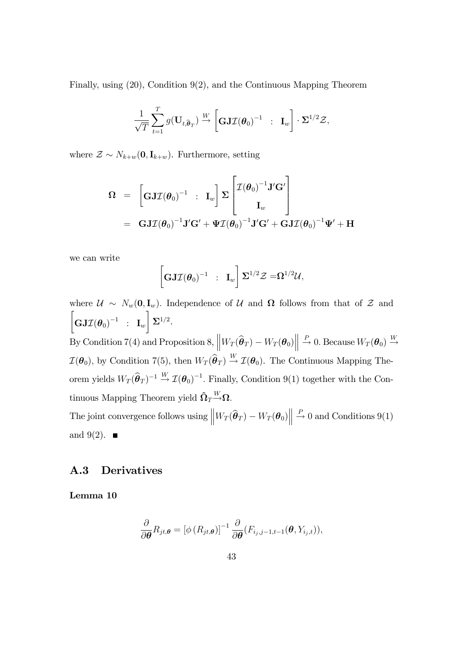Finally, using (20), Condition 9(2), and the Continuous Mapping Theorem

$$
\frac{1}{\sqrt{T}}\sum_{t=1}^T g(\mathbf{U}_{t,\widehat{\boldsymbol{\theta}}_T}) \xrightarrow{W} \left[\mathbf{GJ} \mathcal{I}(\boldsymbol{\theta}_0)^{-1} \ : \ \mathbf{I}_w\right] \cdot \Sigma^{1/2} \mathcal{Z},
$$

where  $\mathcal{Z} \sim N_{k+w}(\mathbf{0}, \mathbf{I}_{k+w})$ . Furthermore, setting

$$
\begin{array}{rcl} \boldsymbol{\Omega} & = & \left[\boldsymbol{\mathrm{GJ}}\mathcal{I}(\boldsymbol{\theta}_0)^{-1} \ : \ \mathbf{I}_w\right] \boldsymbol{\Sigma} \begin{bmatrix} \mathcal{I}(\boldsymbol{\theta}_0)^{-1} \mathbf{J'} \mathbf{G'} \\ & \mathbf{I}_w \end{bmatrix} \\ & = & \mathbf{GJ}\mathcal{I}(\boldsymbol{\theta}_0)^{-1} \mathbf{J'} \mathbf{G'} + \boldsymbol{\Psi} \mathcal{I}(\boldsymbol{\theta}_0)^{-1} \mathbf{J'} \mathbf{G'} + \mathbf{GJ}\mathcal{I}(\boldsymbol{\theta}_0)^{-1} \boldsymbol{\Psi'} + \mathbf{H} \end{array}
$$

we can write

$$
\left[\mathbf{GJ\mathcal{I}(\boldsymbol{\theta}_0)}^{-1} \ : \ \mathbf{I}_w\right] \mathbf{\Sigma}^{1/2} \mathcal{Z} = \mathbf{\Omega}^{1/2} \mathcal{U},
$$

where  $\mathcal{U} \sim N_w(0, \mathbf{I}_w)$ . Independence of  $\mathcal{U}$  and  $\Omega$  follows from that of  $\mathcal{Z}$  and  $\sqrt{ }$  $\mathbf{GJ\mathcal{I}}(\boldsymbol{\theta}_0)^{-1}$  :  $\mathbf{I}_w$ 1  $\mathbf{\Sigma}^{1/2}.$ By Condition 7(4) and Proposition 8,  $\left\| W_T(\widehat{\boldsymbol{\theta}}_T) - W_T(\boldsymbol{\theta}_0) \right\| \stackrel{P}{\to} 0$ . Because  $W_T(\boldsymbol{\theta}_0) \stackrel{W}{\to}$  $\mathcal{I}(\theta_0)$ , by Condition 7(5), then  $W_T(\widehat{\theta}_T) \stackrel{W}{\rightarrow} \mathcal{I}(\theta_0)$ . The Continuous Mapping Theorem yields  $W_T(\hat{\theta}_T)^{-1} \stackrel{W}{\rightarrow} \mathcal{I}(\theta_0)^{-1}$ . Finally, Condition 9(1) together with the Continuous Mapping Theorem yield  $\hat{\Omega}_T \overset{W}{\rightarrow} \Omega$ . The joint convergence follows using  $\left\| W_T(\widehat{\boldsymbol{\theta}}_T) - W_T(\boldsymbol{\theta}_0) \right\| \stackrel{P}{\to} 0$  and Conditions 9(1) and 9(2).  $\blacksquare$ 

## A.3 Derivatives

Lemma 10

$$
\frac{\partial}{\partial \boldsymbol{\theta}} R_{jt, \boldsymbol{\theta}} = \left[ \phi \left( R_{jt, \boldsymbol{\theta}} \right) \right]^{-1} \frac{\partial}{\partial \boldsymbol{\theta}} (F_{i_j, j-1, t-1}(\boldsymbol{\theta}, Y_{i_j, t})),
$$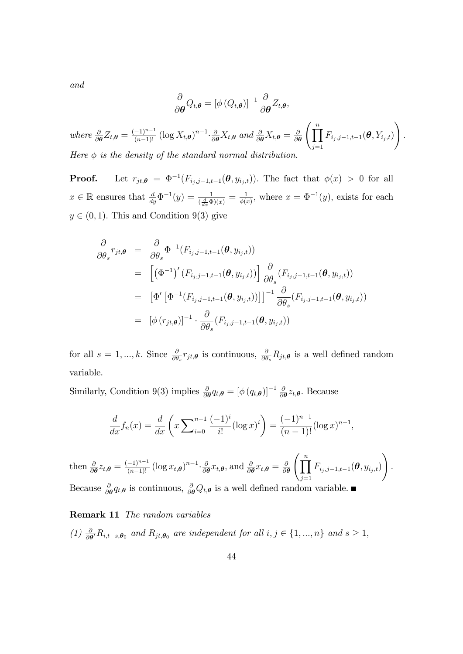and

$$
\frac{\partial}{\partial \boldsymbol{\theta}} Q_{t,\boldsymbol{\theta}} = \left[ \phi \left( Q_{t,\boldsymbol{\theta}} \right) \right]^{-1} \frac{\partial}{\partial \boldsymbol{\theta}} Z_{t,\boldsymbol{\theta}},
$$

where  $\frac{\partial}{\partial \theta} Z_{t,\theta} = \frac{(-1)^{n-1}}{(n-1)!} \left( \log X_{t,\theta} \right)^{n-1} \cdot \frac{\partial}{\partial \theta} X_{t,\theta}$  and  $\frac{\partial}{\partial \theta} X_{t,\theta} = \frac{\partial}{\partial \theta}$  $\frac{\partial}{\partial \theta} \left( \prod^{n} \right)$  $j=1$  $F_{i_j,j-1,t-1}(\boldsymbol{\theta}, Y_{i_j,t})$  $\setminus$ : Here  $\phi$  is the density of the standard normal distribution.

**Proof.** Let  $r_{jt,\theta} = \Phi^{-1}(F_{i_j,j-1,t-1}(\theta, y_{i_j,t}))$ . The fact that  $\phi(x) > 0$  for all  $x \in \mathbb{R}$  ensures that  $\frac{d}{dy}\Phi^{-1}(y) = \frac{1}{(\frac{d}{dx}\Phi)(x)} = \frac{1}{\phi(x)}$  $\frac{1}{\phi(x)}$ , where  $x = \Phi^{-1}(y)$ , exists for each  $y \in (0, 1)$ . This and Condition 9(3) give

$$
\frac{\partial}{\partial \theta_s} r_{jt,\theta} = \frac{\partial}{\partial \theta_s} \Phi^{-1}(F_{i_j,j-1,t-1}(\theta, y_{i_j,t}))
$$
\n
$$
= [(\Phi^{-1})'(F_{i_j,j-1,t-1}(\theta, y_{i_j,t}))] \frac{\partial}{\partial \theta_s} (F_{i_j,j-1,t-1}(\theta, y_{i_j,t}))
$$
\n
$$
= [\Phi' [\Phi^{-1}(F_{i_j,j-1,t-1}(\theta, y_{i_j,t}))]]^{-1} \frac{\partial}{\partial \theta_s} (F_{i_j,j-1,t-1}(\theta, y_{i_j,t}))
$$
\n
$$
= [\phi(r_{jt,\theta})]^{-1} \cdot \frac{\partial}{\partial \theta_s} (F_{i_j,j-1,t-1}(\theta, y_{i_j,t}))
$$

for all  $s = 1, ..., k$ . Since  $\frac{\partial}{\partial \theta_s} r_{jt,\theta}$  is continuous,  $\frac{\partial}{\partial \theta_s} R_{jt,\theta}$  is a well defined random variable.

Similarly, Condition 9(3) implies  $\frac{\partial}{\partial \theta} q_{t,\theta} = [\phi(q_{t,\theta})]^{-1} \frac{\partial}{\partial \theta} z_{t,\theta}$ . Because

$$
\frac{d}{dx}f_n(x) = \frac{d}{dx}\left(x\sum_{i=0}^{n-1}\frac{(-1)^i}{i!}(\log x)^i\right) = \frac{(-1)^{n-1}}{(n-1)!}(\log x)^{n-1},
$$

then  $\frac{\partial}{\partial \theta} z_{t,\theta} = \frac{(-1)^{n-1}}{(n-1)!} (\log x_{t,\theta})^{n-1} \cdot \frac{\partial}{\partial \theta}$  $\frac{\partial}{\partial \boldsymbol{\theta}} x_{t, \boldsymbol{\theta}}, \text{and } \frac{\partial}{\partial \boldsymbol{\theta}} x_{t, \boldsymbol{\theta}} = \frac{\partial}{\partial \boldsymbol{\theta}}$  $\frac{\partial}{\partial \theta} \left( \prod^{n} \right)$  $j=1$  $F_{i_j,j-1,t-1}(\bm{\theta}, y_{i_j,t})$  $\setminus$ : Because  $\frac{\partial}{\partial \theta} q_{t,\theta}$  is continuous,  $\frac{\partial}{\partial \theta} Q_{t,\theta}$  is a well defined random variable.

#### Remark 11 The random variables

(1)  $\frac{\partial}{\partial \theta} R_{i,t-s,\theta_0}$  and  $R_{jt,\theta_0}$  are independent for all  $i, j \in \{1, ..., n\}$  and  $s \ge 1$ ,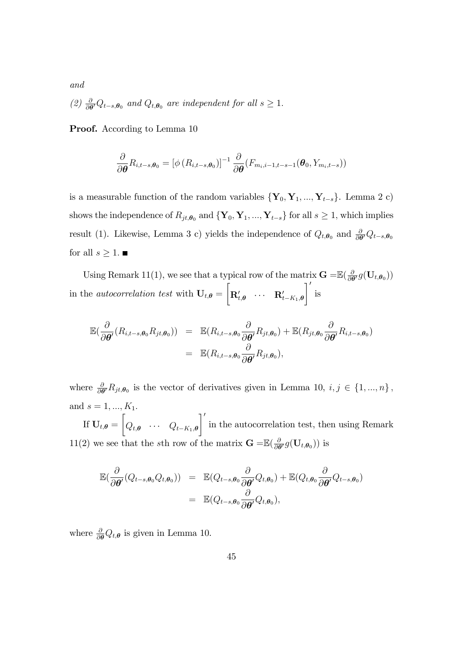(2)  $\frac{\partial}{\partial \theta} Q_{t-s,\theta_0}$  and  $Q_{t,\theta_0}$  are independent for all  $s \geq 1$ .

Proof. According to Lemma 10

and

$$
\frac{\partial}{\partial \boldsymbol{\theta}} R_{i,t-s,\boldsymbol{\theta}_0} = \left[ \phi \left( R_{i,t-s,\boldsymbol{\theta}_0} \right) \right]^{-1} \frac{\partial}{\partial \boldsymbol{\theta}} \left( F_{m_i,i-1,t-s-1}(\boldsymbol{\theta}_0, Y_{m_i,t-s}) \right)
$$

is a measurable function of the random variables  $\{Y_0, Y_1, ..., Y_{t-s}\}$ . Lemma 2 c) shows the independence of  $R_{jt,\theta_0}$  and  $\{Y_0, Y_1, ..., Y_{t-s}\}$  for all  $s \geq 1$ , which implies result (1). Likewise, Lemma 3 c) yields the independence of  $Q_{t,\theta_0}$  and  $\frac{\partial}{\partial \theta'}Q_{t-s,\theta_0}$ for all  $s \geq 1$ .

Using Remark 11(1), we see that a typical row of the matrix  $\mathbf{G} = \mathbb{E}(\frac{\delta}{\partial \theta})$  $\frac{\partial}{\partial \boldsymbol{\theta}'} g(\mathbf{U}_{t, \boldsymbol{\theta}_0}))$ in the *autocorrelation test* with  $U_{t,\theta} =$  $\sqrt{ }$  $\mathbf{R}_{t,\boldsymbol{\theta}}^{\prime} \quad \cdots \quad \mathbf{R}_{t-K_1,\boldsymbol{\theta}}^{\prime}$  $\mathcal{I}'$ is

$$
\mathbb{E}(\frac{\partial}{\partial \theta'}(R_{i,t-s,\theta_0}R_{jt,\theta_0})) = \mathbb{E}(R_{i,t-s,\theta_0}\frac{\partial}{\partial \theta'}R_{jt,\theta_0}) + \mathbb{E}(R_{jt,\theta_0}\frac{\partial}{\partial \theta'}R_{i,t-s,\theta_0})
$$
  

$$
= \mathbb{E}(R_{i,t-s,\theta_0}\frac{\partial}{\partial \theta'}R_{jt,\theta_0}),
$$

where  $\frac{\partial}{\partial \theta'} R_{jt,\theta_0}$  is the vector of derivatives given in Lemma 10,  $i, j \in \{1, ..., n\}$ , and  $s = 1, ..., K_1$ .

If  $\mathbf{U}_{t, \boldsymbol{\theta}} =$  $\sqrt{ }$  $Q_{t,\boldsymbol{\theta}} \quad \cdots \quad Q_{t-K_1,\boldsymbol{\theta}}$  $\mathcal{I}'$ in the autocorrelation test, then using Remark 11(2) we see that the sth row of the matrix  $\mathbf{G} = \mathbb{E}(\frac{\delta}{\partial \theta})$  $\frac{\partial}{\partial \boldsymbol{\theta}'} g(\mathbf{U}_{t,\boldsymbol{\theta}_0}))$  is

$$
\mathbb{E}(\frac{\partial}{\partial \theta'}(Q_{t-s,\theta_0}Q_{t,\theta_0})) = \mathbb{E}(Q_{t-s,\theta_0}\frac{\partial}{\partial \theta'}Q_{t,\theta_0}) + \mathbb{E}(Q_{t,\theta_0}\frac{\partial}{\partial \theta'}Q_{t-s,\theta_0})
$$
  

$$
= \mathbb{E}(Q_{t-s,\theta_0}\frac{\partial}{\partial \theta'}Q_{t,\theta_0}),
$$

where  $\frac{\partial}{\partial \theta} Q_{t,\theta}$  is given in Lemma 10.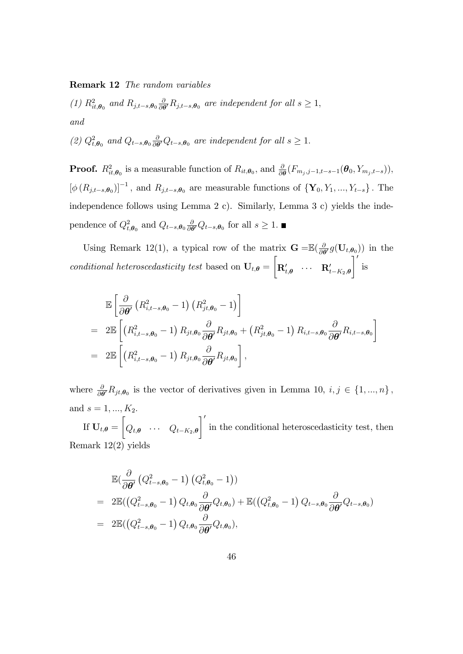Remark 12 The random variables

(1)  $R_{it,\theta_0}^2$  and  $R_{j,t-s,\theta_0} \frac{\partial}{\partial \theta}$  $\frac{\partial}{\partial \theta'} R_{j,t-s,\theta_0}$  are independent for all  $s \geq 1$ , and

(2)  $Q_{t,\theta_0}^2$  and  $Q_{t-s,\theta_0} \frac{\partial}{\partial t}$  $\frac{\partial}{\partial \theta} Q_{t-s,\theta_0}$  are independent for all  $s \geq 1$ .

**Proof.**  $R_{it,\theta_0}^2$  is a measurable function of  $R_{it,\theta_0}$ , and  $\frac{\partial}{\partial \theta}(F_{m_j,j-1,t-s-1}(\theta_0, Y_{m_j,t-s}))$ ,  $\left[\phi\left(R_{j,t-s},\theta_0\right)\right]^{-1}$ , and  $R_{j,t-s},\theta_0$  are measurable functions of  $\{Y_0,Y_1,...,Y_{t-s}\}$ . The independence follows using Lemma 2 c). Similarly, Lemma 3 c) yields the independence of  $Q_{t,\theta_0}^2$  and  $Q_{t-s,\theta_0} \frac{\partial}{\partial \theta}$  $\frac{\partial}{\partial \theta'} Q_{t-s,\theta_0}$  for all  $s \geq 1$ .

Using Remark 12(1), a typical row of the matrix  $\mathbf{G} = \mathbb{E}(\frac{\delta}{\partial \theta})$  $\frac{\partial}{\partial \boldsymbol{\theta}'} g(\mathbf{U}_{t,\boldsymbol{\theta}_0})$  in the conditional heteroscedasticity test based on  $U_{t,\theta} =$  $\sqrt{ }$  $\mathbf{R}_{t,\boldsymbol{\theta}}^{\prime} \quad \cdots \quad \mathbf{R}_{t-K_2,\boldsymbol{\theta}}^{\prime}$  $\overline{1}'$ is

$$
\mathbb{E}\left[\frac{\partial}{\partial \theta'}\left(R_{i,t-s,\theta_0}^2-1\right)\left(R_{jt,\theta_0}^2-1\right)\right]
$$
\n
$$
= 2\mathbb{E}\left[\left(R_{i,t-s,\theta_0}^2-1\right)R_{jt,\theta_0}\frac{\partial}{\partial \theta'}R_{jt,\theta_0}+\left(R_{jt,\theta_0}^2-1\right)R_{i,t-s,\theta_0}\frac{\partial}{\partial \theta'}R_{i,t-s,\theta_0}\right]
$$
\n
$$
= 2\mathbb{E}\left[\left(R_{i,t-s,\theta_0}^2-1\right)R_{jt,\theta_0}\frac{\partial}{\partial \theta'}R_{jt,\theta_0}\right],
$$

where  $\frac{\partial}{\partial \theta'} R_{jt,\theta_0}$  is the vector of derivatives given in Lemma 10,  $i, j \in \{1, ..., n\}$ , and  $s = 1, ..., K_2$ .

If  $\mathbf{U}_{t, \boldsymbol{\theta}} =$  $\sqrt{ }$  $Q_{t,\boldsymbol{\theta}} \quad \cdots \quad Q_{t-K_2,\boldsymbol{\theta}}$  $\mathcal{I}'$ in the conditional heteroscedasticity test, then Remark 12(2) yields

$$
\mathbb{E}\left(\frac{\partial}{\partial \theta'}\left(Q_{t-s,\theta_0}^2 - 1\right)\left(Q_{t,\theta_0}^2 - 1\right)\right)
$$
\n
$$
= 2\mathbb{E}\left(\left(Q_{t-s,\theta_0}^2 - 1\right)Q_{t,\theta_0}\frac{\partial}{\partial \theta'}Q_{t,\theta_0}\right) + \mathbb{E}\left(\left(Q_{t,\theta_0}^2 - 1\right)Q_{t-s,\theta_0}\frac{\partial}{\partial \theta'}Q_{t-s,\theta_0}\right)
$$
\n
$$
= 2\mathbb{E}\left(\left(Q_{t-s,\theta_0}^2 - 1\right)Q_{t,\theta_0}\frac{\partial}{\partial \theta'}Q_{t,\theta_0}\right),
$$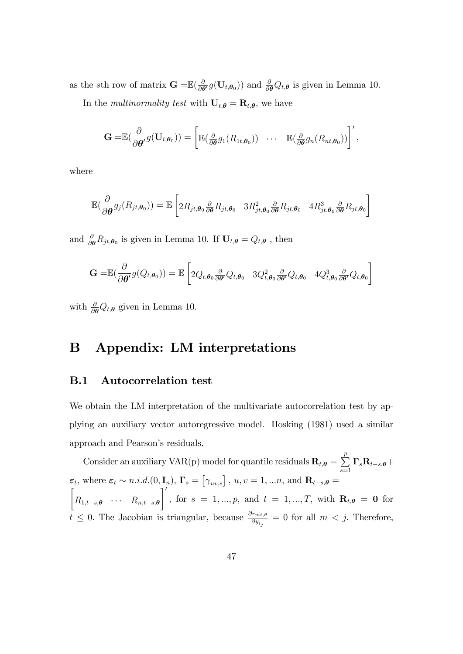as the sth row of matrix  $\mathbf{G} = \mathbb{E}(\frac{\delta}{\partial \theta})$  $\frac{\partial}{\partial \theta'} g(\mathbf{U}_{t,\theta_0})$  and  $\frac{\partial}{\partial \theta} Q_{t,\theta}$  is given in Lemma 10. In the *multinormality test* with  $U_{t,\theta} = \mathbf{R}_{t,\theta}$ , we have

$$
\mathbf{G} = \mathbb{E}(\frac{\partial}{\partial \boldsymbol{\theta}'} g(\mathbf{U}_{t,\boldsymbol{\theta}_0})) = \left[\mathbb{E}(\frac{\partial}{\partial \boldsymbol{\theta}} g_1(R_{1t,\boldsymbol{\theta}_0})) \cdots \mathbb{E}(\frac{\partial}{\partial \boldsymbol{\theta}} g_n(R_{nt,\boldsymbol{\theta}_0}))\right]',
$$

where

$$
\mathbb{E}\left(\frac{\partial}{\partial \theta}g_j(R_{jt,\theta_0})\right) = \mathbb{E}\left[2R_{jt,\theta_0}\frac{\partial}{\partial \theta}R_{jt,\theta_0} 3R_{jt,\theta_0}^2 \frac{\partial}{\partial \theta}R_{jt,\theta_0} 4R_{jt,\theta_0}^3 \frac{\partial}{\partial \theta}R_{jt,\theta_0}\right]
$$

and  $\frac{\partial}{\partial \theta} R_{jt,\theta_0}$  is given in Lemma 10. If  $\mathbf{U}_{t,\theta} = Q_{t,\theta}$ , then

$$
\mathbf{G} = \mathbb{E}(\frac{\partial}{\partial \boldsymbol{\theta}'} g(Q_{t,\boldsymbol{\theta}_{0}})) = \mathbb{E}\left[2Q_{t,\boldsymbol{\theta}_{0}}\frac{\partial}{\partial \boldsymbol{\theta}'}Q_{t,\boldsymbol{\theta}_{0}} 3Q_{t,\boldsymbol{\theta}_{0}}^{2}\frac{\partial}{\partial \boldsymbol{\theta}'}Q_{t,\boldsymbol{\theta}_{0}} 4Q_{t,\boldsymbol{\theta}_{0}}^{3}\frac{\partial}{\partial \boldsymbol{\theta}'}Q_{t,\boldsymbol{\theta}_{0}}\right]
$$

with  $\frac{\partial}{\partial \theta} Q_{t,\theta}$  given in Lemma 10.

# B Appendix: LM interpretations

### B.1 Autocorrelation test

We obtain the LM interpretation of the multivariate autocorrelation test by applying an auxiliary vector autoregressive model. Hosking (1981) used a similar approach and Pearson's residuals.

Consider an auxiliary VAR(p) model for quantile residuals  $\mathbf{R}_{t,\theta} = \sum_{i=1}^{p}$  $\sum\limits_{s=1}\Gamma _{s}\mathbf{R}_{t-s,\boldsymbol{\theta}}+$  $\boldsymbol{\varepsilon}_t$ , where  $\boldsymbol{\varepsilon}_t \sim n.i.d. (0, \mathbf{I}_n)$ ,  $\mathbf{\Gamma}_s = [\gamma_{uv,s}]$ ,  $u, v = 1, ..., n$ , and  $\mathbf{R}_{t-s,\theta} =$  $\sqrt{ }$  $R_{1,t-s,\theta} \quad \cdots \quad R_{n,t-s,\theta}$  $\mathcal{I}'$  $, for s = 1, ..., p, and t = 1, ..., T, with R_{t,\theta} = 0 for$  $t \leq 0$ . The Jacobian is triangular, because  $\frac{\partial r_{mt,\theta}}{\partial y_{i_j}} = 0$  for all  $m < j$ . Therefore,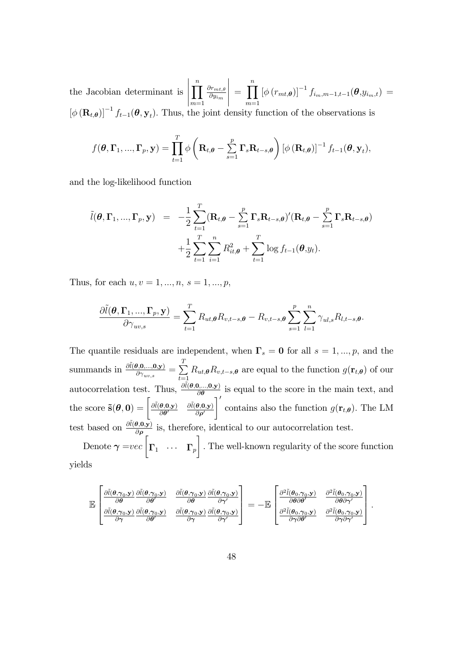the Jacobian determinant is  $\prod^n$  $m=1$  $\partial r_{mt,\theta}$  $\partial y_{i_m}$   $=\prod^{n}$  $m=1$  $\left[ \phi \left( r_{mt,\boldsymbol{\theta}} \right) \right]^{-1} f_{i_m,m-1,t-1}(\boldsymbol{\theta }\text{,}y_{i_m,t}) =$  $[\phi(\mathbf{R}_{t,\theta})]^{-1} f_{t-1}(\theta, \mathbf{y}_t)$ . Thus, the joint density function of the observations is

$$
f(\boldsymbol{\theta},\boldsymbol{\Gamma}_1,...,\boldsymbol{\Gamma}_p,\mathbf{y})=\prod_{t=1}^T\phi\left(\mathbf{R}_{t,\boldsymbol{\theta}}-\sum_{s=1}^p\mathbf{\Gamma}_s\mathbf{R}_{t-s,\boldsymbol{\theta}}\right)\left[\phi\left(\mathbf{R}_{t,\boldsymbol{\theta}}\right)\right]^{-1}f_{t-1}(\boldsymbol{\theta},\mathbf{y}_t),
$$

and the log-likelihood function

$$
\tilde{l}(\boldsymbol{\theta}, \boldsymbol{\Gamma}_1, ..., \boldsymbol{\Gamma}_p, \mathbf{y}) = -\frac{1}{2} \sum_{t=1}^T (\mathbf{R}_{t,\boldsymbol{\theta}} - \sum_{s=1}^p \mathbf{\Gamma}_s \mathbf{R}_{t-s,\boldsymbol{\theta}})'(\mathbf{R}_{t,\boldsymbol{\theta}} - \sum_{s=1}^p \mathbf{\Gamma}_s \mathbf{R}_{t-s,\boldsymbol{\theta}})
$$

$$
+ \frac{1}{2} \sum_{t=1}^T \sum_{i=1}^n R_{it,\boldsymbol{\theta}}^2 + \sum_{t=1}^T \log f_{t-1}(\boldsymbol{\theta}, y_t).
$$

Thus, for each  $u, v = 1, ..., n, s = 1, ..., p$ ,

$$
\frac{\partial \tilde{l}(\boldsymbol{\theta}, \boldsymbol{\Gamma}_1, ..., \boldsymbol{\Gamma}_p, \mathbf{y})}{\partial \gamma_{uv,s}} = \sum_{t=1}^T R_{ut,\boldsymbol{\theta}} R_{v,t-s,\boldsymbol{\theta}} - R_{v,t-s,\boldsymbol{\theta}} \sum_{s=1}^p \sum_{l=1}^n \gamma_{ul,s} R_{l,t-s,\boldsymbol{\theta}}.
$$

The quantile residuals are independent, when  $\Gamma_s = 0$  for all  $s = 1, ..., p$ , and the summands in  $\frac{\partial \tilde{l}(\boldsymbol{\theta}, \mathbf{0},...,\mathbf{0}, \mathbf{y})}{\partial \gamma_{uv,s}} = \sum_{t=1}^{T}$  $\sum_{t=1} R_{ut,\theta} R_{v,t-s,\theta}$  are equal to the function  $g(\mathbf{r}_{t,\theta})$  of our autocorrelation test. Thus,  $\frac{\partial \tilde{l}(\theta,0,...,0,y)}{\partial \theta}$  is equal to the score in the main text, and the score  $\tilde{\mathbf{s}}(\boldsymbol{\theta}, \mathbf{0}) = \begin{bmatrix} \frac{\partial \tilde{l}(\boldsymbol{\theta}, \mathbf{0}, \mathbf{y})}{\partial \boldsymbol{\theta}'} \end{bmatrix}$  $\partial \bm{\theta}'$  $\partial \tilde{l}(\boldsymbol{\theta},\!mathbf{0},\! \mathbf{y})$  $\partial \rho'$  $\lceil$ contains also the function  $g(\mathbf{r}_{t,\theta})$ . The LM test based on  $\frac{\partial \tilde{l}(\theta,0,\mathbf{y})}{\partial \rho}$  is, therefore, identical to our autocorrelation test.

Denote  $\gamma = vec \begin{bmatrix} \Gamma_1 & \cdots & \Gamma_p \end{bmatrix}$ 1 : The well-known regularity of the score function yields

$$
\mathbb{E}\begin{bmatrix}\frac{\partial \tilde{l}(\theta,\gamma_0,\mathbf{y})}{\partial \theta} \frac{\partial \tilde{l}(\theta,\gamma_0,\mathbf{y})}{\partial \theta'} & \frac{\partial \tilde{l}(\theta,\gamma_0,\mathbf{y})}{\partial \theta} \frac{\partial \tilde{l}(\theta,\gamma_0,\mathbf{y})}{\partial \gamma'}\\ \frac{\partial \tilde{l}(\theta,\gamma_0,\mathbf{y})}{\partial \gamma} \frac{\partial \tilde{l}(\theta,\gamma_0,\mathbf{y})}{\partial \theta'} & \frac{\partial \tilde{l}(\theta,\gamma_0,\mathbf{y})}{\partial \gamma} \frac{\partial \tilde{l}(\theta,\gamma_0,\mathbf{y})}{\partial \gamma'} \end{bmatrix} = -\mathbb{E}\begin{bmatrix}\frac{\partial^2 \tilde{l}(\theta_0,\gamma_0,\mathbf{y})}{\partial \theta \partial \theta'} & \frac{\partial^2 \tilde{l}(\theta_0,\gamma_0,\mathbf{y})}{\partial \theta \partial \gamma'}\\ \frac{\partial^2 \tilde{l}(\theta_0,\gamma_0,\mathbf{y})}{\partial \gamma \partial \theta'} & \frac{\partial^2 \tilde{l}(\theta_0,\gamma_0,\mathbf{y})}{\partial \gamma \partial \gamma'}\end{bmatrix}.
$$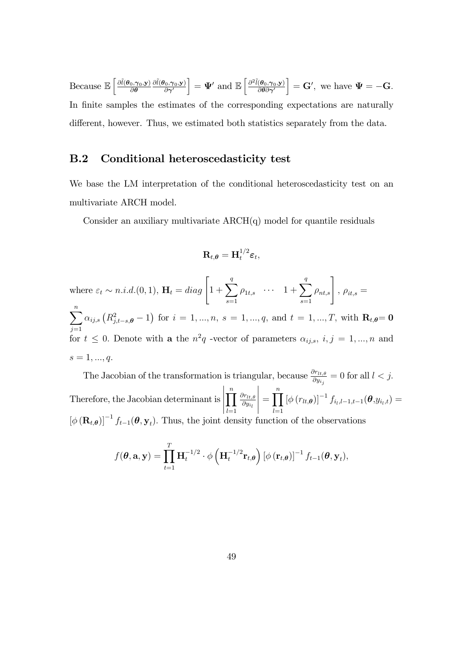Because  $\mathbb{E}\left[\frac{\partial \tilde{l}(\boldsymbol{\theta}_0,\boldsymbol{\gamma}_0,\mathbf{y})}{\partial \boldsymbol{\theta}}\right]$  $\partial \boldsymbol{\theta}$  $\partial \tilde{l}(\bm{\theta}_0, \bm{\gamma}_0, \mathbf{y})$  $\partial \bm{\gamma'}$  $\Big] = \mathbf{\Psi}' \text{ and } \mathbb{E}\left[\frac{\partial^2 \tilde{l}(\boldsymbol{\theta}_0, \boldsymbol{\gamma}_0, \mathbf{y})}{\partial \boldsymbol{\theta} \partial \boldsymbol{\gamma}'}\right]$  $\partial\bm\theta\partial\bm\gamma'$  $\Big] = \mathbf{G}'$ , we have  $\Psi = -\mathbf{G}$ . In finite samples the estimates of the corresponding expectations are naturally different, however. Thus, we estimated both statistics separately from the data.

## B.2 Conditional heteroscedasticity test

We base the LM interpretation of the conditional heteroscedasticity test on an multivariate ARCH model.

Consider an auxiliary multivariate  $ARCH(q)$  model for quantile residuals

$$
\mathbf{R}_{t,\boldsymbol{\theta}} = \mathbf{H}_t^{1/2} \boldsymbol{\varepsilon}_t,
$$

where  $\varepsilon_t \sim n.i.d.$  (0, 1),  $\mathbf{H}_t = diag\left[1 + \sum_{i=1}^{q} \mathbf{H}_i\right]$  $s=1$  $\rho_{1t,s}$  ...  $1+\sum_{ }^{q}$  $s=1$  $\rho_{nt,s}$ ,  $\rho_{it,s}$  =  $\sum_{n=1}^{\infty}$  $j=1$  $\alpha_{ij,s} (R_{j,t-s,\boldsymbol{\theta}}^2 - 1)$  for  $i = 1, ..., n, s = 1, ..., q$ , and  $t = 1, ..., T$ , with  $\mathbf{R}_{t,\boldsymbol{\theta}} = \mathbf{0}$ for  $t \leq 0$ . Denote with **a** the  $n^2q$  -vector of parameters  $\alpha_{ij,s}$ ,  $i, j = 1, ..., n$  and  $s = 1, ..., q.$ 

The Jacobian of the transformation is triangular, because  $\frac{\partial r_{lt,i,\theta}}{\partial y_{ij}} = 0$  for all  $l < j$ . Therefore, the Jacobian determinant is  $\prod^n$  $_{l=1}$  $\partial r_{lt,\theta}$  $\partial y_{i_l}$   $=\prod^{n}$  $_{l=1}$  $\left[\phi(r_{lt},\theta)\right]^{-1} f_{i_l,l-1,t-1}(\theta,y_{i_l,t}) =$  $[\phi(\mathbf{R}_{t,\theta})]^{-1} f_{t-1}(\theta, \mathbf{y}_t)$ . Thus, the joint density function of the observations

$$
f(\boldsymbol{\theta}, \mathbf{a}, \mathbf{y}) = \prod_{t=1}^T \mathbf{H}_t^{-1/2} \cdot \phi \left( \mathbf{H}_t^{-1/2} \mathbf{r}_{t, \boldsymbol{\theta}} \right) \left[ \phi \left( \mathbf{r}_{t, \boldsymbol{\theta}} \right) \right]^{-1} f_{t-1}(\boldsymbol{\theta}, \mathbf{y}_t),
$$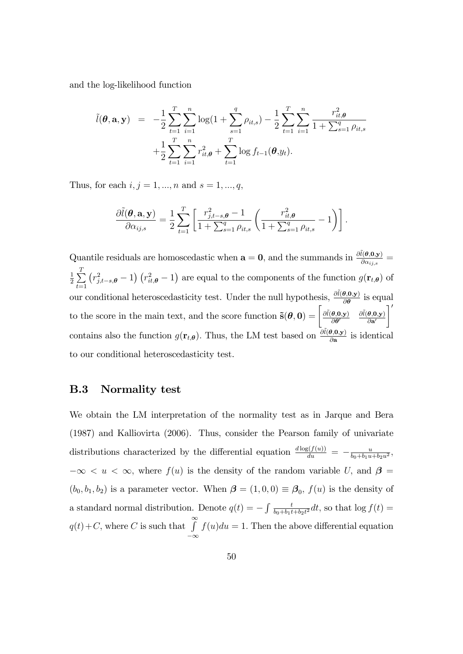and the log-likelihood function

$$
\tilde{l}(\boldsymbol{\theta}, \mathbf{a}, \mathbf{y}) = -\frac{1}{2} \sum_{t=1}^{T} \sum_{i=1}^{n} \log(1 + \sum_{s=1}^{q} \rho_{it,s}) - \frac{1}{2} \sum_{t=1}^{T} \sum_{i=1}^{n} \frac{r_{it,\boldsymbol{\theta}}^2}{1 + \sum_{s=1}^{q} \rho_{it,s}} + \frac{1}{2} \sum_{t=1}^{T} \sum_{i=1}^{n} r_{it,\boldsymbol{\theta}}^2 + \sum_{t=1}^{T} \log f_{t-1}(\boldsymbol{\theta}, y_t).
$$

Thus, for each  $i, j = 1, ..., n$  and  $s = 1, ..., q$ ,

$$
\frac{\partial \tilde{l}(\boldsymbol{\theta}, \mathbf{a}, \mathbf{y})}{\partial \alpha_{ij,s}} = \frac{1}{2} \sum_{t=1}^{T} \left[ \frac{r_{j,t-s,\boldsymbol{\theta}}^2 - 1}{1 + \sum_{s=1}^q \rho_{it,s}} \left( \frac{r_{it,\boldsymbol{\theta}}^2}{1 + \sum_{s=1}^q \rho_{it,s}} - 1 \right) \right].
$$

Quantile residuals are homoscedastic when  $\mathbf{a} = \mathbf{0}$ , and the summands in  $\frac{\partial \tilde{l}(\theta, \mathbf{0}, \mathbf{y})}{\partial \alpha_{ij,s}} =$ 1  $\frac{1}{2}$  $\sum$  $t=1$  $\left(r_{j,t-s,\theta}^2-1\right)\left(r_{it,\theta}^2-1\right)$  are equal to the components of the function  $g(\mathbf{r}_{t,\theta})$  of our conditional heteroscedasticity test. Under the null hypothesis,  $\frac{\partial \tilde{l}(\theta,0,y)}{\partial \theta}$  is equal to the score in the main text, and the score function  $\tilde{\mathbf{s}}(\theta, 0) = \begin{bmatrix} \frac{\partial \tilde{l}(\theta, 0, y)}{\partial \theta} \end{bmatrix}$  $\partial\bm\theta'$  $\partial \tilde{l}(\boldsymbol{\theta},\mathbf{0},\mathbf{y})$  $\partial a'$  $\overline{1}'$ contains also the function  $g(\mathbf{r}_{t,\theta})$ . Thus, the LM test based on  $\frac{\partial \tilde{l}(\theta,0,\mathbf{y})}{\partial \mathbf{a}}$  is identical to our conditional heteroscedasticity test.

### B.3 Normality test

We obtain the LM interpretation of the normality test as in Jarque and Bera (1987) and Kalliovirta (2006). Thus, consider the Pearson family of univariate distributions characterized by the differential equation  $\frac{d \log(f(u))}{du} = -\frac{u}{b_0 + b_1 u}$  $\frac{u}{b_0+b_1u+b_2u^2}$  $-\infty < u < \infty$ , where  $f(u)$  is the density of the random variable U, and  $\beta =$  $(b_0, b_1, b_2)$  is a parameter vector. When  $\boldsymbol{\beta} = (1, 0, 0) \equiv \boldsymbol{\beta}_0$ ,  $f(u)$  is the density of a standard normal distribution. Denote  $q(t) = -\int \frac{t}{b_0 + b_1 t}$  $\frac{t}{b_0+b_1t+b_2t^2}dt$ , so that  $\log f(t) =$  $q(t)$  + C, where C is such that  $\int_{1}^{\infty}$  $-\infty$  $f(u)du = 1.$  Then the above differential equation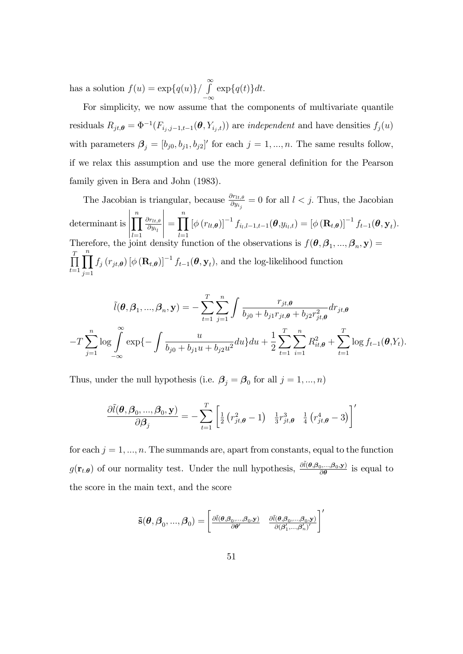has a solution  $f(u) = \exp\{q(u)\} / \int_0^\infty \exp\{q(t)\} dt$ .

For simplicity, we now assume that the components of multivariate quantile residuals  $R_{jt,\theta} = \Phi^{-1}(F_{i_j,j-1,t-1}(\theta, Y_{i_j,t}))$  are *independent* and have densities  $f_j(u)$ with parameters  $\boldsymbol{\beta}_j = [b_{j0}, b_{j1}, b_{j2}]'$  for each  $j = 1, ..., n$ . The same results follow, if we relax this assumption and use the more general definition for the Pearson family given in Bera and John (1983).

The Jacobian is triangular, because  $\frac{\partial r_{lt,\theta}}{\partial y_{ij}} = 0$  for all  $l < j$ . Thus, the Jacobian determinant is  $\begin{array}{c} \begin{array}{c} \begin{array}{c} \end{array} \\ \begin{array}{c} \end{array} \end{array} \end{array}$  $\prod^n$  $_{l=1}$  $\partial r_{lt,\theta}$  $\partial y_{i_l}$  $\begin{picture}(20,20) \put(0,0){\vector(1,0){10}} \put(10,0){\vector(1,0){10}} \put(10,0){\vector(1,0){10}} \put(10,0){\vector(1,0){10}} \put(10,0){\vector(1,0){10}} \put(10,0){\vector(1,0){10}} \put(10,0){\vector(1,0){10}} \put(10,0){\vector(1,0){10}} \put(10,0){\vector(1,0){10}} \put(10,0){\vector(1,0){10}} \put(10,0){\vector(1,0){10}} \put(10,0){\vector(1$  $=\prod^{n}$  $_{l=1}$  $\left[\phi\left(r_{lt,\theta}\right)\right]^{-1}f_{i_l,l-1,t-1}(\theta,y_{i_l,t})=\left[\phi\left(\mathbf{R}_{t,\theta}\right)\right]^{-1}f_{t-1}(\theta,\mathbf{y}_t).$ Therefore, the joint density function of the observations is  $f(\theta, \beta_1, ..., \beta_n, \mathbf{y}) =$  $\frac{T}{\prod}$  $t=1$  $\prod^n$  $j=1$  $f_j(r_{jt},\boldsymbol{\theta}) [\phi(\mathbf{R}_{t},\boldsymbol{\theta})]^{-1} f_{t-1}(\boldsymbol{\theta}, \mathbf{y}_t),$  and the log-likelihood function

$$
\tilde{l}(\theta, \beta_1, ..., \beta_n, \mathbf{y}) = -\sum_{t=1}^T \sum_{j=1}^n \int \frac{r_{jt,\theta}}{b_{j0} + b_{j1}r_{jt,\theta} + b_{j2}r_{jt,\theta}^2} dr_{jt,\theta}
$$

$$
-T \sum_{j=1}^n \log \int_{-\infty}^{\infty} \exp\{-\int \frac{u}{b_{j0} + b_{j1}u + b_{j2}u^2} du\} du + \frac{1}{2} \sum_{t=1}^T \sum_{i=1}^n R_{it,\theta}^2 + \sum_{t=1}^T \log f_{t-1}(\theta, Y_t).
$$

Thus, under the null hypothesis (i.e.  $\beta_j = \beta_0$  for all  $j = 1, ..., n$ )

$$
\frac{\partial \tilde{l}(\boldsymbol{\theta}, \boldsymbol{\beta}_0, ..., \boldsymbol{\beta}_0, \mathbf{y})}{\partial \boldsymbol{\beta}_j} = -\sum_{t=1}^T \left[ \frac{1}{2} \left( r_{jt,\boldsymbol{\theta}}^2 - 1 \right) \frac{1}{3} r_{jt,\boldsymbol{\theta}}^3 \frac{1}{4} \left( r_{jt,\boldsymbol{\theta}}^4 - 3 \right) \right]'
$$

for each  $j = 1, ..., n$ . The summands are, apart from constants, equal to the function  $g(\mathbf{r}_{t,\theta})$  of our normality test. Under the null hypothesis,  $\frac{\partial \tilde{l}(\theta,\beta_0,...,\beta_0,\mathbf{y})}{\partial \theta}$  $\frac{\partial \mathbf{y},...,\mathbf{p}_0,\mathbf{y}}{\partial \theta}$  is equal to the score in the main text, and the score

$$
\tilde{\mathbf{s}}(\boldsymbol{\theta},\boldsymbol{\beta}_0,...,\boldsymbol{\beta}_0)=\begin{bmatrix}\frac{\partial \tilde{l}(\boldsymbol{\theta},\boldsymbol{\beta}_0,...,\boldsymbol{\beta}_0,\mathbf{y})}{\partial \boldsymbol{\theta}'} & \frac{\partial \tilde{l}(\boldsymbol{\theta},\boldsymbol{\beta}_0,...,\boldsymbol{\beta}_0,\mathbf{y})}{\partial {(\boldsymbol{\beta}_1',...,\boldsymbol{\beta}_n')}'}\end{bmatrix}'
$$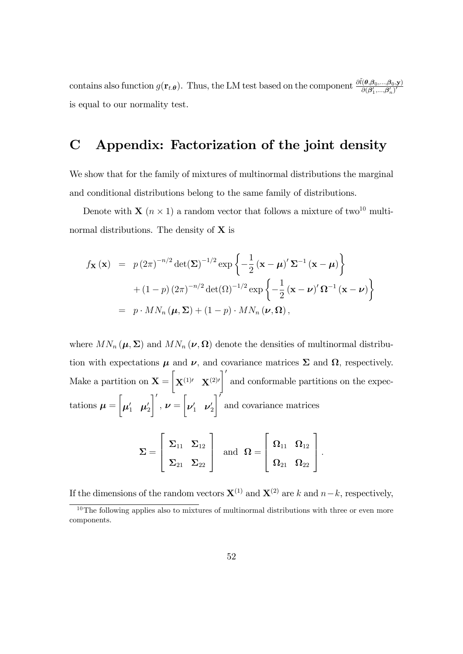contains also function  $g(\mathbf{r}_{t,\theta})$ . Thus, the LM test based on the component  $\frac{\partial \tilde{l}(\theta,\beta_0,...,\beta_0,\mathbf{y})}{\partial (\theta'_t-\theta'_t)'}$  $\partial(\boldsymbol{\beta}_1',...,\!\boldsymbol{\beta}_n')'$ is equal to our normality test.

# C Appendix: Factorization of the joint density

We show that for the family of mixtures of multinormal distributions the marginal and conditional distributions belong to the same family of distributions.

Denote with **X** ( $n \times 1$ ) a random vector that follows a mixture of two<sup>10</sup> multinormal distributions. The density of  $X$  is

$$
f_{\mathbf{X}}(\mathbf{x}) = p(2\pi)^{-n/2} \det(\mathbf{\Sigma})^{-1/2} \exp\left\{-\frac{1}{2}(\mathbf{x} - \boldsymbol{\mu})' \mathbf{\Sigma}^{-1}(\mathbf{x} - \boldsymbol{\mu})\right\}
$$

$$
+ (1-p) (2\pi)^{-n/2} \det(\Omega)^{-1/2} \exp\left\{-\frac{1}{2}(\mathbf{x} - \boldsymbol{\nu})' \Omega^{-1}(\mathbf{x} - \boldsymbol{\nu})\right\}
$$

$$
= p \cdot M N_n(\boldsymbol{\mu}, \boldsymbol{\Sigma}) + (1-p) \cdot M N_n(\boldsymbol{\nu}, \Omega),
$$

where  $MN_n(\mu, \Sigma)$  and  $MN_n(\nu, \Omega)$  denote the densities of multinormal distribution with expectations  $\mu$  and  $\nu$ , and covariance matrices  $\Sigma$  and  $\Omega$ , respectively. Make a partition on  $X =$  $\sqrt{ }$  $\mathbf{X}^{(1)\prime}$   $\mathbf{X}^{(2)\prime}$  $\mathcal{I}'$ and conformable partitions on the expectations  $\mu =$  $\sqrt{ }$  $\boldsymbol{\mu}_1' \quad \boldsymbol{\mu}_2'$  $\lceil$  $, \nu =$  $\sqrt{ }$  $\boldsymbol{\nu}_1' \quad \boldsymbol{\nu}_2'$  $\overline{\phantom{a}}$ and covariance matrices

$$
\Sigma = \left[\begin{array}{cc} \Sigma_{11} & \Sigma_{12} \\ \Sigma_{21} & \Sigma_{22} \end{array}\right] \ \ \text{and} \ \ \Omega = \left[\begin{array}{cc} \Omega_{11} & \Omega_{12} \\ \Omega_{21} & \Omega_{22} \end{array}\right].
$$

If the dimensions of the random vectors  $\mathbf{X}^{(1)}$  and  $\mathbf{X}^{(2)}$  are k and  $n-k$ , respectively,

 $10$ The following applies also to mixtures of multinormal distributions with three or even more components.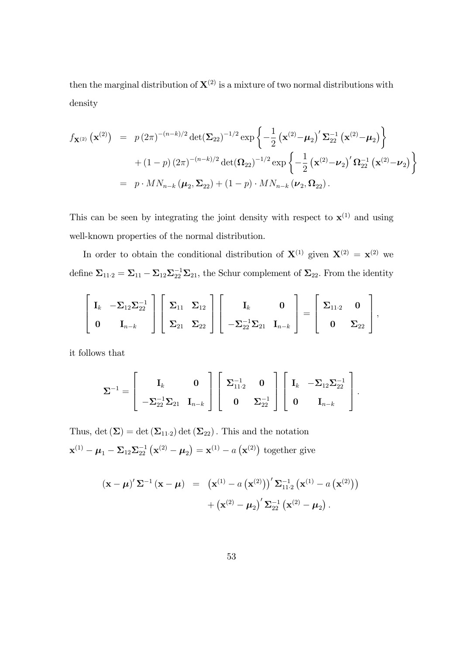then the marginal distribution of  $X^{(2)}$  is a mixture of two normal distributions with density

$$
f_{\mathbf{X}^{(2)}}\left(\mathbf{x}^{(2)}\right) = p(2\pi)^{-(n-k)/2} \det(\mathbf{\Sigma}_{22})^{-1/2} \exp\left\{-\frac{1}{2}\left(\mathbf{x}^{(2)} - \boldsymbol{\mu}_2\right)' \mathbf{\Sigma}_{22}^{-1}\left(\mathbf{x}^{(2)} - \boldsymbol{\mu}_2\right)\right\}
$$
  
+  $(1-p)(2\pi)^{-(n-k)/2} \det(\mathbf{\Omega}_{22})^{-1/2} \exp\left\{-\frac{1}{2}\left(\mathbf{x}^{(2)} - \boldsymbol{\nu}_2\right)' \mathbf{\Omega}_{22}^{-1}\left(\mathbf{x}^{(2)} - \boldsymbol{\nu}_2\right)\right\}$   
=  $p \cdot M N_{n-k} \left(\boldsymbol{\mu}_2, \mathbf{\Sigma}_{22}\right) + (1-p) \cdot M N_{n-k} \left(\boldsymbol{\nu}_2, \mathbf{\Omega}_{22}\right).$ 

This can be seen by integrating the joint density with respect to  $\mathbf{x}^{(1)}$  and using well-known properties of the normal distribution.

In order to obtain the conditional distribution of  $X^{(1)}$  given  $X^{(2)} = X^{(2)}$  we define  $\Sigma_{11\cdot 2} = \Sigma_{11} - \Sigma_{12} \Sigma_{22}^{-1} \Sigma_{21}$ , the Schur complement of  $\Sigma_{22}$ . From the identity

$$
\left[\begin{array}{cc} \mathbf{I}_k & -\boldsymbol{\Sigma}_{12}\boldsymbol{\Sigma}_{22}^{-1} \\ \mathbf{0} & \mathbf{I}_{n-k} \end{array}\right] \left[\begin{array}{cc} \boldsymbol{\Sigma}_{11} & \boldsymbol{\Sigma}_{12} \\ \boldsymbol{\Sigma}_{21} & \boldsymbol{\Sigma}_{22} \end{array}\right] \left[\begin{array}{cc} \mathbf{I}_k & \mathbf{0} \\ -\boldsymbol{\Sigma}_{22}^{-1}\boldsymbol{\Sigma}_{21} & \mathbf{I}_{n-k} \end{array}\right] = \left[\begin{array}{cc} \boldsymbol{\Sigma}_{11\cdot 2} & \mathbf{0} \\ \mathbf{0} & \boldsymbol{\Sigma}_{22} \end{array}\right],
$$

it follows that

$$
\pmb{\Sigma}^{-1} = \left[\begin{array}{cc} \mathbf{I}_k & \mathbf{0} \\ -\pmb{\Sigma}_{22}^{-1}\pmb{\Sigma}_{21} & \mathbf{I}_{n-k} \end{array}\right] \left[\begin{array}{cc} \pmb{\Sigma}_{11\cdot 2}^{-1} & \mathbf{0} \\ \mathbf{0} & \pmb{\Sigma}_{22}^{-1} \end{array}\right] \left[\begin{array}{cc} \mathbf{I}_k & -\pmb{\Sigma}_{12}\pmb{\Sigma}_{22}^{-1} \\ \mathbf{0} & \mathbf{I}_{n-k} \end{array}\right].
$$

Thus, det  $(\Sigma) = \det(\Sigma_{11\cdot2}) \det(\Sigma_{22})$ . This and the notation  $\mathbf{x}^{(1)} - \boldsymbol{\mu}_1 - \boldsymbol{\Sigma}_{12} \boldsymbol{\Sigma}_{22}^{-1} (\mathbf{x}^{(2)} - \boldsymbol{\mu}_2) = \mathbf{x}^{(1)} - a (\mathbf{x}^{(2)})$  together give

$$
(\mathbf{x} - \boldsymbol{\mu})' \Sigma^{-1} (\mathbf{x} - \boldsymbol{\mu}) = (\mathbf{x}^{(1)} - a (\mathbf{x}^{(2)}))^{\prime} \Sigma_{11\cdot 2}^{-1} (\mathbf{x}^{(1)} - a (\mathbf{x}^{(2)})) + (\mathbf{x}^{(2)} - \boldsymbol{\mu}_{2})' \Sigma_{22}^{-1} (\mathbf{x}^{(2)} - \boldsymbol{\mu}_{2}).
$$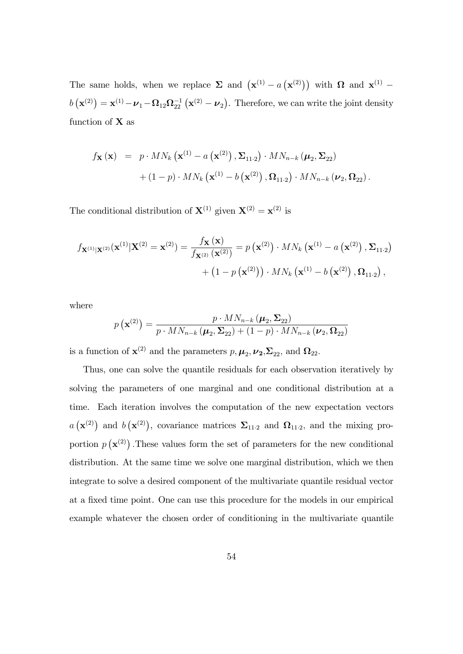The same holds, when we replace  $\Sigma$  and  $(\mathbf{x}^{(1)} - a(\mathbf{x}^{(2)}))$  with  $\Omega$  and  $\mathbf{x}^{(1)}$   $b\left(\mathbf{x}^{(2)}\right) = \mathbf{x}^{(1)} - \boldsymbol{\nu}_1 - \boldsymbol{\Omega}_{12}\boldsymbol{\Omega}_{22}^{-1}\left(\mathbf{x}^{(2)} - \boldsymbol{\nu}_2\right)$ . Therefore, we can write the joint density function of  $X$  as

$$
f_{\mathbf{X}}(\mathbf{x}) = p \cdot MN_k(\mathbf{x}^{(1)} - a(\mathbf{x}^{(2)}), \Sigma_{11\cdot 2}) \cdot MN_{n-k}(\boldsymbol{\mu}_2, \Sigma_{22})
$$

$$
+ (1-p) \cdot MN_k(\mathbf{x}^{(1)} - b(\mathbf{x}^{(2)}), \Omega_{11\cdot 2}) \cdot MN_{n-k}(\boldsymbol{\nu}_2, \Omega_{22}).
$$

The conditional distribution of  $X^{(1)}$  given  $X^{(2)} = x^{(2)}$  is

$$
f_{\mathbf{X}^{(1)}|\mathbf{X}^{(2)}}(\mathbf{x}^{(1)}|\mathbf{X}^{(2)} = \mathbf{x}^{(2)}) = \frac{f_{\mathbf{X}}(\mathbf{x})}{f_{\mathbf{X}^{(2)}}(\mathbf{x}^{(2)})} = p(\mathbf{x}^{(2)}) \cdot MN_k(\mathbf{x}^{(1)} - a(\mathbf{x}^{(2)}), \Sigma_{11\cdot 2}) + (1 - p(\mathbf{x}^{(2)})) \cdot MN_k(\mathbf{x}^{(1)} - b(\mathbf{x}^{(2)}), \Omega_{11\cdot 2}),
$$

where

$$
p\left(\mathbf{x}^{(2)}\right) = \frac{p \cdot M N_{n-k}\left(\boldsymbol{\mu}_2, \boldsymbol{\Sigma}_{22}\right)}{p \cdot M N_{n-k}\left(\boldsymbol{\mu}_2, \boldsymbol{\Sigma}_{22}\right) + (1-p) \cdot M N_{n-k}\left(\boldsymbol{\nu}_2, \boldsymbol{\Omega}_{22}\right)}
$$

is a function of  $\mathbf{x}^{(2)}$  and the parameters  $p, \mu_2, \nu_2, \Sigma_{22}$ , and  $\Omega_{22}$ .

Thus, one can solve the quantile residuals for each observation iteratively by solving the parameters of one marginal and one conditional distribution at a time. Each iteration involves the computation of the new expectation vectors  $a(\mathbf{x}^{(2)})$  and  $b(\mathbf{x}^{(2)})$ , covariance matrices  $\Sigma_{11\cdot 2}$  and  $\Omega_{11\cdot 2}$ , and the mixing proportion  $p(\mathbf{x}^{(2)})$ . These values form the set of parameters for the new conditional distribution. At the same time we solve one marginal distribution, which we then integrate to solve a desired component of the multivariate quantile residual vector at a fixed time point. One can use this procedure for the models in our empirical example whatever the chosen order of conditioning in the multivariate quantile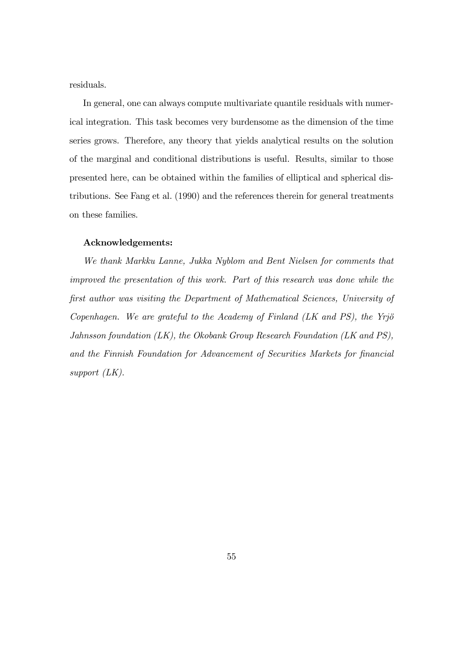residuals.

In general, one can always compute multivariate quantile residuals with numerical integration. This task becomes very burdensome as the dimension of the time series grows. Therefore, any theory that yields analytical results on the solution of the marginal and conditional distributions is useful. Results, similar to those presented here, can be obtained within the families of elliptical and spherical distributions. See Fang et al. (1990) and the references therein for general treatments on these families.

#### Acknowledgements:

We thank Markku Lanne, Jukka Nyblom and Bent Nielsen for comments that improved the presentation of this work. Part of this research was done while the Örst author was visiting the Department of Mathematical Sciences, University of Copenhagen. We are grateful to the Academy of Finland  $(LK$  and PS), the Yrjö Jahnsson foundation (LK), the Okobank Group Research Foundation (LK and PS), and the Finnish Foundation for Advancement of Securities Markets for financial support (LK).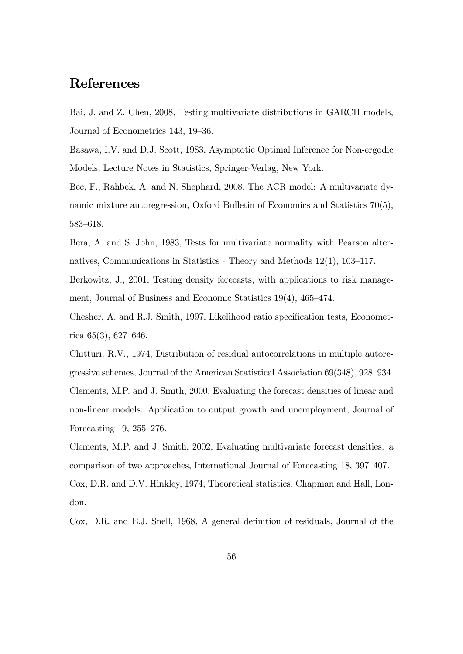# References

Bai, J. and Z. Chen, 2008, Testing multivariate distributions in GARCH models, Journal of Econometrics 143, 19–36.

Basawa, I.V. and D.J. Scott, 1983, Asymptotic Optimal Inference for Non-ergodic Models, Lecture Notes in Statistics, Springer-Verlag, New York.

Bec, F., Rahbek, A. and N. Shephard, 2008, The ACR model: A multivariate dynamic mixture autoregression, Oxford Bulletin of Economics and Statistics 70(5), 583-618.

Bera, A. and S. John, 1983, Tests for multivariate normality with Pearson alternatives, Communications in Statistics - Theory and Methods  $12(1)$ ,  $103-117$ .

Berkowitz, J., 2001, Testing density forecasts, with applications to risk management, Journal of Business and Economic Statistics  $19(4)$ ,  $465-474$ .

Chesher, A. and R.J. Smith, 1997, Likelihood ratio specification tests, Econometrica  $65(3)$ ,  $627-646$ .

Chitturi, R.V., 1974, Distribution of residual autocorrelations in multiple autoregressive schemes, Journal of the American Statistical Association  $69(348)$ ,  $928-934$ . Clements, M.P. and J. Smith, 2000, Evaluating the forecast densities of linear and non-linear models: Application to output growth and unemployment, Journal of Forecasting 19,  $255-276$ .

Clements, M.P. and J. Smith, 2002, Evaluating multivariate forecast densities: a comparison of two approaches, International Journal of Forecasting 18, 397–407. Cox, D.R. and D.V. Hinkley, 1974, Theoretical statistics, Chapman and Hall, London.

Cox, D.R. and E.J. Snell, 1968, A general definition of residuals, Journal of the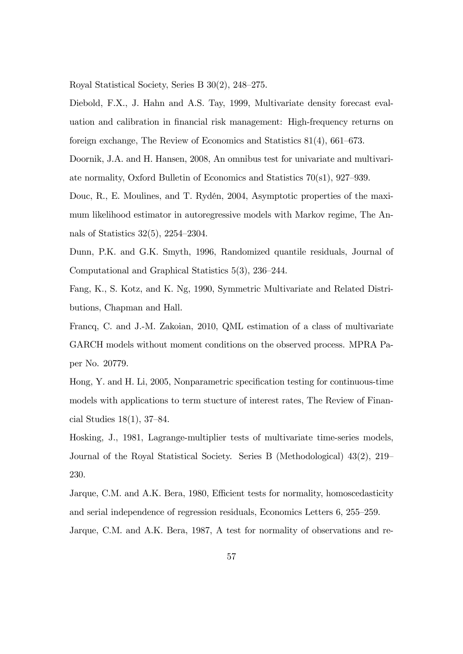Royal Statistical Society, Series B  $30(2)$ , 248–275.

Diebold, F.X., J. Hahn and A.S. Tay, 1999, Multivariate density forecast evaluation and calibration in Önancial risk management: High-frequency returns on foreign exchange, The Review of Economics and Statistics  $81(4)$ ,  $661-673$ .

Doornik, J.A. and H. Hansen, 2008, An omnibus test for univariate and multivariate normality, Oxford Bulletin of Economics and Statistics  $70(s1)$ ,  $927-939$ .

Douc, R., E. Moulines, and T. Rydén, 2004, Asymptotic properties of the maximum likelihood estimator in autoregressive models with Markov regime, The Annals of Statistics  $32(5)$ ,  $2254-2304$ .

Dunn, P.K. and G.K. Smyth, 1996, Randomized quantile residuals, Journal of Computational and Graphical Statistics  $5(3)$ ,  $236-244$ .

Fang, K., S. Kotz, and K. Ng, 1990, Symmetric Multivariate and Related Distributions, Chapman and Hall.

Francq, C. and J.-M. Zakoian, 2010, QML estimation of a class of multivariate GARCH models without moment conditions on the observed process. MPRA Paper No. 20779.

Hong, Y. and H. Li, 2005, Nonparametric specification testing for continuous-time models with applications to term stucture of interest rates, The Review of Financial Studies  $18(1)$ , 37–84.

Hosking, J., 1981, Lagrange-multiplier tests of multivariate time-series models, Journal of the Royal Statistical Society. Series B (Methodological)  $43(2)$ ,  $219$ 230.

Jarque, C.M. and A.K. Bera, 1980, Efficient tests for normality, homoscedasticity and serial independence of regression residuals, Economics Letters  $6, 255-259$ . Jarque, C.M. and A.K. Bera, 1987, A test for normality of observations and re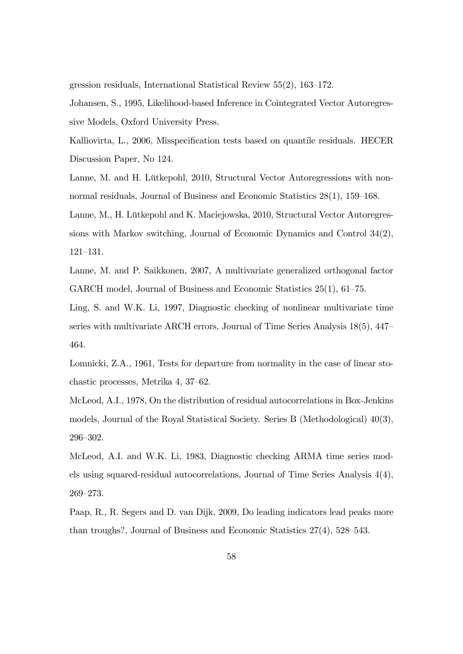gression residuals, International Statistical Review  $55(2)$ ,  $163-172$ .

Johansen, S., 1995, Likelihood-based Inference in Cointegrated Vector Autoregressive Models, Oxford University Press.

Kalliovirta, L., 2006, Misspecification tests based on quantile residuals. HECER Discussion Paper, No 124.

Lanne, M. and H. Lütkepohl, 2010, Structural Vector Autoregressions with nonnormal residuals, Journal of Business and Economic Statistics  $28(1)$ ,  $159-168$ .

Lanne, M., H. Lütkepohl and K. Maciejowska, 2010, Structural Vector Autoregressions with Markov switching, Journal of Economic Dynamics and Control 34(2),  $121 - 131.$ 

Lanne, M. and P. Saikkonen, 2007, A multivariate generalized orthogonal factor GARCH model, Journal of Business and Economic Statistics  $25(1)$ ,  $61-75$ .

Ling, S. and W.K. Li, 1997, Diagnostic checking of nonlinear multivariate time series with multivariate ARCH errors, Journal of Time Series Analysis  $18(5)$ ,  $447<sub>7</sub>$ 464.

Lomnicki, Z.A., 1961, Tests for departure from normality in the case of linear stochastic processes, Metrika 4, 37–62.

McLeod, A.I., 1978, On the distribution of residual autocorrelations in Box-Jenkins models, Journal of the Royal Statistical Society. Series B (Methodological) 40(3), 296-302.

McLeod, A.I. and W.K. Li, 1983, Diagnostic checking ARMA time series models using squared-residual autocorrelations, Journal of Time Series Analysis 4(4), 269-273.

Paap, R., R. Segers and D. van Dijk, 2009, Do leading indicators lead peaks more than troughs?, Journal of Business and Economic Statistics  $27(4)$ ,  $528-543$ .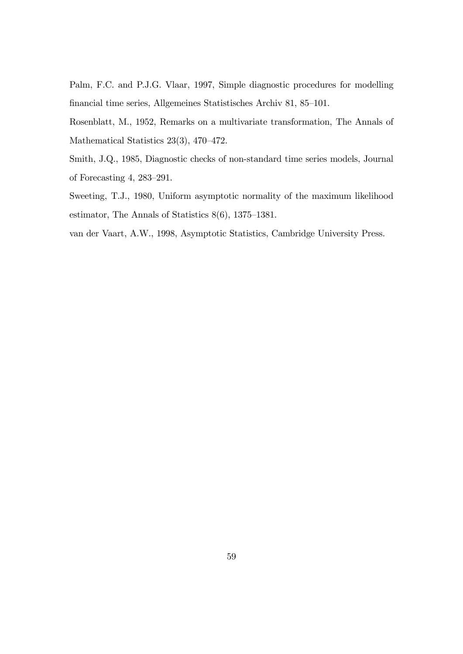Palm, F.C. and P.J.G. Vlaar, 1997, Simple diagnostic procedures for modelling financial time series, Allgemeines Statistisches Archiv 81, 85–101.

Rosenblatt, M., 1952, Remarks on a multivariate transformation, The Annals of Mathematical Statistics  $23(3)$ ,  $470-472$ .

Smith, J.Q., 1985, Diagnostic checks of non-standard time series models, Journal of Forecasting  $4, 283-291$ .

Sweeting, T.J., 1980, Uniform asymptotic normality of the maximum likelihood estimator, The Annals of Statistics  $8(6)$ , 1375–1381.

van der Vaart, A.W., 1998, Asymptotic Statistics, Cambridge University Press.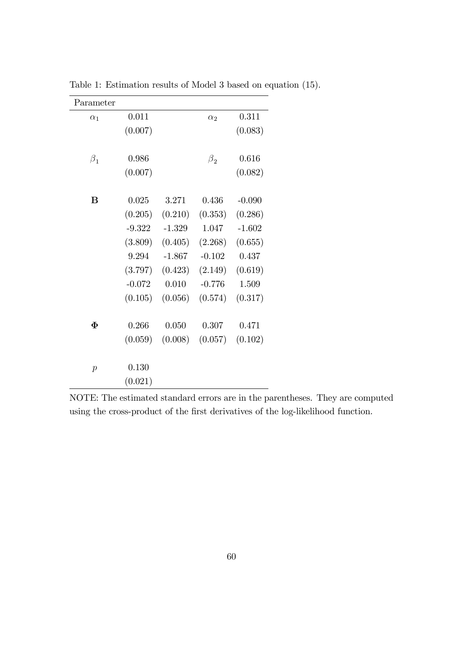| Parameter           |          |          |            |          |
|---------------------|----------|----------|------------|----------|
| $\alpha_1$          | 0.011    |          | $\alpha_2$ | 0.311    |
|                     | (0.007)  |          |            | (0.083)  |
|                     |          |          |            |          |
| $\beta_1$           | 0.986    |          | $\beta_2$  | 0.616    |
|                     | (0.007)  |          |            | (0.082)  |
|                     |          |          |            |          |
| B                   | 0.025    | 3.271    | 0.436      | $-0.090$ |
|                     | (0.205)  | (0.210)  | (0.353)    | (0.286)  |
|                     | $-9.322$ | $-1.329$ | 1.047      | $-1.602$ |
|                     | (3.809)  | (0.405)  | (2.268)    | (0.655)  |
|                     | 9.294    | $-1.867$ | $-0.102$   | 0.437    |
|                     | (3.797)  | (0.423)  | (2.149)    | (0.619)  |
|                     | $-0.072$ | 0.010    | $-0.776$   | 1.509    |
|                     | (0.105)  | (0.056)  | (0.574)    | (0.317)  |
|                     |          |          |            |          |
| $\boldsymbol{\Phi}$ | 0.266    | 0.050    | 0.307      | 0.471    |
|                     | (0.059)  | (0.008)  | (0.057)    | (0.102)  |
|                     |          |          |            |          |
| $\boldsymbol{p}$    | 0.130    |          |            |          |
|                     | (0.021)  |          |            |          |

Table 1: Estimation results of Model 3 based on equation (15).

NOTE: The estimated standard errors are in the parentheses. They are computed using the cross-product of the first derivatives of the log-likelihood function.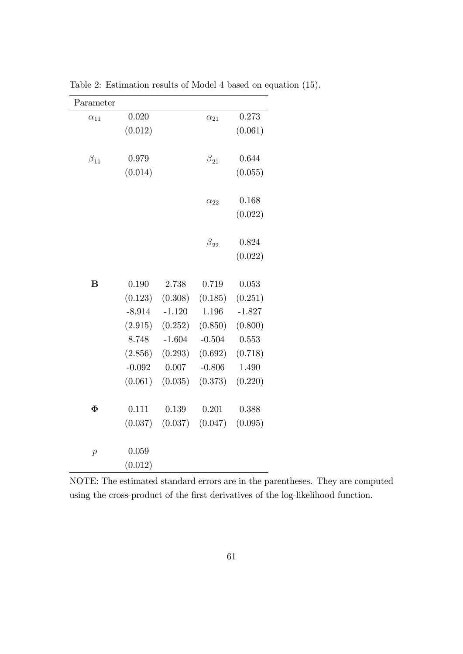| Parameter      |          |          |               |          |
|----------------|----------|----------|---------------|----------|
| $\alpha_{11}$  | 0.020    |          | $\alpha_{21}$ | 0.273    |
|                | (0.012)  |          |               | (0.061)  |
|                |          |          |               |          |
| $\beta_{11}$   | 0.979    |          | $\beta_{21}$  | 0.644    |
|                | (0.014)  |          |               | (0.055)  |
|                |          |          |               |          |
|                |          |          | $\alpha_{22}$ | 0.168    |
|                |          |          |               | (0.022)  |
|                |          |          |               |          |
|                |          |          | $\beta_{22}$  | 0.824    |
|                |          |          |               | (0.022)  |
|                |          |          |               |          |
| $\bf{B}$       | 0.190    | 2.738    | 0.719         | 0.053    |
|                | (0.123)  | (0.308)  | (0.185)       | (0.251)  |
|                | $-8.914$ | $-1.120$ | 1.196         | $-1.827$ |
|                | (2.915)  | (0.252)  | (0.850)       | (0.800)  |
|                | 8.748    | $-1.604$ | $-0.504$      | 0.553    |
|                | (2.856)  | (0.293)  | (0.692)       | (0.718)  |
|                | $-0.092$ | 0.007    | $-0.806$      | 1.490    |
|                | (0.061)  | (0.035)  | (0.373)       | (0.220)  |
|                |          |          |               |          |
| $\Phi$         | 0.111    | 0.139    | 0.201         | 0.388    |
|                | (0.037)  | (0.037)  | (0.047)       | (0.095)  |
|                |          |          |               |          |
| $\overline{p}$ | 0.059    |          |               |          |
|                | (0.012)  |          |               |          |

Table 2: Estimation results of Model 4 based on equation (15).

NOTE: The estimated standard errors are in the parentheses. They are computed using the cross-product of the first derivatives of the log-likelihood function.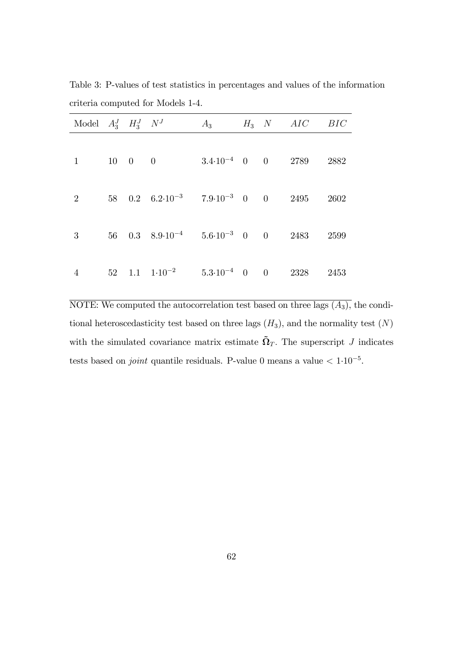| Model $A_3^J$ $H_3^J$ $N^J$ |  |                                                                                                    | $A_3$ |  | $H_3$ N AIC BIC |  |
|-----------------------------|--|----------------------------------------------------------------------------------------------------|-------|--|-----------------|--|
|                             |  |                                                                                                    |       |  |                 |  |
| $1 \quad \blacksquare$      |  | $10 \quad 0 \quad 0$ $3.4 \cdot 10^{-4} \quad 0 \quad 0$ $2789 \quad 2882$                         |       |  |                 |  |
| 2 <sup>1</sup>              |  | 58 0.2 $6.2 \cdot 10^{-3}$ $7.9 \cdot 10^{-3}$ 0 0 2495 2602                                       |       |  |                 |  |
|                             |  |                                                                                                    |       |  |                 |  |
| 3                           |  | 56 0.3 $8.9 \cdot 10^{-4}$ 5.6 $\cdot 10^{-3}$ 0 0 2483 2599                                       |       |  |                 |  |
| $\overline{4}$              |  | $52 \quad 1.1 \quad 1 \cdot 10^{-2} \quad 5.3 \cdot 10^{-4} \quad 0 \quad 0 \quad 2328 \quad 2453$ |       |  |                 |  |

Table 3: P-values of test statistics in percentages and values of the information criteria computed for Models 1-4.

NOTE: We computed the autocorrelation test based on three lags  $(A_3)$ , the conditional heteroscedasticity test based on three lags  $(H_3)$ , and the normality test  $(N)$ with the simulated covariance matrix estimate  $\tilde{\Omega}_T$ . The superscript J indicates tests based on *joint* quantile residuals. P-value 0 means a value  $\lt 1.10^{-5}$ .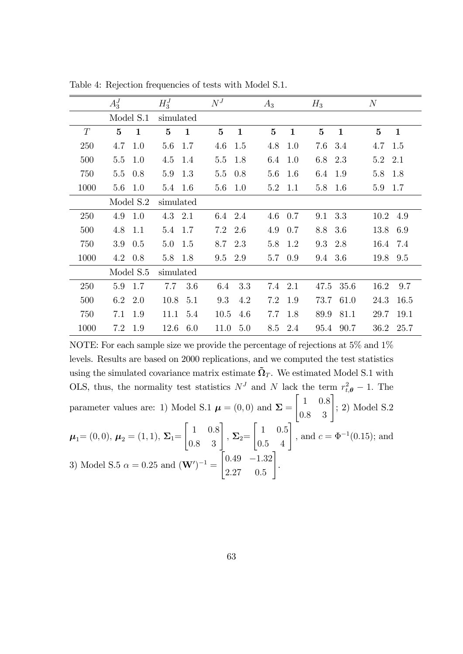|      | $A_3^J$        | $H_3^J$        | $N^J$          | $A_3$        | $H_3$        | $\boldsymbol{N}$ |
|------|----------------|----------------|----------------|--------------|--------------|------------------|
|      | Model S.1      | simulated      |                |              |              |                  |
| T    | $5\phantom{.}$ | $\overline{5}$ | $5\phantom{.}$ | $\mathbf{5}$ | $\mathbf{5}$ | $\bf{5}$         |
|      | $\mathbf{1}$   | $\mathbf{1}$   | $\mathbf{1}$   | $\mathbf{1}$ | $\mathbf{1}$ | $\mathbf{1}$     |
| 250  | 4.7            | 5.6            | 4.6            | 4.8          | 7.6          | 4.7              |
|      | 1.0            | 1.7            | 1.5            | 1.0          | 3.4          | 1.5              |
| 500  | 5.5            | 1.4            | 1.8            | 1.0          | 6.8          | 5.2              |
|      | 1.0            | 4.5            | 5.5            | 6.4          | 2.3          | 2.1              |
| 750  | 0.8            | 1.3            | 0.8            | 5.6          | 6.4          | 5.8              |
|      | $5.5\,$        | 5.9            | 5.5            | 1.6          | 1.9          | 1.8              |
| 1000 | $5.6\,$<br>1.0 | 5.4 1.6        | 1.0<br>5.6     | 5.2<br>1.1   | 5.8<br>- 1.6 | 5.9<br>1.7       |
|      | Model S.2      | simulated      |                |              |              |                  |
| 250  | 4.9<br>1.0     | 4.3 2.1        | 2.4<br>6.4     | 4.6<br>0.7   | 3.3<br>9.1   | 10.2<br>4.9      |
| 500  | 4.8            | 1.7            | 7.2            | 4.9          | 3.6          | 13.8             |
|      | 1.1            | 5.4            | 2.6            | 0.7          | 8.8          | 6.9              |
| 750  | 0.5            | 5.0            | 2.3            | 5.8          | 9.3          | 16.4             |
|      | 3.9            | 1.5            | 8.7            | 1.2          | 2.8          | 7.4              |
| 1000 | 4.2            | 5.8            | 2.9            | 0.9          | 3.6          | 19.8             |
|      | 0.8            | 1.8            | 9.5            | 5.7          | 9.4          | 9.5              |
|      | Model S.5      | simulated      |                |              |              |                  |
| 250  | 5.9            | 7.7            | 3.3            | 7.4          | 47.5         | 16.2             |
|      | 1.7            | 3.6            | 6.4            | 2.1          | 35.6         | 9.7              |
| 500  | 6.2            | 10.8           | 9.3            | 7.2          | 73.7         | 24.3             |
|      | 2.0            | 5.1            | 4.2            | 1.9          | 61.0         | 16.5             |
| 750  | 7.1            | 11.1           | 4.6            | 1.8          | 89.9         | 29.7             |
|      | 1.9            | 5.4            | 10.5           | 7.7          | 81.1         | 19.1             |
| 1000 | 1.9            | 6.0            | 5.0            | 2.4          | 95.4         | 36.2             |
|      | 7.2            | 12.6           | 11.0           | 8.5          | 90.7         | 25.7             |

Table 4: Rejection frequencies of tests with Model S.1.

NOTE: For each sample size we provide the percentage of rejections at 5% and 1% levels. Results are based on 2000 replications, and we computed the test statistics using the simulated covariance matrix estimate  $\tilde{\Omega}_T$ . We estimated Model S.1 with OLS, thus, the normality test statistics  $N<sup>J</sup>$  and N lack the term  $r_{t,\theta}^2 - 1$ . The parameter values are: 1) Model S.1  $\mu = (0,0)$  and  $\Sigma =$  $\begin{bmatrix} 1 & 0.8 \\ 0.8 & 3 \end{bmatrix}$ ; 2) Model S.2  $\boldsymbol{\mu}_1=(0,0),\, \boldsymbol{\mu}_2=(1,1),\, \boldsymbol{\Sigma}_1=$  $\begin{bmatrix} 1 & 0.8 \\ 0.8 & 3 \end{bmatrix}$  $, \, \Sigma_2 =$  $\begin{bmatrix} 1 & 0.5 \\ 0.5 & 4 \end{bmatrix}$ , and  $c = \Phi^{-1}(0.15)$ ; and 3) Model S.5  $\alpha = 0.25$  and  $(\mathbf{W}')^{-1} =$  $\begin{bmatrix} 0.49 & -1.32 \end{bmatrix}$ :27 0:5  $\overline{1}$ .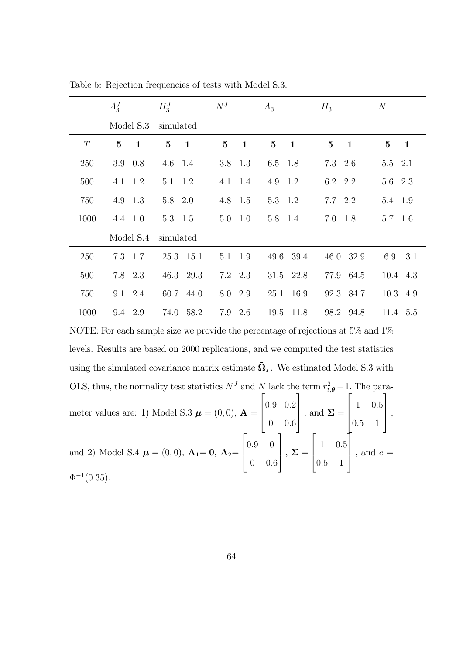|      | $A_3^J$           | $H_3^J$                      | $N^{J}$                         | $A_3$                    | $H_3$                        | N                        |
|------|-------------------|------------------------------|---------------------------------|--------------------------|------------------------------|--------------------------|
|      | Model S.3         | simulated                    |                                 |                          |                              |                          |
| T    | 5<br>$\mathbf{1}$ | $\mathbf{5}$<br>$\mathbf{1}$ | $5\overline{)}$<br>$\mathbf{1}$ | $\bf{5}$<br>$\mathbf{1}$ | $\mathbf{5}$<br>$\mathbf{1}$ | $\bf{5}$<br>$\mathbf{1}$ |
| 250  | 0.8<br>3.9        | $4.6$ 1.4                    | 3.8 1.3                         | 6.5 1.8                  | 7.3 2.6                      | 5.5 2.1                  |
| 500  | 1.2<br>4.1        | 5.1 1.2                      | 4.1 1.4                         | 4.9 1.2                  | 6.2 2.2                      | 5.6 2.3                  |
| 750  | 1.3<br>4.9        | 5.8 2.0                      | 4.8 1.5                         | 5.3 1.2                  | $7.7\quad 2.2$               | 5.4 1.9                  |
| 1000 | 4.4 1.0           | 5.3 1.5                      | 5.0<br>1.0                      | 5.8 1.4                  | 7.0 1.8                      | $5.7 \quad 1.6$          |
|      | Model S.4         | simulated                    |                                 |                          |                              |                          |
| 250  | 7.3 1.7           | 25.3 15.1                    | 5.1 1.9                         | 49.6 39.4                | 46.0 32.9                    | 3.1<br>6.9               |
| 500  | 7.8 2.3           | 46.3 29.3                    | 7.2 2.3                         | 31.5 22.8                | 77.9 64.5                    | 10.4 4.3                 |
| 750  | 9.1 2.4           | 60.7 44.0                    | 8.0 2.9                         | 25.1<br>16.9             | 92.3 84.7                    | 10.3 4.9                 |
| 1000 | 9.4 2.9           | 74.0 58.2                    | 2.6<br>7.9                      | 19.5<br>11.8             | 98.2 94.8                    | 11.4 5.5                 |

Table 5: Rejection frequencies of tests with Model S.3.

NOTE: For each sample size we provide the percentage of rejections at 5% and 1% levels. Results are based on 2000 replications, and we computed the test statistics using the simulated covariance matrix estimate  $\tilde{\Omega}_T$ . We estimated Model S.3 with OLS, thus, the normality test statistics  $N<sup>J</sup>$  and N lack the term  $r_{t,\theta}^2 - 1$ . The parameter values are: 1) Model S.3  $\boldsymbol{\mu} = (0,0), \mathbf{A} =$  $\sqrt{2}$  $\overline{\phantom{a}}$ :9 0:2  $0 \t 0.6$   $\Big\}$ , and  $\Sigma =$  $\sqrt{2}$  $\overline{\phantom{a}}$ 1 0:5 :5 1  $\vert$  ; and 2) Model S.4  $\boldsymbol{\mu} = (0,0)$ ,  $\mathbf{A}_1 = \mathbf{0}$ ,  $\mathbf{A}_2 =$  $\sqrt{2}$  $\overline{\phantom{a}}$ :9 0  $0 \t 0.6$   $\Big\vert \ ,\ \Sigma =$  $\sqrt{2}$  $\left| \right|$ 1 0:5 :5 1 Ī  $\Big\}$ , and  $c =$  $\Phi^{-1}(0.35)$ .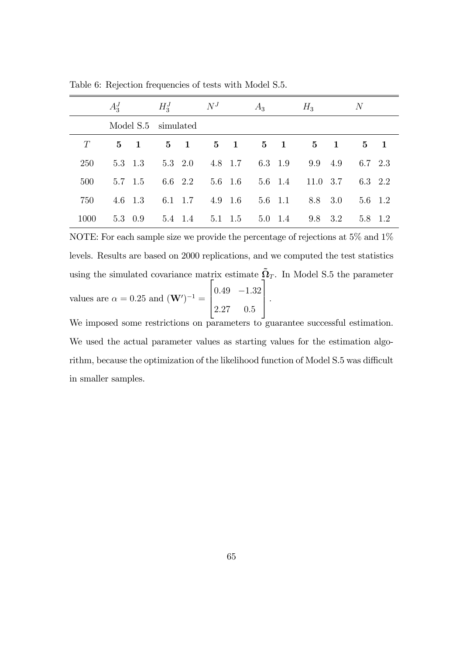|      | $A_3^J$ |                     | $H_3^J$        |         | $N^{J}$ |                 | $A_3$                                         |         | $H_3$        |            | $\overline{N}$ |  |
|------|---------|---------------------|----------------|---------|---------|-----------------|-----------------------------------------------|---------|--------------|------------|----------------|--|
|      |         | Model S.5 simulated |                |         |         |                 |                                               |         |              |            |                |  |
| T    |         | $5 \quad 1$         |                |         |         |                 | $5 \quad 1 \qquad 5 \quad 1 \qquad 5 \quad 1$ |         |              | $5\quad 1$ | 5 1            |  |
| 250  |         | 5.3 1.3             | $5.3\quad 2.0$ |         |         |                 | 4.8 1.7 6.3 1.9                               |         | 9.9 4.9      |            | 6.7 2.3        |  |
| 500  |         | 5.7 1.5             |                |         |         |                 | $6.6$ 2.2 5.6 1.6 5.6 1.4                     |         | $11.0 \t3.7$ |            | 6.3 2.2        |  |
| 750  |         | $4.6 \quad 1.3$     |                | 6.1 1.7 |         |                 | $4.9$ $1.6$ $5.6$ $1.1$                       |         |              | 8.8 3.0    | 5.6 1.2        |  |
| 1000 |         | 5.3 0.9             | 5.4 1.4        |         |         | $5.1 \quad 1.5$ |                                               | 5.0 1.4 | 9.8 3.2      |            | 5.8 1.2        |  |

Table 6: Rejection frequencies of tests with Model S.5.

NOTE: For each sample size we provide the percentage of rejections at 5% and 1% levels. Results are based on 2000 replications, and we computed the test statistics using the simulated covariance matrix estimate  $\tilde{\Omega}_T$ . In Model S.5 the parameter values are  $\alpha = 0.25$  and  $(\mathbf{W}')^{-1} =$  $\sqrt{2}$  $\frac{1}{2}$  $0.49$   $-1.32$ 2:27 0:5 3  $\vert \cdot$ 

We imposed some restrictions on parameters to guarantee successful estimation. We used the actual parameter values as starting values for the estimation algorithm, because the optimization of the likelihood function of Model S.5 was difficult in smaller samples.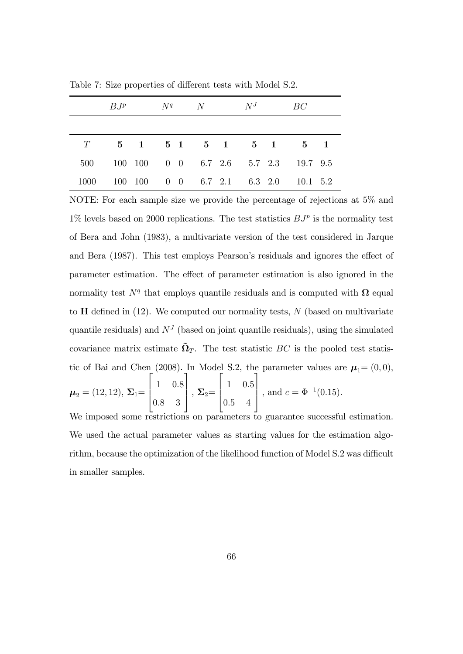|      |  |  | $B J^p$ $N^q$ $N^J$ $BC$ |  |                                          |  |
|------|--|--|--------------------------|--|------------------------------------------|--|
|      |  |  |                          |  |                                          |  |
|      |  |  |                          |  | $T$ 5 1 5 1 5 1 5 1 5 1                  |  |
|      |  |  |                          |  | 500 100 100 0 0 6.7 2.6 5.7 2.3 19.7 9.5 |  |
| 1000 |  |  |                          |  | 100 100 0 0 6.7 2.1 6.3 2.0 10.1 5.2     |  |

Table 7: Size properties of different tests with Model S.2.

NOTE: For each sample size we provide the percentage of rejections at 5% and  $1\%$  levels based on 2000 replications. The test statistics  $BJ^p$  is the normality test of Bera and John (1983), a multivariate version of the test considered in Jarque and Bera (1987). This test employs Pearson's residuals and ignores the effect of parameter estimation. The effect of parameter estimation is also ignored in the normality test  $N<sup>q</sup>$  that employs quantile residuals and is computed with  $\Omega$  equal to  $H$  defined in  $(12)$ . We computed our normality tests, N (based on multivariate quantile residuals) and  $N<sup>J</sup>$  (based on joint quantile residuals), using the simulated covariance matrix estimate  $\tilde{\Omega}_T$ . The test statistic BC is the pooled test statistic of Bai and Chen (2008). In Model S.2, the parameter values are  $\mu_1=(0,0)$ ,  $\mu_2 = (12, 12), \, \Sigma_1 =$  $\sqrt{2}$  $\left| \right|$ 1 0:8 0:8 3 1  $\Big\vert \; ,\, \Sigma_2 =$  $\sqrt{2}$  $\left| \right|$ 1 0:5 0:5 4 1 , and  $c = \Phi^{-1}(0.15)$ . We imposed some restrictions on parameters to guarantee successful estimation.

We used the actual parameter values as starting values for the estimation algorithm, because the optimization of the likelihood function of Model S.2 was difficult in smaller samples.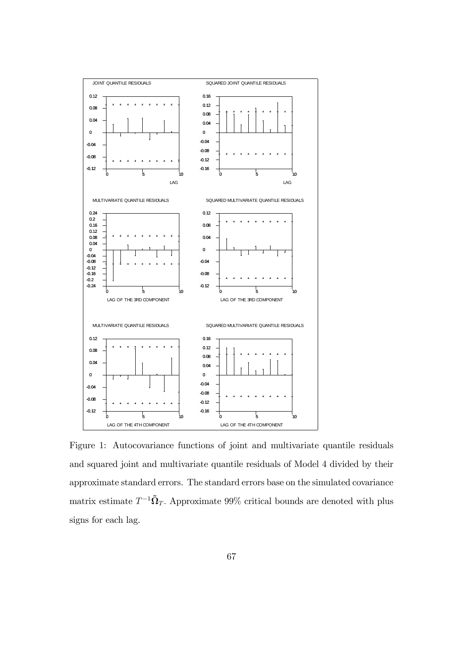

Figure 1: Autocovariance functions of joint and multivariate quantile residuals and squared joint and multivariate quantile residuals of Model 4 divided by their approximate standard errors. The standard errors base on the simulated covariance matrix estimate  $T^{-1}$  $\tilde{\Omega}_T$ . Approximate 99% critical bounds are denoted with plus signs for each lag.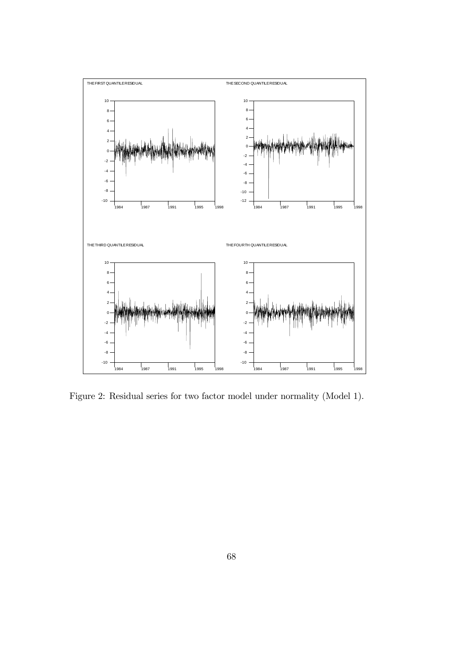

Figure 2: Residual series for two factor model under normality (Model 1).